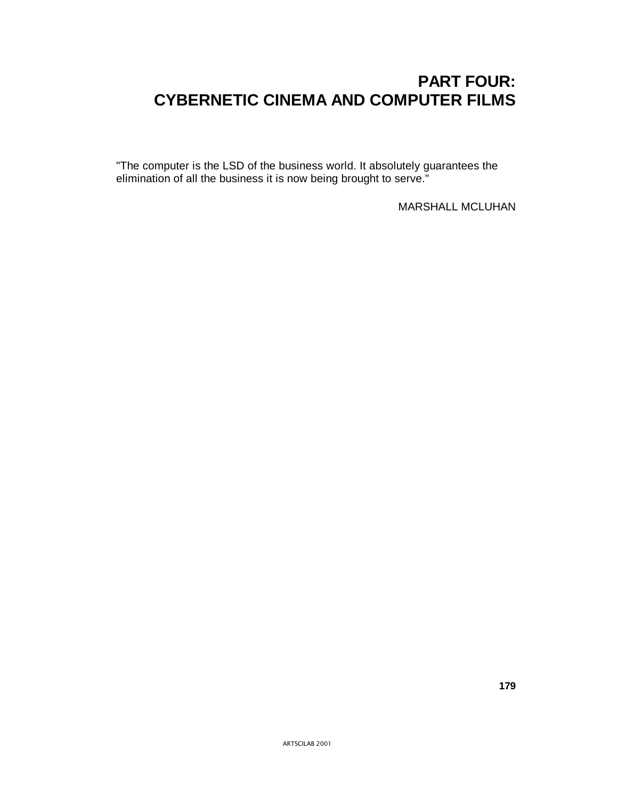# **PART FOUR: CYBERNETIC CINEMA AND COMPUTER FILMS**

"The computer is the LSD of the business world. It absolutely guarantees the elimination of all the business it is now being brought to serve."

MARSHALL MCLUHAN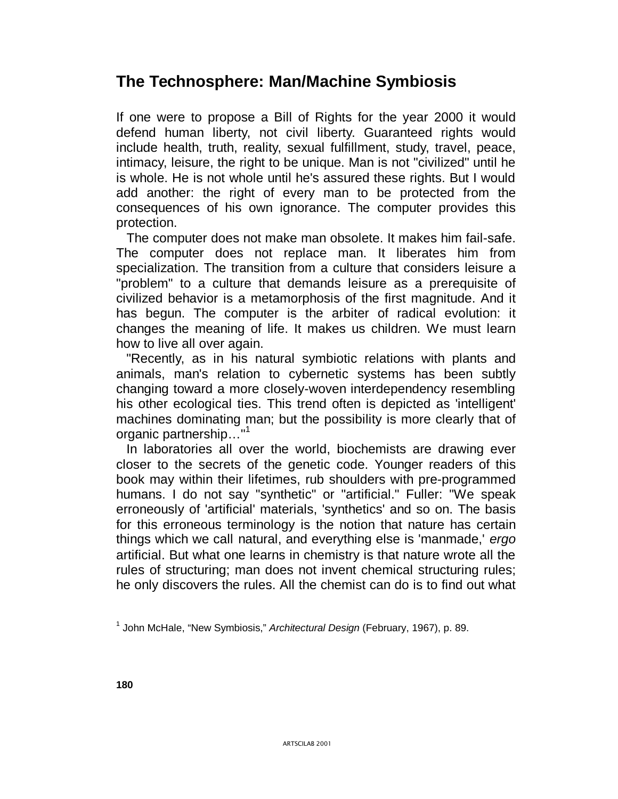## **The Technosphere: Man/Machine Symbiosis**

If one were to propose a Bill of Rights for the year 2000 it would defend human liberty, not civil liberty. Guaranteed rights would include health, truth, reality, sexual fulfillment, study, travel, peace, intimacy, leisure, the right to be unique. Man is not "civilized" until he is whole. He is not whole until he's assured these rights. But I would add another: the right of every man to be protected from the consequences of his own ignorance. The computer provides this protection.

The computer does not make man obsolete. It makes him fail-safe. The computer does not replace man. It liberates him from specialization. The transition from a culture that considers leisure a "problem" to a culture that demands leisure as a prerequisite of civilized behavior is a metamorphosis of the first magnitude. And it has begun. The computer is the arbiter of radical evolution: it changes the meaning of life. It makes us children. We must learn how to live all over again.

"Recently, as in his natural symbiotic relations with plants and animals, man's relation to cybernetic systems has been subtly changing toward a more closely-woven interdependency resembling his other ecological ties. This trend often is depicted as 'intelligent' machines dominating man; but the possibility is more clearly that of organic partnership..."<sup>1</sup>

In laboratories all over the world, biochemists are drawing ever closer to the secrets of the genetic code. Younger readers of this book may within their lifetimes, rub shoulders with pre-programmed humans. I do not say "synthetic" or "artificial." Fuller: "We speak erroneously of 'artificial' materials, 'synthetics' and so on. The basis for this erroneous terminology is the notion that nature has certain things which we call natural, and everything else is 'manmade,' *ergo*  artificial. But what one learns in chemistry is that nature wrote all the rules of structuring; man does not invent chemical structuring rules; he only discovers the rules. All the chemist can do is to find out what

<sup>1</sup> John McHale, "New Symbiosis," *Architectural Design* (February, 1967), p. 89.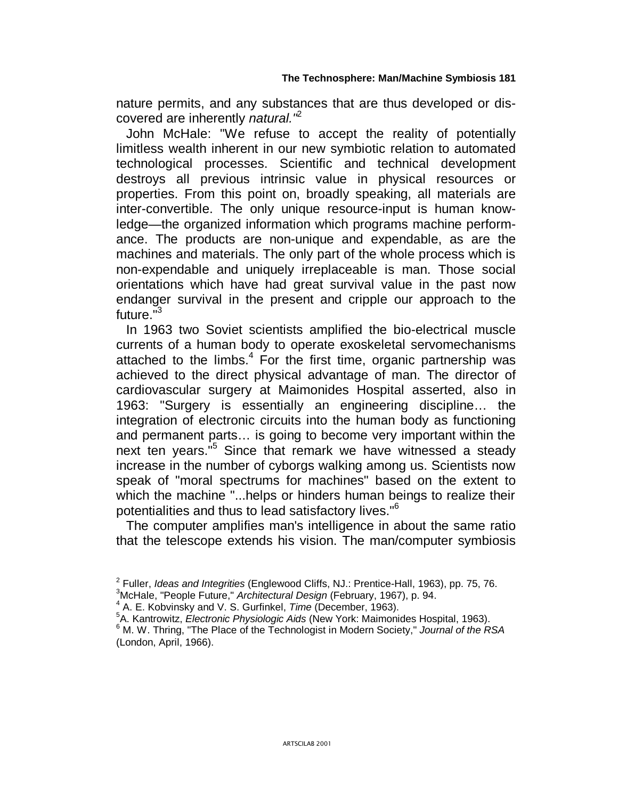nature permits, and any substances that are thus developed or discovered are inherently *natural."*<sup>2</sup>

John McHale: "We refuse to accept the reality of potentially limitless wealth inherent in our new symbiotic relation to automated technological processes. Scientific and technical development destroys all previous intrinsic value in physical resources or properties. From this point on, broadly speaking, all materials are inter-convertible. The only unique resource-input is human knowledge— the organized information which programs machine performance. The products are non-unique and expendable, as are the machines and materials. The only part of the whole process which is non-expendable and uniquely irreplaceable is man. Those social orientations which have had great survival value in the past now endanger survival in the present and cripple our approach to the future."<sup>3</sup>

In 1963 two Soviet scientists amplified the bio-electrical muscle currents of a human body to operate exoskeletal servomechanisms attached to the limbs.<sup>4</sup> For the first time, organic partnership was achieved to the direct physical advantage of man. The director of cardiovascular surgery at Maimonides Hospital asserted, also in 1963: "Surgery is essentially an engineering discipline… the integration of electronic circuits into the human body as functioning and permanent parts… is going to become very important within the next ten years."<sup>5</sup> Since that remark we have witnessed a steady increase in the number of cyborgs walking among us. Scientists now speak of "moral spectrums for machines" based on the extent to which the machine "...helps or hinders human beings to realize their potentialities and thus to lead satisfactory lives."<sup>6</sup>

The computer amplifies man's intelligence in about the same ratio that the telescope extends his vision. The man/computer symbiosis

<sup>3</sup>McHale, "People Future," *Architectural Design* (February, 1967), p. 94.

<sup>2</sup> Fuller, *Ideas and Integrities* (Englewood Cliffs, NJ.: Prentice-Hall, 1963), pp. 75, 76.

<sup>4</sup> A. E. Kobvinsky and V. S. Gurfinkel, *Time* (December, 1963).

<sup>5</sup> A. Kantrowitz, *Electronic Physiologic Aids* (New York: Maimonides Hospital, 1963).

<sup>6</sup> M. W. Thring, "The Place of the Technologist in Modern Society," *Journal of the RSA*  (London, April, 1966).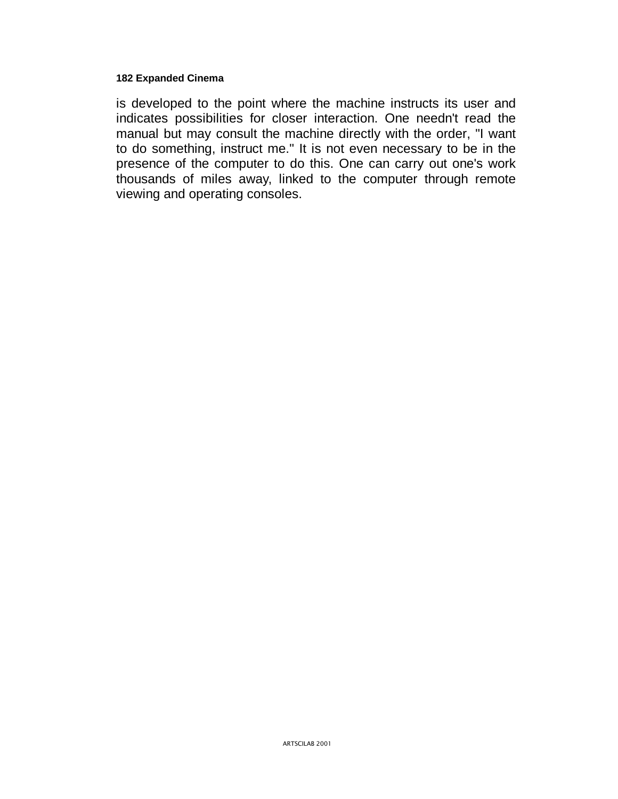is developed to the point where the machine instructs its user and indicates possibilities for closer interaction. One needn't read the manual but may consult the machine directly with the order, "I want to do something, instruct me." It is not even necessary to be in the presence of the computer to do this. One can carry out one's work thousands of miles away, linked to the computer through remote viewing and operating consoles.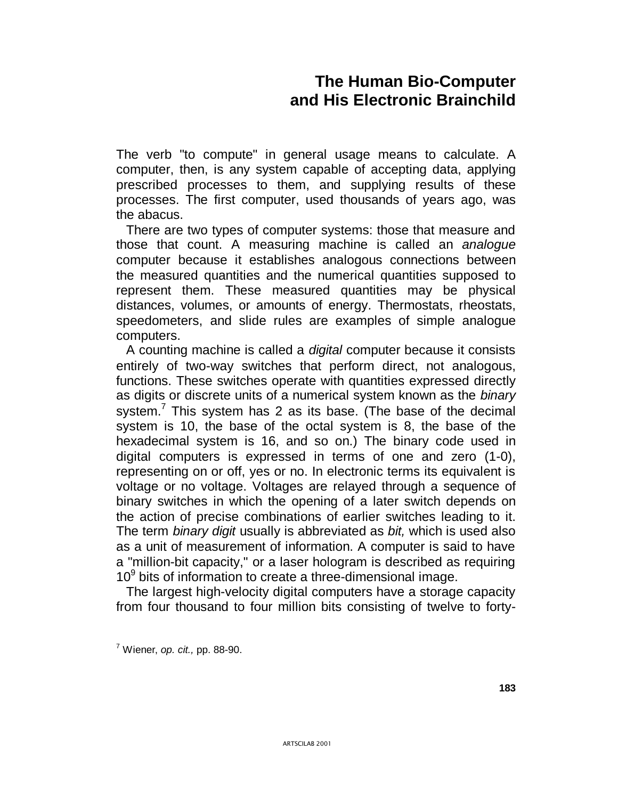## **The Human Bio-Computer and His Electronic Brainchild**

The verb "to compute" in general usage means to calculate. A computer, then, is any system capable of accepting data, applying prescribed processes to them, and supplying results of these processes. The first computer, used thousands of years ago, was the abacus.

There are two types of computer systems: those that measure and those that count. A measuring machine is called an *analogue*  computer because it establishes analogous connections between the measured quantities and the numerical quantities supposed to represent them. These measured quantities may be physical distances, volumes, or amounts of energy. Thermostats, rheostats, speedometers, and slide rules are examples of simple analogue computers.

A counting machine is called a *digital* computer because it consists entirely of two-way switches that perform direct, not analogous, functions. These switches operate with quantities expressed directly as digits or discrete units of a numerical system known as the *binary*  system.<sup>7</sup> This system has 2 as its base. (The base of the decimal system is 10, the base of the octal system is 8, the base of the hexadecimal system is 16, and so on.) The binary code used in digital computers is expressed in terms of one and zero (1-0), representing on or off, yes or no. In electronic terms its equivalent is voltage or no voltage. Voltages are relayed through a sequence of binary switches in which the opening of a later switch depends on the action of precise combinations of earlier switches leading to it. The term *binary digit* usually is abbreviated as *bit,* which is used also as a unit of measurement of information. A computer is said to have a "million-bit capacity," or a laser hologram is described as requiring 10<sup>9</sup> bits of information to create a three-dimensional image.

The largest high-velocity digital computers have a storage capacity from four thousand to four million bits consisting of twelve to forty-

7 Wiener, *op. cit.,* pp. 88-90.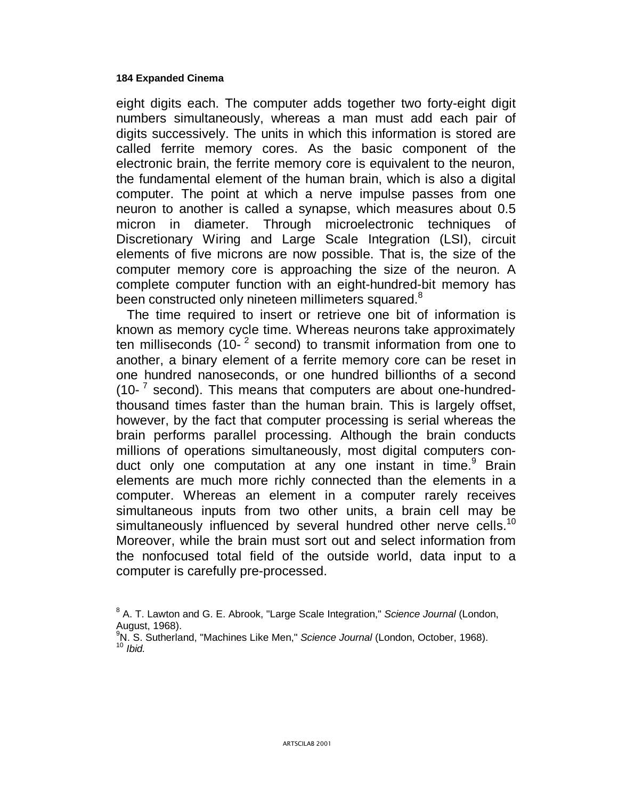eight digits each. The computer adds together two forty-eight digit numbers simultaneously, whereas a man must add each pair of digits successively. The units in which this information is stored are called ferrite memory cores. As the basic component of the electronic brain, the ferrite memory core is equivalent to the neuron, the fundamental element of the human brain, which is also a digital computer. The point at which a nerve impulse passes from one neuron to another is called a synapse, which measures about 0.5 micron in diameter. Through microelectronic techniques of Discretionary Wiring and Large Scale Integration (LSI), circuit elements of five microns are now possible. That is, the size of the computer memory core is approaching the size of the neuron. A complete computer function with an eight-hundred-bit memory has been constructed only nineteen millimeters squared.<sup>8</sup>

The time required to insert or retrieve one bit of information is known as memory cycle time. Whereas neurons take approximately ten milliseconds (10- $2$  second) to transmit information from one to another, a binary element of a ferrite memory core can be reset in one hundred nanoseconds, or one hundred billionths of a second (10- $<sup>7</sup>$  second). This means that computers are about one-hundred-</sup> thousand times faster than the human brain. This is largely offset, however, by the fact that computer processing is serial whereas the brain performs parallel processing. Although the brain conducts millions of operations simultaneously, most digital computers conduct only one computation at any one instant in time.<sup>9</sup> Brain elements are much more richly connected than the elements in a computer. Whereas an element in a computer rarely receives simultaneous inputs from two other units, a brain cell may be simultaneously influenced by several hundred other nerve cells.<sup>10</sup> Moreover, while the brain must sort out and select information from the nonfocused total field of the outside world, data input to a computer is carefully pre-processed.

<sup>8</sup> A. T. Lawton and G. E. Abrook, "Large Scale Integration," *Science Journal* (London, August, 1968).

<sup>9</sup>N. S. Sutherland, "Machines Like Men," *Science Journal* (London, October, 1968). <sup>10</sup> *Ibid.*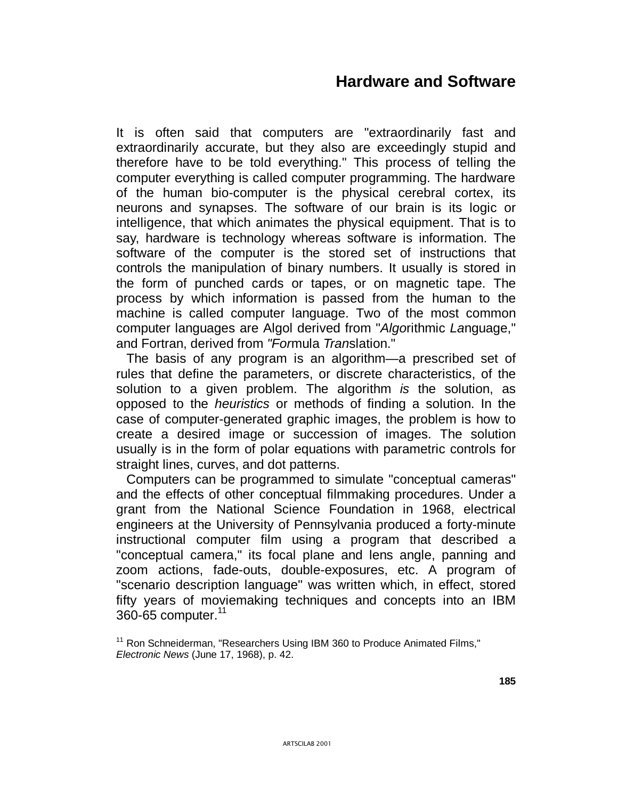### **Hardware and Software**

It is often said that computers are "extraordinarily fast and extraordinarily accurate, but they also are exceedingly stupid and therefore have to be told everything." This process of telling the computer everything is called computer programming. The hardware of the human bio-computer is the physical cerebral cortex, its neurons and synapses. The software of our brain is its logic or intelligence, that which animates the physical equipment. That is to say, hardware is technology whereas software is information. The software of the computer is the stored set of instructions that controls the manipulation of binary numbers. It usually is stored in the form of punched cards or tapes, or on magnetic tape. The process by which information is passed from the human to the machine is called computer language. Two of the most common computer languages are Algol derived from "*Algo*rithmic *La*nguage," and Fortran, derived from *"For*mula *Tran*slation."

The basis of any program is an algorithm— a prescribed set of rules that define the parameters, or discrete characteristics, of the solution to a given problem. The algorithm *is* the solution, as opposed to the *heuristics* or methods of finding a solution. In the case of computer-generated graphic images, the problem is how to create a desired image or succession of images. The solution usually is in the form of polar equations with parametric controls for straight lines, curves, and dot patterns.

Computers can be programmed to simulate "conceptual cameras" and the effects of other conceptual filmmaking procedures. Under a grant from the National Science Foundation in 1968, electrical engineers at the University of Pennsylvania produced a forty-minute instructional computer film using a program that described a "conceptual camera," its focal plane and lens angle, panning and zoom actions, fade-outs, double-exposures, etc. A program of "scenario description language" was written which, in effect, stored fifty years of moviemaking techniques and concepts into an IBM 360-65 computer.<sup>11</sup>

<sup>&</sup>lt;sup>11</sup> Ron Schneiderman, "Researchers Using IBM 360 to Produce Animated Films," *Electronic News* (June 17, 1968), p. 42.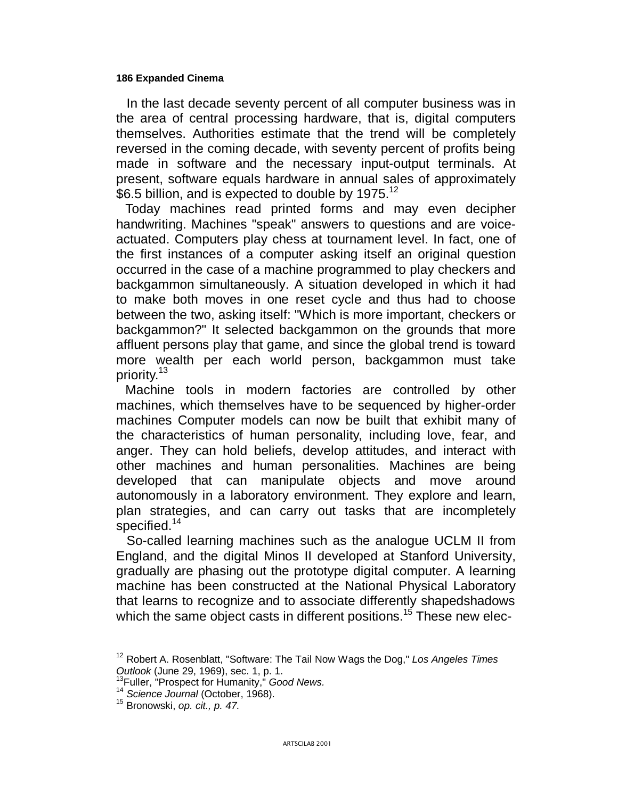In the last decade seventy percent of all computer business was in the area of central processing hardware, that is, digital computers themselves. Authorities estimate that the trend will be completely reversed in the coming decade, with seventy percent of profits being made in software and the necessary input-output terminals. At present, software equals hardware in annual sales of approximately \$6.5 billion, and is expected to double by  $1975.<sup>12</sup>$ 

Today machines read printed forms and may even decipher handwriting. Machines "speak" answers to questions and are voiceactuated. Computers play chess at tournament level. In fact, one of the first instances of a computer asking itself an original question occurred in the case of a machine programmed to play checkers and backgammon simultaneously. A situation developed in which it had to make both moves in one reset cycle and thus had to choose between the two, asking itself: "Which is more important, checkers or backgammon?" It selected backgammon on the grounds that more affluent persons play that game, and since the global trend is toward more wealth per each world person, backgammon must take priority.<sup>13</sup>

Machine tools in modern factories are controlled by other machines, which themselves have to be sequenced by higher-order machines Computer models can now be built that exhibit many of the characteristics of human personality, including love, fear, and anger. They can hold beliefs, develop attitudes, and interact with other machines and human personalities. Machines are being developed that can manipulate objects and move around autonomously in a laboratory environment. They explore and learn, plan strategies, and can carry out tasks that are incompletely specified.<sup>14</sup>

So-called learning machines such as the analogue UCLM II from England, and the digital Minos II developed at Stanford University, gradually are phasing out the prototype digital computer. A learning machine has been constructed at the National Physical Laboratory that learns to recognize and to associate differently shapedshadows which the same object casts in different positions.<sup>15</sup> These new elec-

<sup>12</sup> Robert A. Rosenblatt, "Software: The Tail Now Wags the Dog," *Los Angeles Times Outlook* (June 29, 1969), sec. 1, p. 1.

<sup>13</sup>Fuller, "Prospect for Humanity," *Good News.*

<sup>14&</sup>lt;sup>1</sup> Science Journal (October, 1968).

<sup>15</sup> Bronowski, *op. cit., p. 47.*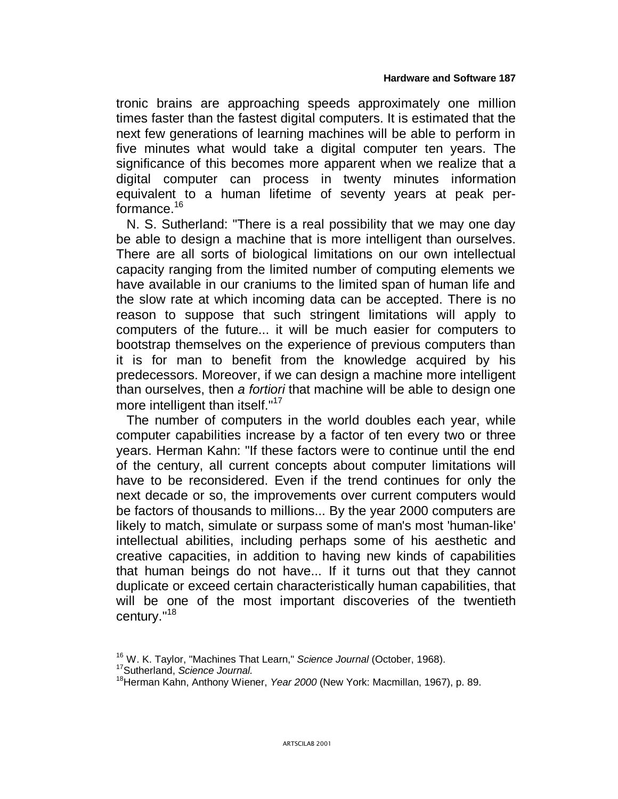tronic brains are approaching speeds approximately one million times faster than the fastest digital computers. It is estimated that the next few generations of learning machines will be able to perform in five minutes what would take a digital computer ten years. The significance of this becomes more apparent when we realize that a digital computer can process in twenty minutes information equivalent to a human lifetime of seventy years at peak performance.<sup>16</sup>

N. S. Sutherland: "There is a real possibility that we may one day be able to design a machine that is more intelligent than ourselves. There are all sorts of biological limitations on our own intellectual capacity ranging from the limited number of computing elements we have available in our craniums to the limited span of human life and the slow rate at which incoming data can be accepted. There is no reason to suppose that such stringent limitations will apply to computers of the future... it will be much easier for computers to bootstrap themselves on the experience of previous computers than it is for man to benefit from the knowledge acquired by his predecessors. Moreover, if we can design a machine more intelligent than ourselves, then *a fortiori* that machine will be able to design one more intelligent than itself."<sup>17</sup>

The number of computers in the world doubles each year, while computer capabilities increase by a factor of ten every two or three years. Herman Kahn: "If these factors were to continue until the end of the century, all current concepts about computer limitations will have to be reconsidered. Even if the trend continues for only the next decade or so, the improvements over current computers would be factors of thousands to millions... By the year 2000 computers are likely to match, simulate or surpass some of man's most 'human-like' intellectual abilities, including perhaps some of his aesthetic and creative capacities, in addition to having new kinds of capabilities that human beings do not have... If it turns out that they cannot duplicate or exceed certain characteristically human capabilities, that will be one of the most important discoveries of the twentieth century."<sup>18</sup>

<sup>16</sup> W. K. Taylor, "Machines That Learn," *Science Journal* (October, 1968).

<sup>17</sup>Sutherland, *Science Journal.*

<sup>18</sup>Herman Kahn, Anthony Wiener, *Year 2000* (New York: Macmillan, 1967), p. 89.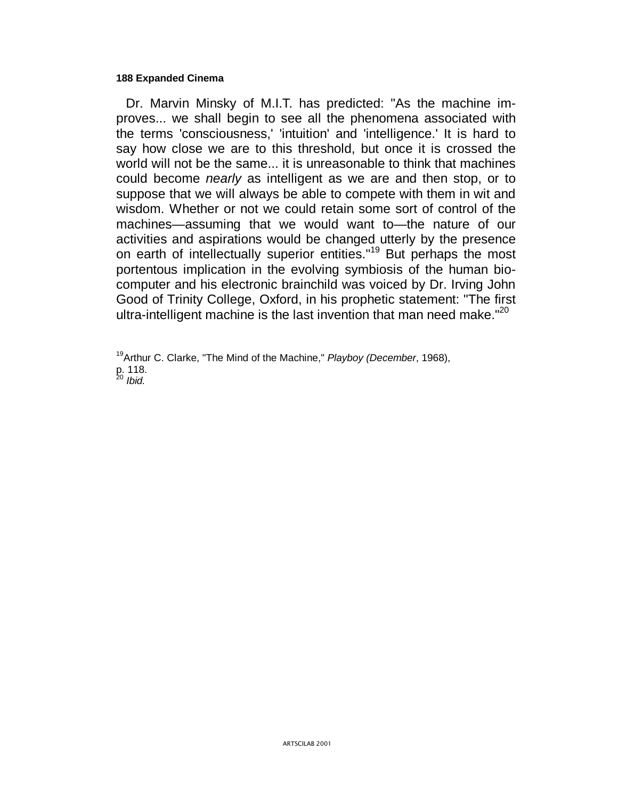Dr. Marvin Minsky of M.I.T. has predicted: "As the machine improves... we shall begin to see all the phenomena associated with the terms 'consciousness,' 'intuition' and 'intelligence.' It is hard to say how close we are to this threshold, but once it is crossed the world will not be the same... it is unreasonable to think that machines could become *nearly* as intelligent as we are and then stop, or to suppose that we will always be able to compete with them in wit and wisdom. Whether or not we could retain some sort of control of the machines— assuming that we would want to— the nature of our activities and aspirations would be changed utterly by the presence on earth of intellectually superior entities."<sup>19</sup> But perhaps the most portentous implication in the evolving symbiosis of the human biocomputer and his electronic brainchild was voiced by Dr. Irving John Good of Trinity College, Oxford, in his prophetic statement: "The first ultra-intelligent machine is the last invention that man need make.<sup>"20</sup>

<sup>19</sup>Arthur C. Clarke, "The Mind of the Machine," *Playboy (December*, 1968), p. 118. <sup>20</sup> *Ibid.*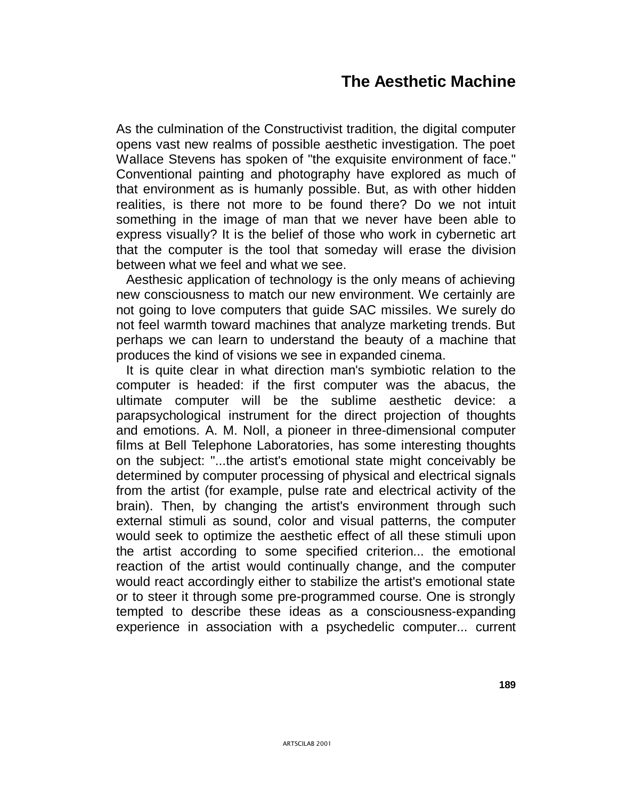## **The Aesthetic Machine**

As the culmination of the Constructivist tradition, the digital computer opens vast new realms of possible aesthetic investigation. The poet Wallace Stevens has spoken of "the exquisite environment of face." Conventional painting and photography have explored as much of that environment as is humanly possible. But, as with other hidden realities, is there not more to be found there? Do we not intuit something in the image of man that we never have been able to express visually? It is the belief of those who work in cybernetic art that the computer is the tool that someday will erase the division between what we feel and what we see.

Aesthesic application of technology is the only means of achieving new consciousness to match our new environment. We certainly are not going to love computers that guide SAC missiles. We surely do not feel warmth toward machines that analyze marketing trends. But perhaps we can learn to understand the beauty of a machine that produces the kind of visions we see in expanded cinema.

It is quite clear in what direction man's symbiotic relation to the computer is headed: if the first computer was the abacus, the ultimate computer will be the sublime aesthetic device: a parapsychological instrument for the direct projection of thoughts and emotions. A. M. Noll, a pioneer in three-dimensional computer films at Bell Telephone Laboratories, has some interesting thoughts on the subject: "...the artist's emotional state might conceivably be determined by computer processing of physical and electrical signals from the artist (for example, pulse rate and electrical activity of the brain). Then, by changing the artist's environment through such external stimuli as sound, color and visual patterns, the computer would seek to optimize the aesthetic effect of all these stimuli upon the artist according to some specified criterion... the emotional reaction of the artist would continually change, and the computer would react accordingly either to stabilize the artist's emotional state or to steer it through some pre-programmed course. One is strongly tempted to describe these ideas as a consciousness-expanding experience in association with a psychedelic computer... current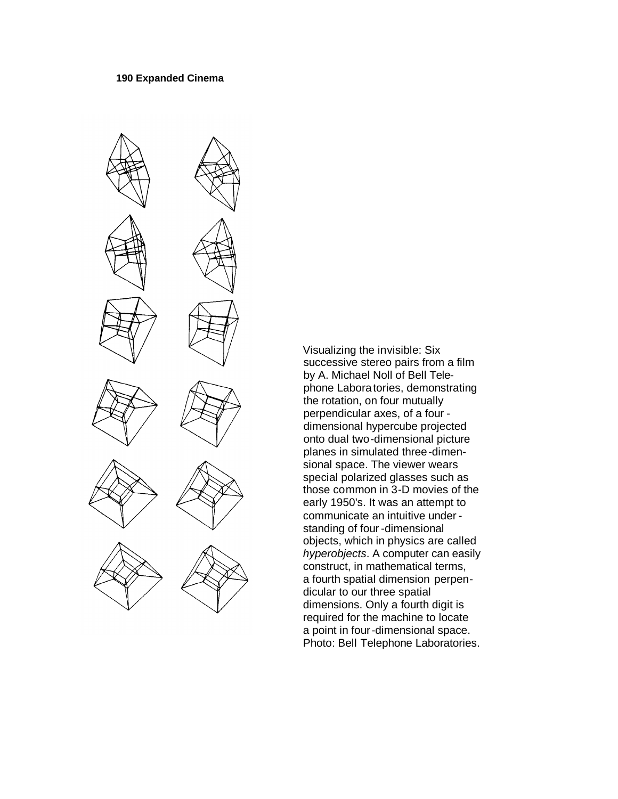

successive stereo pairs from a film by A. Michael Noll of Bell Telephone Laboratories, demonstrating the rotation, on four mutually perpendicular axes, of a four dimensional hypercube projected onto dual two-dimensional picture planes in simulated three-dimensional space. The viewer wears special polarized glasses such as those common in 3-D movies of the early 1950's. It was an attempt to communicate an intuitive under standing of four -dimensional objects, which in physics are called *hyperobjects*. A computer can easily construct, in mathematical terms, a fourth spatial dimension perpendicular to our three spatial dimensions. Only a fourth digit is required for the machine to locate a point in four-dimensional space. Photo: Bell Telephone Laboratories. Visualizing the invisible: Six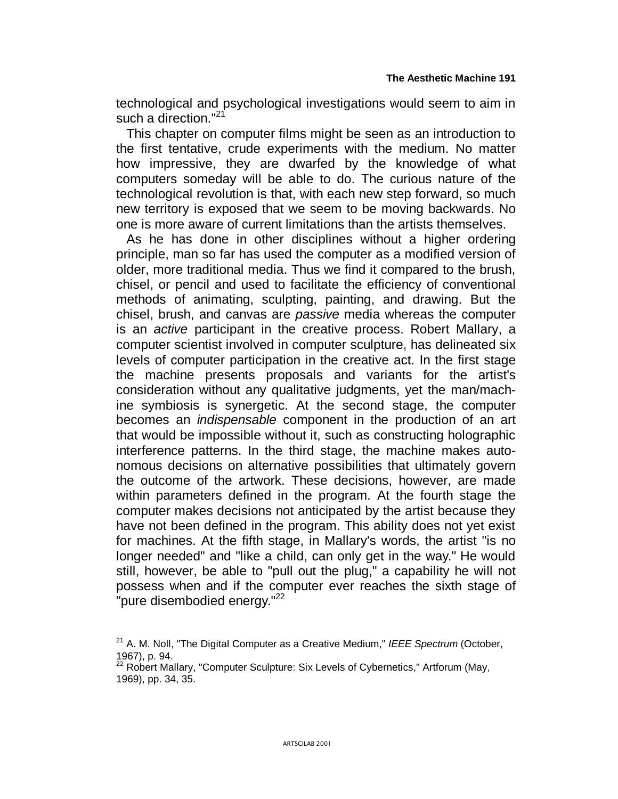technological and psychological investigations would seem to aim in such a direction."<sup>21</sup>

This chapter on computer films might be seen as an introduction to the first tentative, crude experiments with the medium. No matter how impressive, they are dwarfed by the knowledge of what computers someday will be able to do. The curious nature of the technological revolution is that, with each new step forward, so much new territory is exposed that we seem to be moving backwards. No one is more aware of current limitations than the artists themselves.

As he has done in other disciplines without a higher ordering principle, man so far has used the computer as a modified version of older, more traditional media. Thus we find it compared to the brush, chisel, or pencil and used to facilitate the efficiency of conventional methods of animating, sculpting, painting, and drawing. But the chisel, brush, and canvas are *passive* media whereas the computer is an *active* participant in the creative process. Robert Mallary, a computer scientist involved in computer sculpture, has delineated six levels of computer participation in the creative act. In the first stage the machine presents proposals and variants for the artist's consideration without any qualitative judgments, yet the man/machine symbiosis is synergetic. At the second stage, the computer becomes an *indispensable* component in the production of an art that would be impossible without it, such as constructing holographic interference patterns. In the third stage, the machine makes autonomous decisions on alternative possibilities that ultimately govern the outcome of the artwork. These decisions, however, are made within parameters defined in the program. At the fourth stage the computer makes decisions not anticipated by the artist because they have not been defined in the program. This ability does not yet exist for machines. At the fifth stage, in Mallary's words, the artist "is no longer needed" and "like a child, can only get in the way." He would still, however, be able to "pull out the plug," a capability he will not possess when and if the computer ever reaches the sixth stage of "pure disembodied energy."<sup>22</sup>

<sup>&</sup>lt;sup>21</sup> A. M. Noll, "The Digital Computer as a Creative Medium," *IEEE Spectrum* (October, 1967), p. 94.

 $22$  Robert Mallary, "Computer Sculpture: Six Levels of Cybernetics," Artforum (May, 1969), pp. 34, 35.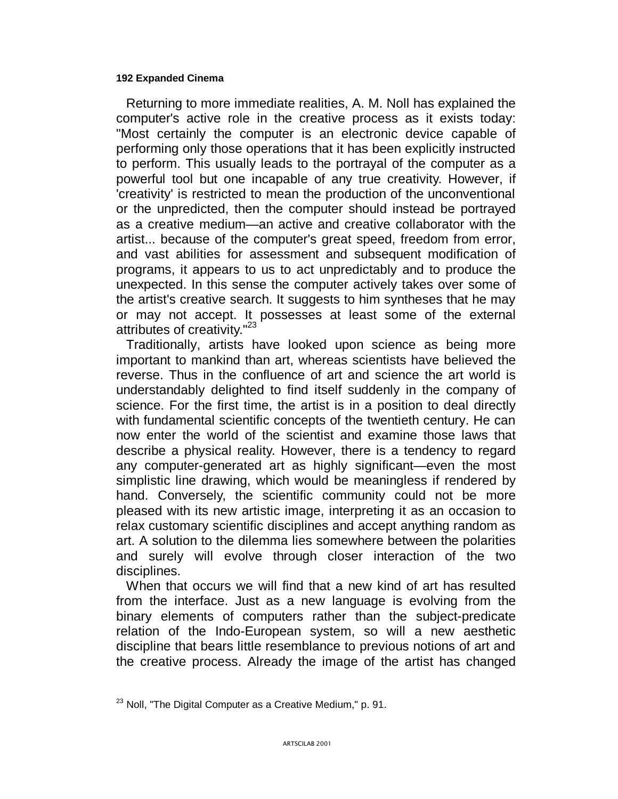Returning to more immediate realities, A. M. Noll has explained the computer's active role in the creative process as it exists today: "Most certainly the computer is an electronic device capable of performing only those operations that it has been explicitly instructed to perform. This usually leads to the portrayal of the computer as a powerful tool but one incapable of any true creativity. However, if 'creativity' is restricted to mean the production of the unconventional or the unpredicted, then the computer should instead be portrayed as a creative medium— an active and creative collaborator with the artist... because of the computer's great speed, freedom from error, and vast abilities for assessment and subsequent modification of programs, it appears to us to act unpredictably and to produce the unexpected. In this sense the computer actively takes over some of the artist's creative search. It suggests to him syntheses that he may or may not accept. It possesses at least some of the external attributes of creativity."<sup>23</sup>

Traditionally, artists have looked upon science as being more important to mankind than art, whereas scientists have believed the reverse. Thus in the confluence of art and science the art world is understandably delighted to find itself suddenly in the company of science. For the first time, the artist is in a position to deal directly with fundamental scientific concepts of the twentieth century. He can now enter the world of the scientist and examine those laws that describe a physical reality. However, there is a tendency to regard any computer-generated art as highly significant— even the most simplistic line drawing, which would be meaningless if rendered by hand. Conversely, the scientific community could not be more pleased with its new artistic image, interpreting it as an occasion to relax customary scientific disciplines and accept anything random as art. A solution to the dilemma lies somewhere between the polarities and surely will evolve through closer interaction of the two disciplines.

When that occurs we will find that a new kind of art has resulted from the interface. Just as a new language is evolving from the binary elements of computers rather than the subject-predicate relation of the Indo-European system, so will a new aesthetic discipline that bears little resemblance to previous notions of art and the creative process. Already the image of the artist has changed

 $23$  Noll, "The Digital Computer as a Creative Medium," p. 91.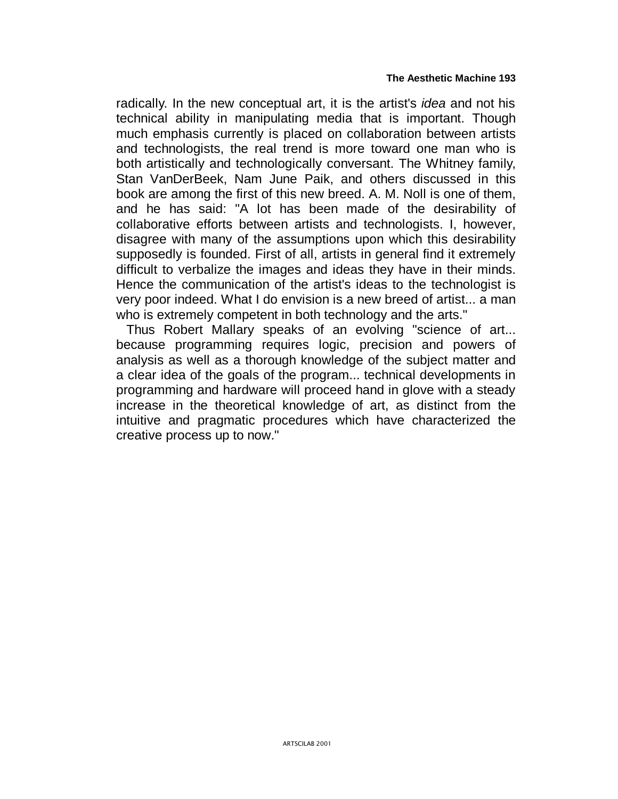radically. In the new conceptual art, it is the artist's *idea* and not his technical ability in manipulating media that is important. Though much emphasis currently is placed on collaboration between artists and technologists, the real trend is more toward one man who is both artistically and technologically conversant. The Whitney family, Stan VanDerBeek, Nam June Paik, and others discussed in this book are among the first of this new breed. A. M. Noll is one of them, and he has said: "A lot has been made of the desirability of collaborative efforts between artists and technologists. I, however, disagree with many of the assumptions upon which this desirability supposedly is founded. First of all, artists in general find it extremely difficult to verbalize the images and ideas they have in their minds. Hence the communication of the artist's ideas to the technologist is very poor indeed. What I do envision is a new breed of artist... a man who is extremely competent in both technology and the arts."

Thus Robert Mallary speaks of an evolving "science of art... because programming requires logic, precision and powers of analysis as well as a thorough knowledge of the subject matter and a clear idea of the goals of the program... technical developments in programming and hardware will proceed hand in glove with a steady increase in the theoretical knowledge of art, as distinct from the intuitive and pragmatic procedures which have characterized the creative process up to now."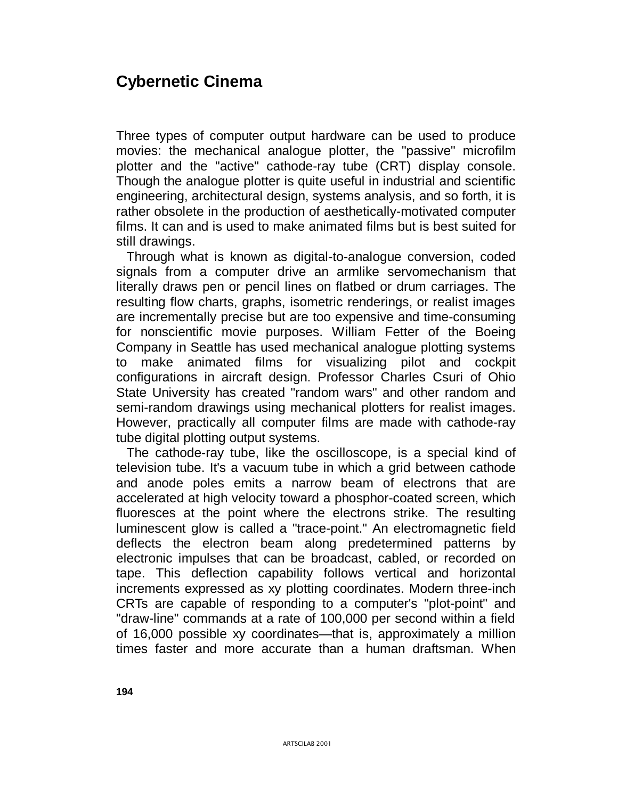## **Cybernetic Cinema**

Three types of computer output hardware can be used to produce movies: the mechanical analogue plotter, the "passive" microfilm plotter and the "active" cathode-ray tube (CRT) display console. Though the analogue plotter is quite useful in industrial and scientific engineering, architectural design, systems analysis, and so forth, it is rather obsolete in the production of aesthetically-motivated computer films. It can and is used to make animated films but is best suited for still drawings.

Through what is known as digital-to-analogue conversion, coded signals from a computer drive an armlike servomechanism that literally draws pen or pencil lines on flatbed or drum carriages. The resulting flow charts, graphs, isometric renderings, or realist images are incrementally precise but are too expensive and time-consuming for nonscientific movie purposes. William Fetter of the Boeing Company in Seattle has used mechanical analogue plotting systems to make animated films for visualizing pilot and cockpit configurations in aircraft design. Professor Charles Csuri of Ohio State University has created "random wars" and other random and semi-random drawings using mechanical plotters for realist images. However, practically all computer films are made with cathode-ray tube digital plotting output systems.

The cathode-ray tube, like the oscilloscope, is a special kind of television tube. It's a vacuum tube in which a grid between cathode and anode poles emits a narrow beam of electrons that are accelerated at high velocity toward a phosphor-coated screen, which fluoresces at the point where the electrons strike. The resulting luminescent glow is called a "trace-point." An electromagnetic field deflects the electron beam along predetermined patterns by electronic impulses that can be broadcast, cabled, or recorded on tape. This deflection capability follows vertical and horizontal increments expressed as xy plotting coordinates. Modern three-inch CRTs are capable of responding to a computer's "plot-point" and "draw-line" commands at a rate of 100,000 per second within a field of 16,000 possible xy coordinates— that is, approximately a million times faster and more accurate than a human draftsman. When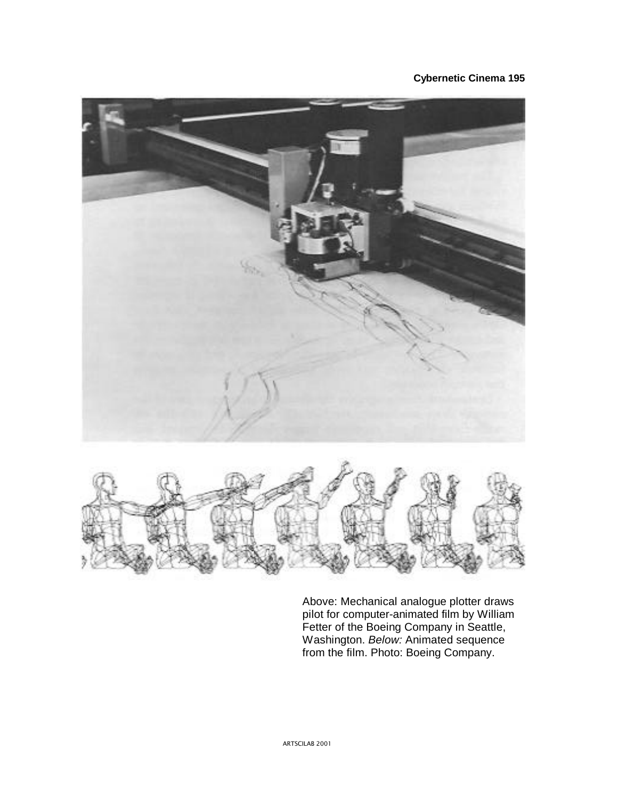### **Cybernetic Cinema 195**



Above: Mechanical analogue plotter draws pilot for computer-animated film by William Fetter of the Boeing Company in Seattle, Washington. *Below:* Animated sequence from the film. Photo: Boeing Company.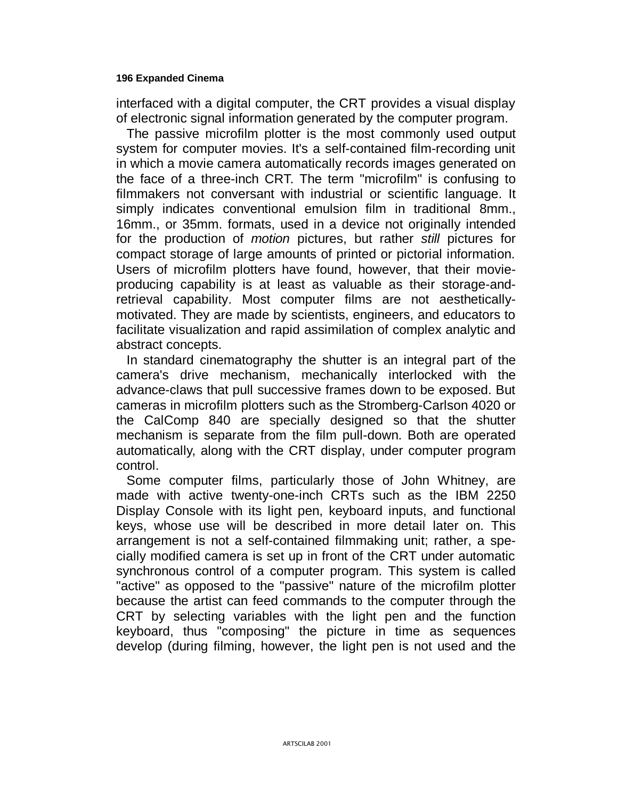interfaced with a digital computer, the CRT provides a visual display of electronic signal information generated by the computer program.

The passive microfilm plotter is the most commonly used output system for computer movies. It's a self-contained film-recording unit in which a movie camera automatically records images generated on the face of a three-inch CRT. The term "microfilm" is confusing to filmmakers not conversant with industrial or scientific language. It simply indicates conventional emulsion film in traditional 8mm., 16mm., or 35mm. formats, used in a device not originally intended for the production of *motion* pictures, but rather *still* pictures for compact storage of large amounts of printed or pictorial information. Users of microfilm plotters have found, however, that their movieproducing capability is at least as valuable as their storage-andretrieval capability. Most computer films are not aestheticallymotivated. They are made by scientists, engineers, and educators to facilitate visualization and rapid assimilation of complex analytic and abstract concepts.

In standard cinematography the shutter is an integral part of the camera's drive mechanism, mechanically interlocked with the advance-claws that pull successive frames down to be exposed. But cameras in microfilm plotters such as the Stromberg-Carlson 4020 or the CalComp 840 are specially designed so that the shutter mechanism is separate from the film pull-down. Both are operated automatically, along with the CRT display, under computer program control.

Some computer films, particularly those of John Whitney, are made with active twenty-one-inch CRTs such as the IBM 2250 Display Console with its light pen, keyboard inputs, and functional keys, whose use will be described in more detail later on. This arrangement is not a self-contained filmmaking unit; rather, a specially modified camera is set up in front of the CRT under automatic synchronous control of a computer program. This system is called "active" as opposed to the "passive" nature of the microfilm plotter because the artist can feed commands to the computer through the CRT by selecting variables with the light pen and the function keyboard, thus "composing" the picture in time as sequences develop (during filming, however, the light pen is not used and the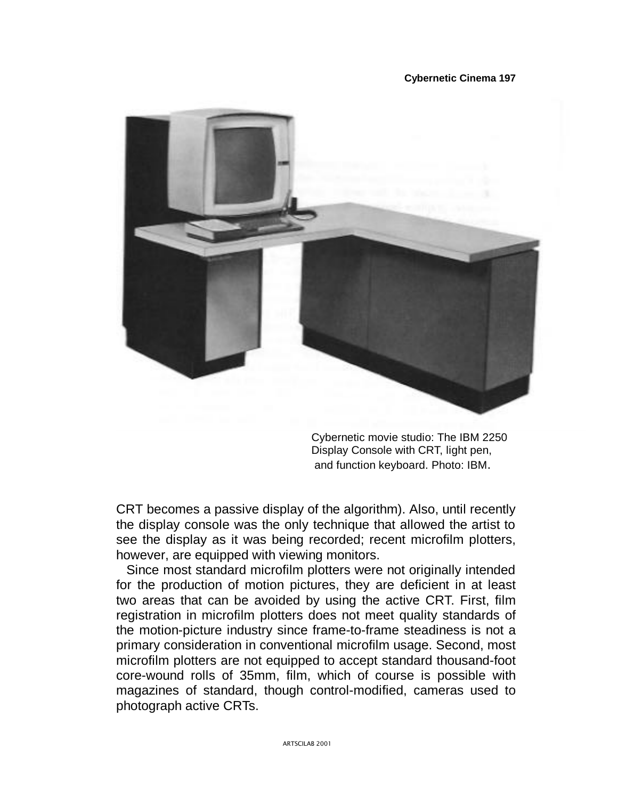#### **Cybernetic Cinema 197**



Cybernetic movie studio: The IBM 2250 Display Console with CRT, light pen, and function keyboard. Photo: IBM.

CRT becomes a passive display of the algorithm). Also, until recently the display console was the only technique that allowed the artist to see the display as it was being recorded; recent microfilm plotters, however, are equipped with viewing monitors.

Since most standard microfilm plotters were not originally intended for the production of motion pictures, they are deficient in at least two areas that can be avoided by using the active CRT. First, film registration in microfilm plotters does not meet quality standards of the motion-picture industry since frame-to-frame steadiness is not a primary consideration in conventional microfilm usage. Second, most microfilm plotters are not equipped to accept standard thousand-foot core-wound rolls of 35mm, film, which of course is possible with magazines of standard, though control-modified, cameras used to photograph active CRTs.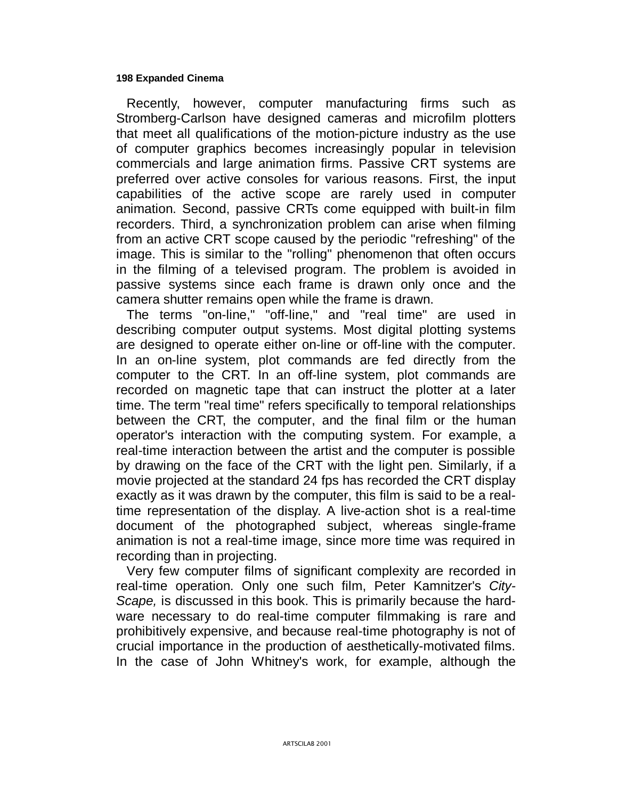Recently, however, computer manufacturing firms such as Stromberg-Carlson have designed cameras and microfilm plotters that meet all qualifications of the motion-picture industry as the use of computer graphics becomes increasingly popular in television commercials and large animation firms. Passive CRT systems are preferred over active consoles for various reasons. First, the input capabilities of the active scope are rarely used in computer animation. Second, passive CRTs come equipped with built-in film recorders. Third, a synchronization problem can arise when filming from an active CRT scope caused by the periodic "refreshing" of the image. This is similar to the "rolling" phenomenon that often occurs in the filming of a televised program. The problem is avoided in passive systems since each frame is drawn only once and the camera shutter remains open while the frame is drawn.

The terms "on-line," "off-line," and "real time" are used in describing computer output systems. Most digital plotting systems are designed to operate either on-line or off-line with the computer. In an on-line system, plot commands are fed directly from the computer to the CRT. In an off-line system, plot commands are recorded on magnetic tape that can instruct the plotter at a later time. The term "real time" refers specifically to temporal relationships between the CRT, the computer, and the final film or the human operator's interaction with the computing system. For example, a real-time interaction between the artist and the computer is possible by drawing on the face of the CRT with the light pen. Similarly, if a movie projected at the standard 24 fps has recorded the CRT display exactly as it was drawn by the computer, this film is said to be a realtime representation of the display. A live-action shot is a real-time document of the photographed subject, whereas single-frame animation is not a real-time image, since more time was required in recording than in projecting.

Very few computer films of significant complexity are recorded in real-time operation. Only one such film, Peter Kamnitzer's *City-Scape,* is discussed in this book. This is primarily because the hardware necessary to do real-time computer filmmaking is rare and prohibitively expensive, and because real-time photography is not of crucial importance in the production of aesthetically-motivated films. In the case of John Whitney's work, for example, although the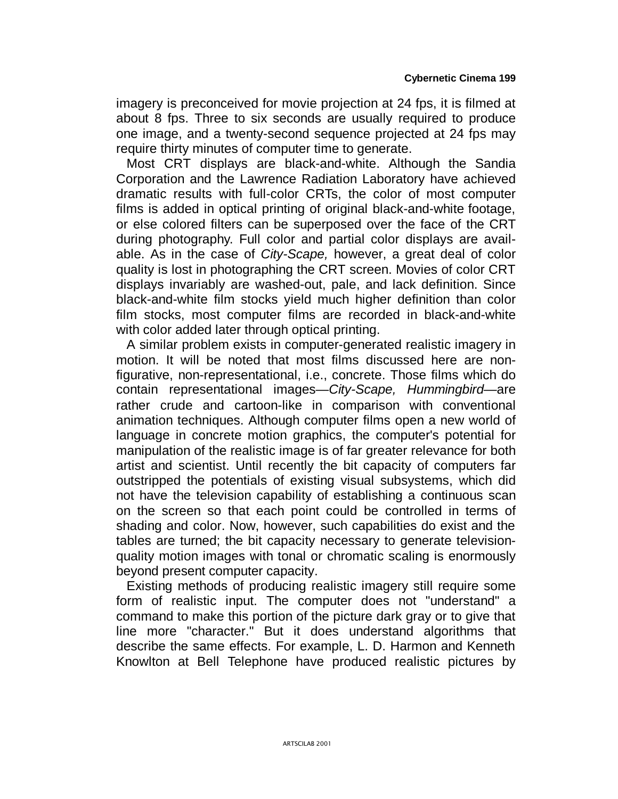imagery is preconceived for movie projection at 24 fps, it is filmed at about 8 fps. Three to six seconds are usually required to produce one image, and a twenty-second sequence projected at 24 fps may require thirty minutes of computer time to generate.

Most CRT displays are black-and-white. Although the Sandia Corporation and the Lawrence Radiation Laboratory have achieved dramatic results with full-color CRTs, the color of most computer films is added in optical printing of original black-and-white footage, or else colored filters can be superposed over the face of the CRT during photography. Full color and partial color displays are available. As in the case of *City-Scape,* however, a great deal of color quality is lost in photographing the CRT screen. Movies of color CRT displays invariably are washed-out, pale, and lack definition. Since black-and-white film stocks yield much higher definition than color film stocks, most computer films are recorded in black-and-white with color added later through optical printing.

A similar problem exists in computer-generated realistic imagery in motion. It will be noted that most films discussed here are nonfigurative, non-representational, i.e., concrete. Those films which do contain representational images— *City-Scape, Hummingbird—* are rather crude and cartoon-like in comparison with conventional animation techniques. Although computer films open a new world of language in concrete motion graphics, the computer's potential for manipulation of the realistic image is of far greater relevance for both artist and scientist. Until recently the bit capacity of computers far outstripped the potentials of existing visual subsystems, which did not have the television capability of establishing a continuous scan on the screen so that each point could be controlled in terms of shading and color. Now, however, such capabilities do exist and the tables are turned; the bit capacity necessary to generate televisionquality motion images with tonal or chromatic scaling is enormously beyond present computer capacity.

Existing methods of producing realistic imagery still require some form of realistic input. The computer does not "understand" a command to make this portion of the picture dark gray or to give that line more "character." But it does understand algorithms that describe the same effects. For example, L. D. Harmon and Kenneth Knowlton at Bell Telephone have produced realistic pictures by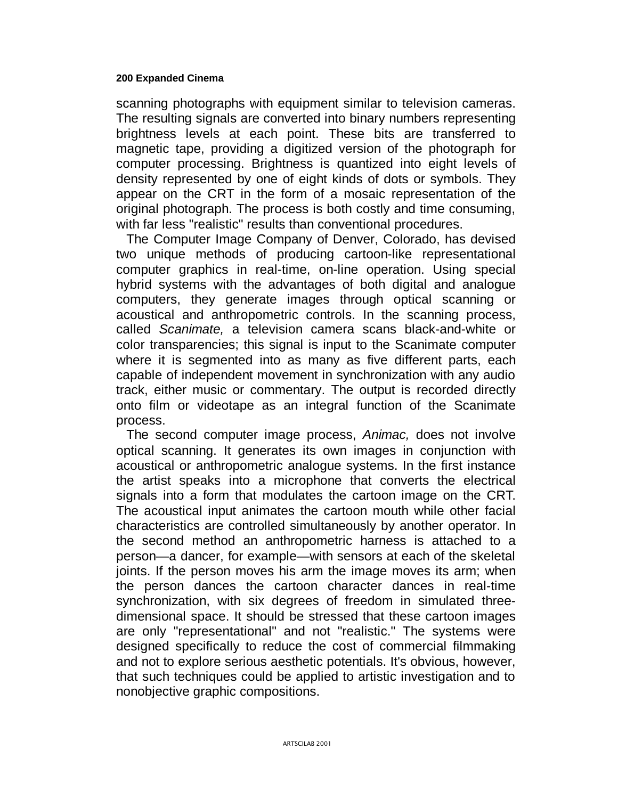scanning photographs with equipment similar to television cameras. The resulting signals are converted into binary numbers representing brightness levels at each point. These bits are transferred to magnetic tape, providing a digitized version of the photograph for computer processing. Brightness is quantized into eight levels of density represented by one of eight kinds of dots or symbols. They appear on the CRT in the form of a mosaic representation of the original photograph. The process is both costly and time consuming, with far less "realistic" results than conventional procedures.

The Computer Image Company of Denver, Colorado, has devised two unique methods of producing cartoon-like representational computer graphics in real-time, on-line operation. Using special hybrid systems with the advantages of both digital and analogue computers, they generate images through optical scanning or acoustical and anthropometric controls. In the scanning process, called *Scanimate,* a television camera scans black-and-white or color transparencies; this signal is input to the Scanimate computer where it is segmented into as many as five different parts, each capable of independent movement in synchronization with any audio track, either music or commentary. The output is recorded directly onto film or videotape as an integral function of the Scanimate process.

The second computer image process, *Animac,* does not involve optical scanning. It generates its own images in conjunction with acoustical or anthropometric analogue systems. In the first instance the artist speaks into a microphone that converts the electrical signals into a form that modulates the cartoon image on the CRT. The acoustical input animates the cartoon mouth while other facial characteristics are controlled simultaneously by another operator. In the second method an anthropometric harness is attached to a person— a dancer, for example— with sensors at each of the skeletal joints. If the person moves his arm the image moves its arm; when the person dances the cartoon character dances in real-time synchronization, with six degrees of freedom in simulated threedimensional space. It should be stressed that these cartoon images are only "representational" and not "realistic." The systems were designed specifically to reduce the cost of commercial filmmaking and not to explore serious aesthetic potentials. It's obvious, however, that such techniques could be applied to artistic investigation and to nonobjective graphic compositions.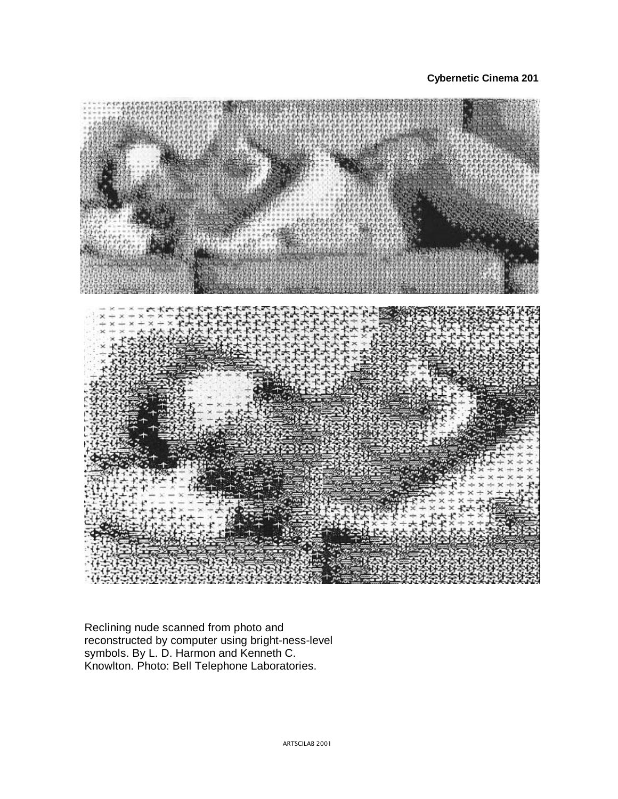### **Cybernetic Cinema 201**



Reclining nude scanned from photo and reconstructed by computer using bright-ness-level symbols. By L. D. Harmon and Kenneth C. Knowlton. Photo: Bell Telephone Laboratories.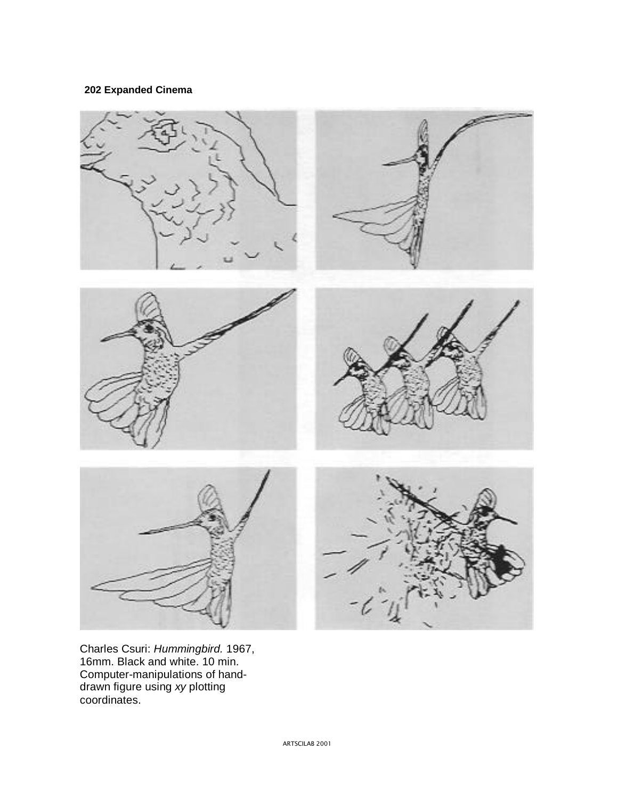

Charles Csuri: *Hummingbird.* 1967, 16mm. Black and white. 10 min. Computer-manipulations of handdrawn figure using *xy* plotting coordinates.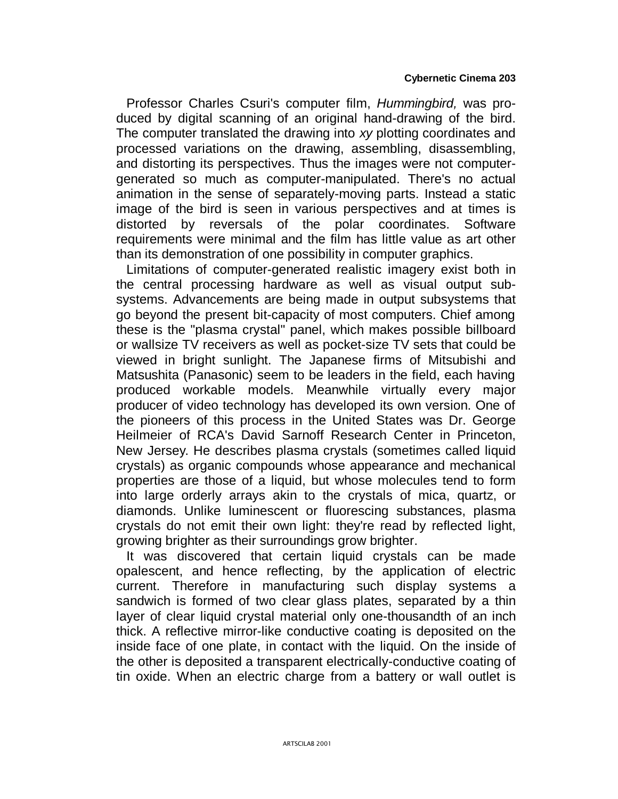Professor Charles Csuri's computer film, *Hummingbird,* was produced by digital scanning of an original hand-drawing of the bird. The computer translated the drawing into *xy* plotting coordinates and processed variations on the drawing, assembling, disassembling, and distorting its perspectives. Thus the images were not computergenerated so much as computer-manipulated. There's no actual animation in the sense of separately-moving parts. Instead a static image of the bird is seen in various perspectives and at times is distorted by reversals of the polar coordinates. Software requirements were minimal and the film has little value as art other than its demonstration of one possibility in computer graphics.

Limitations of computer-generated realistic imagery exist both in the central processing hardware as well as visual output subsystems. Advancements are being made in output subsystems that go beyond the present bit-capacity of most computers. Chief among these is the "plasma crystal" panel, which makes possible billboard or wallsize TV receivers as well as pocket-size TV sets that could be viewed in bright sunlight. The Japanese firms of Mitsubishi and Matsushita (Panasonic) seem to be leaders in the field, each having produced workable models. Meanwhile virtually every major producer of video technology has developed its own version. One of the pioneers of this process in the United States was Dr. George Heilmeier of RCA's David Sarnoff Research Center in Princeton, New Jersey. He describes plasma crystals (sometimes called liquid crystals) as organic compounds whose appearance and mechanical properties are those of a liquid, but whose molecules tend to form into large orderly arrays akin to the crystals of mica, quartz, or diamonds. Unlike luminescent or fluorescing substances, plasma crystals do not emit their own light: they're read by reflected light, growing brighter as their surroundings grow brighter.

It was discovered that certain liquid crystals can be made opalescent, and hence reflecting, by the application of electric current. Therefore in manufacturing such display systems a sandwich is formed of two clear glass plates, separated by a thin layer of clear liquid crystal material only one-thousandth of an inch thick. A reflective mirror-like conductive coating is deposited on the inside face of one plate, in contact with the liquid. On the inside of the other is deposited a transparent electrically-conductive coating of tin oxide. When an electric charge from a battery or wall outlet is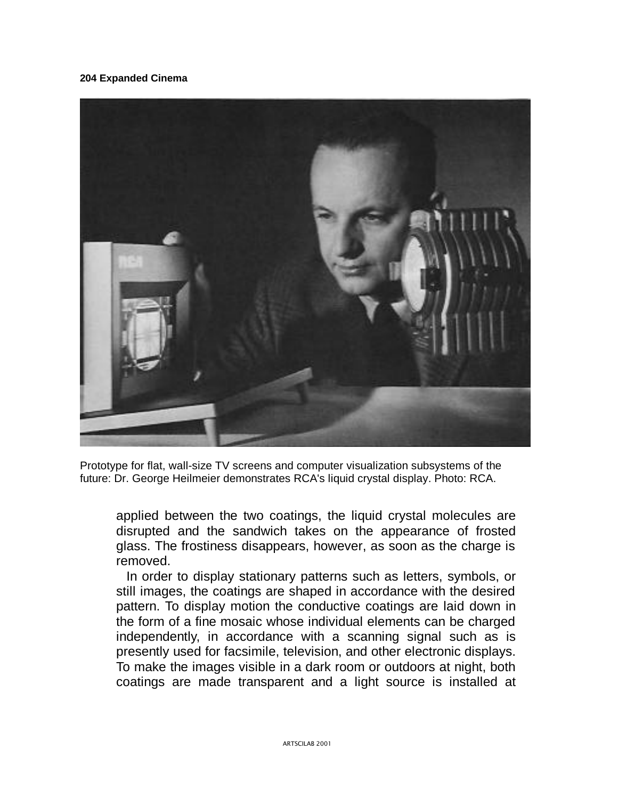

Prototype for flat, wall-size TV screens and computer visualization subsystems of the future: Dr. George Heilmeier demonstrates RCA's liquid crystal display. Photo: RCA.

applied between the two coatings, the liquid crystal molecules are disrupted and the sandwich takes on the appearance of frosted glass. The frostiness disappears, however, as soon as the charge is removed.

In order to display stationary patterns such as letters, symbols, or still images, the coatings are shaped in accordance with the desired pattern. To display motion the conductive coatings are laid down in the form of a fine mosaic whose individual elements can be charged independently, in accordance with a scanning signal such as is presently used for facsimile, television, and other electronic displays. To make the images visible in a dark room or outdoors at night, both coatings are made transparent and a light source is installed at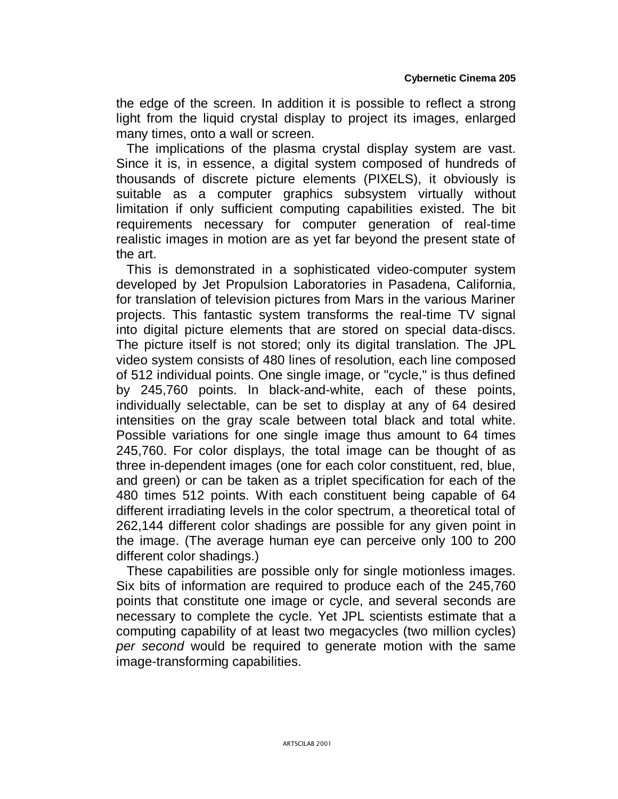the edge of the screen. In addition it is possible to reflect a strong light from the liquid crystal display to project its images, enlarged many times, onto a wall or screen.

The implications of the plasma crystal display system are vast. Since it is, in essence, a digital system composed of hundreds of thousands of discrete picture elements (PIXELS), it obviously is suitable as a computer graphics subsystem virtually without limitation if only sufficient computing capabilities existed. The bit requirements necessary for computer generation of real-time realistic images in motion are as yet far beyond the present state of the art.

This is demonstrated in a sophisticated video-computer system developed by Jet Propulsion Laboratories in Pasadena, California, for translation of television pictures from Mars in the various Mariner projects. This fantastic system transforms the real-time TV signal into digital picture elements that are stored on special data-discs. The picture itself is not stored; only its digital translation. The JPL video system consists of 480 lines of resolution, each line composed of 512 individual points. One single image, or "cycle," is thus defined by 245,760 points. In black-and-white, each of these points, individually selectable, can be set to display at any of 64 desired intensities on the gray scale between total black and total white. Possible variations for one single image thus amount to 64 times 245,760. For color displays, the total image can be thought of as three in-dependent images (one for each color constituent, red, blue, and green) or can be taken as a triplet specification for each of the 480 times 512 points. With each constituent being capable of 64 different irradiating levels in the color spectrum, a theoretical total of 262,144 different color shadings are possible for any given point in the image. (The average human eye can perceive only 100 to 200 different color shadings.)

These capabilities are possible only for single motionless images. Six bits of information are required to produce each of the 245,760 points that constitute one image or cycle, and several seconds are necessary to complete the cycle. Yet JPL scientists estimate that a computing capability of at least two megacycles (two million cycles) *per second* would be required to generate motion with the same image-transforming capabilities.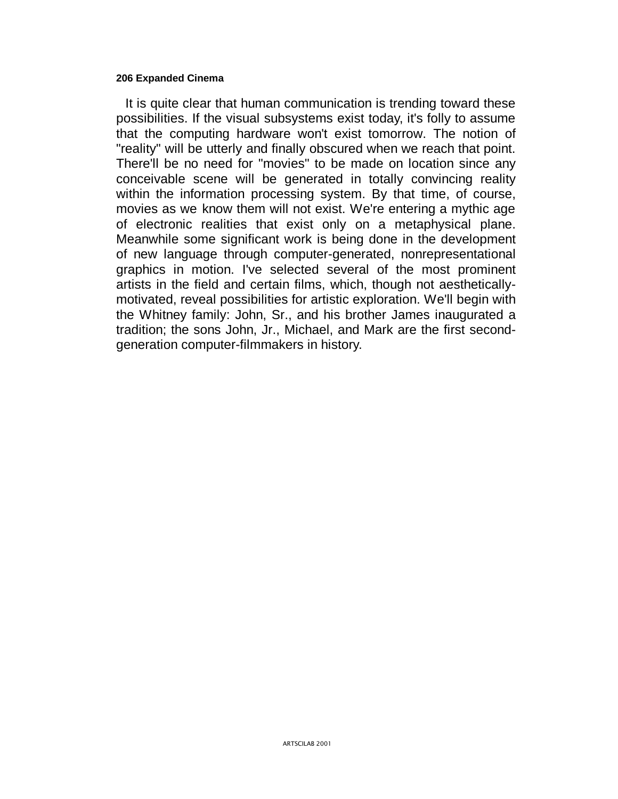It is quite clear that human communication is trending toward these possibilities. If the visual subsystems exist today, it's folly to assume that the computing hardware won't exist tomorrow. The notion of "reality" will be utterly and finally obscured when we reach that point. There'll be no need for "movies" to be made on location since any conceivable scene will be generated in totally convincing reality within the information processing system. By that time, of course, movies as we know them will not exist. We're entering a mythic age of electronic realities that exist only on a metaphysical plane. Meanwhile some significant work is being done in the development of new language through computer-generated, nonrepresentational graphics in motion. I've selected several of the most prominent artists in the field and certain films, which, though not aestheticallymotivated, reveal possibilities for artistic exploration. We'll begin with the Whitney family: John, Sr., and his brother James inaugurated a tradition; the sons John, Jr., Michael, and Mark are the first secondgeneration computer-filmmakers in history.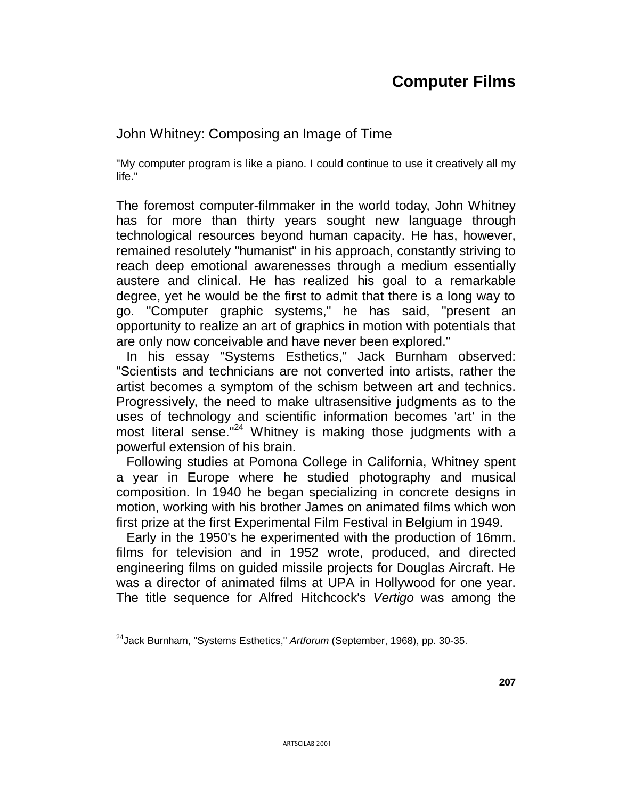## **Computer Films**

### John Whitney: Composing an Image of Time

"My computer program is like a piano. I could continue to use it creatively all my life."

The foremost computer-filmmaker in the world today, John Whitney has for more than thirty years sought new language through technological resources beyond human capacity. He has, however, remained resolutely "humanist" in his approach, constantly striving to reach deep emotional awarenesses through a medium essentially austere and clinical. He has realized his goal to a remarkable degree, yet he would be the first to admit that there is a long way to go. "Computer graphic systems," he has said, "present an opportunity to realize an art of graphics in motion with potentials that are only now conceivable and have never been explored."

In his essay "Systems Esthetics," Jack Burnham observed: "Scientists and technicians are not converted into artists, rather the artist becomes a symptom of the schism between art and technics. Progressively, the need to make ultrasensitive judgments as to the uses of technology and scientific information becomes 'art' in the most literal sense.<sup>"24</sup> Whitney is making those judgments with a powerful extension of his brain.

Following studies at Pomona College in California, Whitney spent a year in Europe where he studied photography and musical composition. In 1940 he began specializing in concrete designs in motion, working with his brother James on animated films which won first prize at the first Experimental Film Festival in Belgium in 1949.

Early in the 1950's he experimented with the production of 16mm. films for television and in 1952 wrote, produced, and directed engineering films on guided missile projects for Douglas Aircraft. He was a director of animated films at UPA in Hollywood for one year. The title sequence for Alfred Hitchcock's *Vertigo* was among the

<sup>24</sup>Jack Burnham, "Systems Esthetics," *Artforum* (September, 1968), pp. 30-35.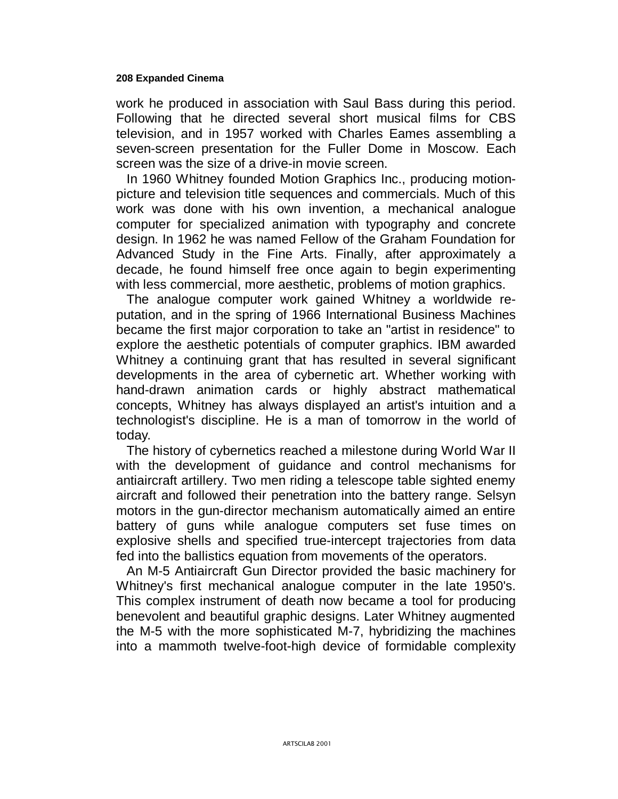work he produced in association with Saul Bass during this period. Following that he directed several short musical films for CBS television, and in 1957 worked with Charles Eames assembling a seven-screen presentation for the Fuller Dome in Moscow. Each screen was the size of a drive-in movie screen.

In 1960 Whitney founded Motion Graphics Inc., producing motionpicture and television title sequences and commercials. Much of this work was done with his own invention, a mechanical analogue computer for specialized animation with typography and concrete design. In 1962 he was named Fellow of the Graham Foundation for Advanced Study in the Fine Arts. Finally, after approximately a decade, he found himself free once again to begin experimenting with less commercial, more aesthetic, problems of motion graphics.

The analogue computer work gained Whitney a worldwide reputation, and in the spring of 1966 International Business Machines became the first major corporation to take an "artist in residence" to explore the aesthetic potentials of computer graphics. IBM awarded Whitney a continuing grant that has resulted in several significant developments in the area of cybernetic art. Whether working with hand-drawn animation cards or highly abstract mathematical concepts, Whitney has always displayed an artist's intuition and a technologist's discipline. He is a man of tomorrow in the world of today.

The history of cybernetics reached a milestone during World War II with the development of guidance and control mechanisms for antiaircraft artillery. Two men riding a telescope table sighted enemy aircraft and followed their penetration into the battery range. Selsyn motors in the gun-director mechanism automatically aimed an entire battery of guns while analogue computers set fuse times on explosive shells and specified true-intercept trajectories from data fed into the ballistics equation from movements of the operators.

An M-5 Antiaircraft Gun Director provided the basic machinery for Whitney's first mechanical analogue computer in the late 1950's. This complex instrument of death now became a tool for producing benevolent and beautiful graphic designs. Later Whitney augmented the M-5 with the more sophisticated M-7, hybridizing the machines into a mammoth twelve-foot-high device of formidable complexity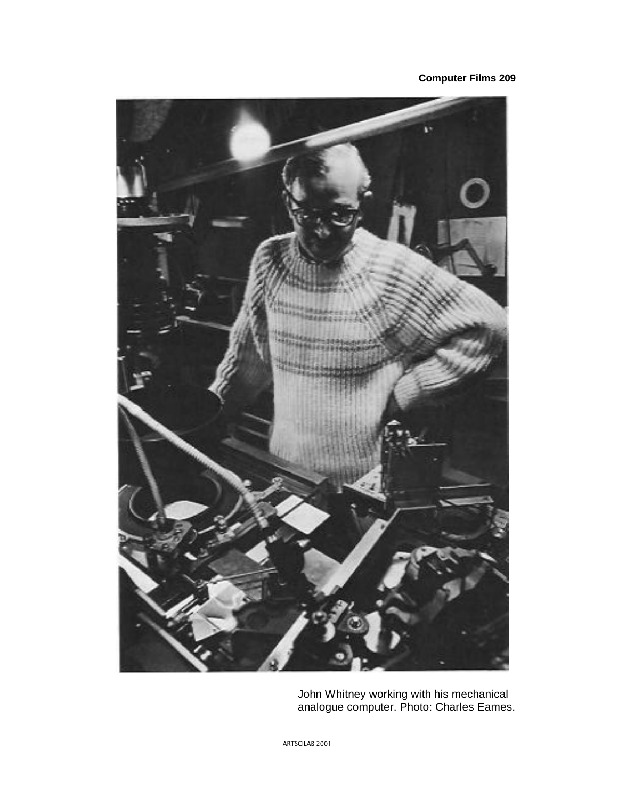### **Computer Films 209**



John Whitney working with his mechanical analogue computer. Photo: Charles Eames.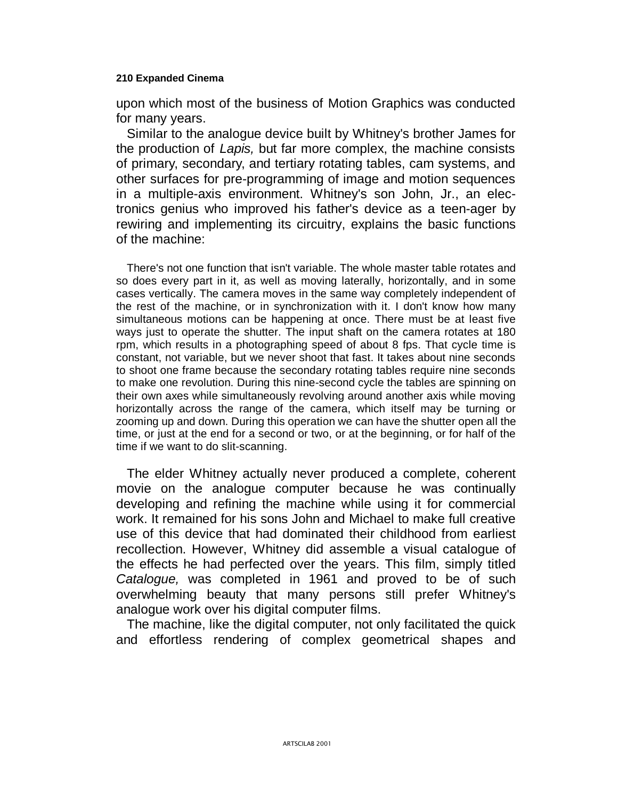upon which most of the business of Motion Graphics was conducted for many years.

Similar to the analogue device built by Whitney's brother James for the production of *Lapis,* but far more complex, the machine consists of primary, secondary, and tertiary rotating tables, cam systems, and other surfaces for pre-programming of image and motion sequences in a multiple-axis environment. Whitney's son John, Jr., an electronics genius who improved his father's device as a teen-ager by rewiring and implementing its circuitry, explains the basic functions of the machine:

There's not one function that isn't variable. The whole master table rotates and so does every part in it, as well as moving laterally, horizontally, and in some cases vertically. The camera moves in the same way completely independent of the rest of the machine, or in synchronization with it. I don't know how many simultaneous motions can be happening at once. There must be at least five ways just to operate the shutter. The input shaft on the camera rotates at 180 rpm, which results in a photographing speed of about 8 fps. That cycle time is constant, not variable, but we never shoot that fast. It takes about nine seconds to shoot one frame because the secondary rotating tables require nine seconds to make one revolution. During this nine-second cycle the tables are spinning on their own axes while simultaneously revolving around another axis while moving horizontally across the range of the camera, which itself may be turning or zooming up and down. During this operation we can have the shutter open all the time, or just at the end for a second or two, or at the beginning, or for half of the time if we want to do slit-scanning.

The elder Whitney actually never produced a complete, coherent movie on the analogue computer because he was continually developing and refining the machine while using it for commercial work. It remained for his sons John and Michael to make full creative use of this device that had dominated their childhood from earliest recollection. However, Whitney did assemble a visual catalogue of the effects he had perfected over the years. This film, simply titled *Catalogue,* was completed in 1961 and proved to be of such overwhelming beauty that many persons still prefer Whitney's analogue work over his digital computer films.

The machine, like the digital computer, not only facilitated the quick and effortless rendering of complex geometrical shapes and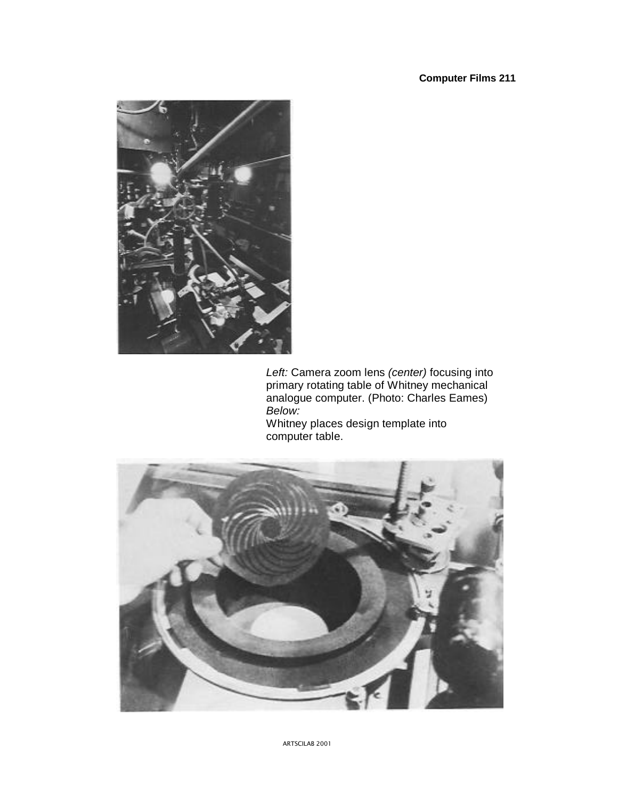#### **Computer Films 211**



*Left:* Camera zoom lens *(center)* focusing into primary rotating table of Whitney mechanical analogue computer. (Photo: Charles Eames) *Below:* Whitney places design template into

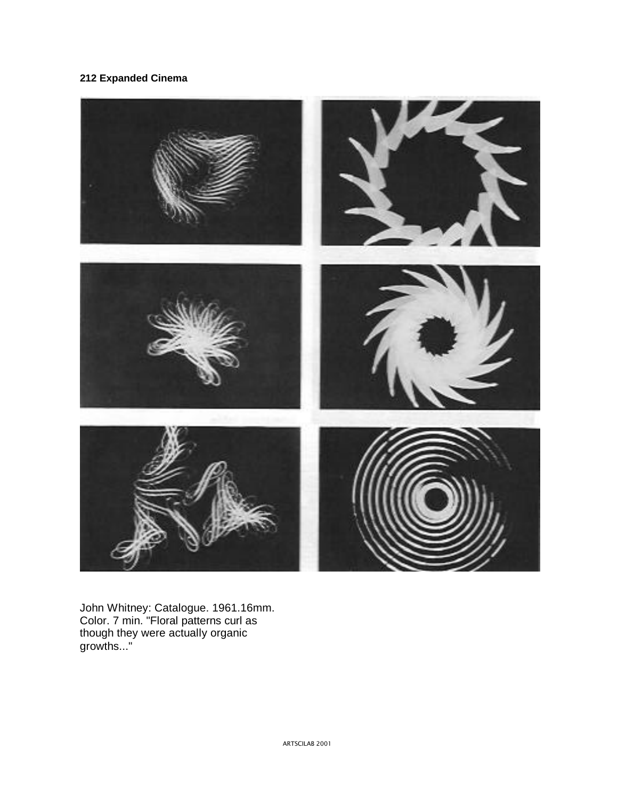

John Whitney: Catalogue. 1961.16mm. Color. 7 min. "Floral patterns curl as though they were actually organic growths..."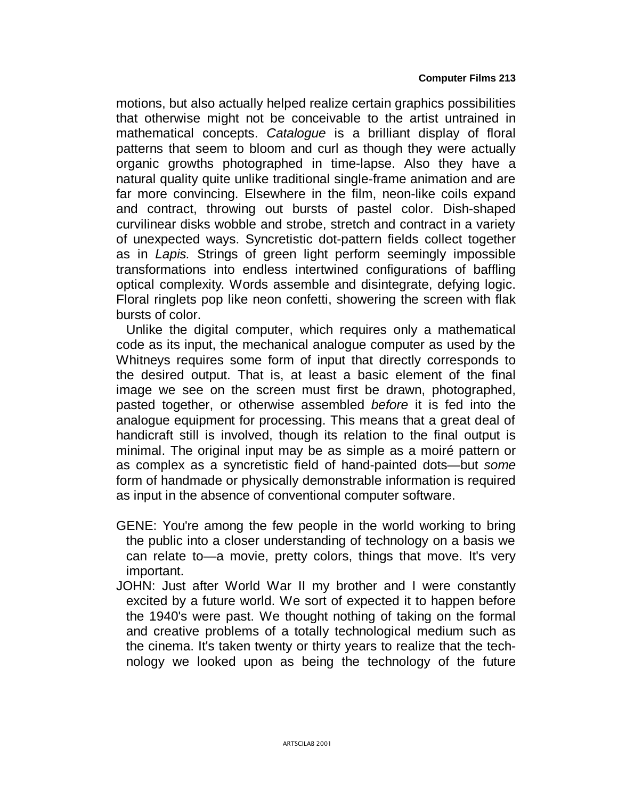motions, but also actually helped realize certain graphics possibilities that otherwise might not be conceivable to the artist untrained in mathematical concepts. *Catalogue* is a brilliant display of floral patterns that seem to bloom and curl as though they were actually organic growths photographed in time-lapse. Also they have a natural quality quite unlike traditional single-frame animation and are far more convincing. Elsewhere in the film, neon-like coils expand and contract, throwing out bursts of pastel color. Dish-shaped curvilinear disks wobble and strobe, stretch and contract in a variety of unexpected ways. Syncretistic dot-pattern fields collect together as in *Lapis.* Strings of green light perform seemingly impossible transformations into endless intertwined configurations of baffling optical complexity. Words assemble and disintegrate, defying logic. Floral ringlets pop like neon confetti, showering the screen with flak bursts of color.

Unlike the digital computer, which requires only a mathematical code as its input, the mechanical analogue computer as used by the Whitneys requires some form of input that directly corresponds to the desired output. That is, at least a basic element of the final image we see on the screen must first be drawn, photographed, pasted together, or otherwise assembled *before* it is fed into the analogue equipment for processing. This means that a great deal of handicraft still is involved, though its relation to the final output is minimal. The original input may be as simple as a moiré pattern or as complex as a syncretistic field of hand-painted dots— but *some*  form of handmade or physically demonstrable information is required as input in the absence of conventional computer software.

- GENE: You're among the few people in the world working to bring the public into a closer understanding of technology on a basis we can relate to—a movie, pretty colors, things that move. It's very important.
- JOHN: Just after World War II my brother and I were constantly excited by a future world. We sort of expected it to happen before the 1940's were past. We thought nothing of taking on the formal and creative problems of a totally technological medium such as the cinema. It's taken twenty or thirty years to realize that the technology we looked upon as being the technology of the future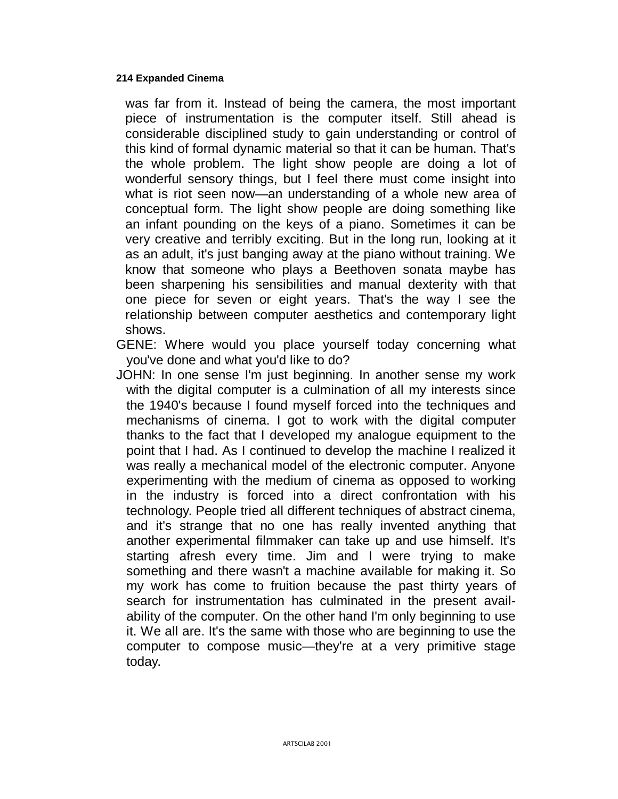was far from it. Instead of being the camera, the most important piece of instrumentation is the computer itself. Still ahead is considerable disciplined study to gain understanding or control of this kind of formal dynamic material so that it can be human. That's the whole problem. The light show people are doing a lot of wonderful sensory things, but I feel there must come insight into what is riot seen now—an understanding of a whole new area of conceptual form. The light show people are doing something like an infant pounding on the keys of a piano. Sometimes it can be very creative and terribly exciting. But in the long run, looking at it as an adult, it's just banging away at the piano without training. We know that someone who plays a Beethoven sonata maybe has been sharpening his sensibilities and manual dexterity with that one piece for seven or eight years. That's the way I see the relationship between computer aesthetics and contemporary light shows.

- GENE: Where would you place yourself today concerning what you've done and what you'd like to do?
- JOHN: In one sense I'm just beginning. In another sense my work with the digital computer is a culmination of all my interests since the 1940's because I found myself forced into the techniques and mechanisms of cinema. I got to work with the digital computer thanks to the fact that I developed my analogue equipment to the point that I had. As I continued to develop the machine I realized it was really a mechanical model of the electronic computer. Anyone experimenting with the medium of cinema as opposed to working in the industry is forced into a direct confrontation with his technology. People tried all different techniques of abstract cinema, and it's strange that no one has really invented anything that another experimental filmmaker can take up and use himself. It's starting afresh every time. Jim and I were trying to make something and there wasn't a machine available for making it. So my work has come to fruition because the past thirty years of search for instrumentation has culminated in the present availability of the computer. On the other hand I'm only beginning to use it. We all are. It's the same with those who are beginning to use the computer to compose music— they're at a very primitive stage today.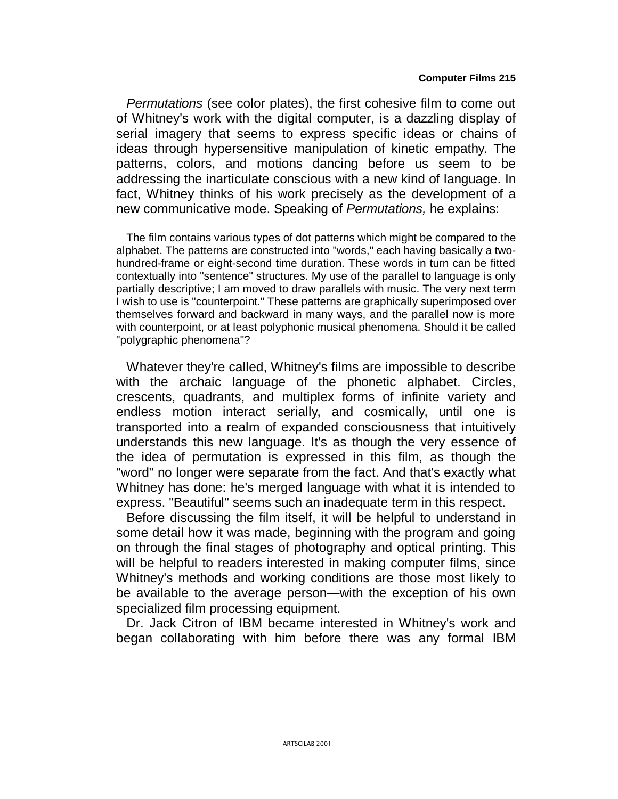*Permutations* (see color plates), the first cohesive film to come out of Whitney's work with the digital computer, is a dazzling display of serial imagery that seems to express specific ideas or chains of ideas through hypersensitive manipulation of kinetic empathy. The patterns, colors, and motions dancing before us seem to be addressing the inarticulate conscious with a new kind of language. In fact, Whitney thinks of his work precisely as the development of a new communicative mode. Speaking of *Permutations,* he explains:

The film contains various types of dot patterns which might be compared to the alphabet. The patterns are constructed into "words," each having basically a twohundred-frame or eight-second time duration. These words in turn can be fitted contextually into "sentence" structures. My use of the parallel to language is only partially descriptive; I am moved to draw parallels with music. The very next term I wish to use is "counterpoint." These patterns are graphically superimposed over themselves forward and backward in many ways, and the parallel now is more with counterpoint, or at least polyphonic musical phenomena. Should it be called "polygraphic phenomena"?

Whatever they're called, Whitney's films are impossible to describe with the archaic language of the phonetic alphabet. Circles, crescents, quadrants, and multiplex forms of infinite variety and endless motion interact serially, and cosmically, until one is transported into a realm of expanded consciousness that intuitively understands this new language. It's as though the very essence of the idea of permutation is expressed in this film, as though the "word" no longer were separate from the fact. And that's exactly what Whitney has done: he's merged language with what it is intended to express. "Beautiful" seems such an inadequate term in this respect.

Before discussing the film itself, it will be helpful to understand in some detail how it was made, beginning with the program and going on through the final stages of photography and optical printing. This will be helpful to readers interested in making computer films, since Whitney's methods and working conditions are those most likely to be available to the average person— with the exception of his own specialized film processing equipment.

Dr. Jack Citron of IBM became interested in Whitney's work and began collaborating with him before there was any formal IBM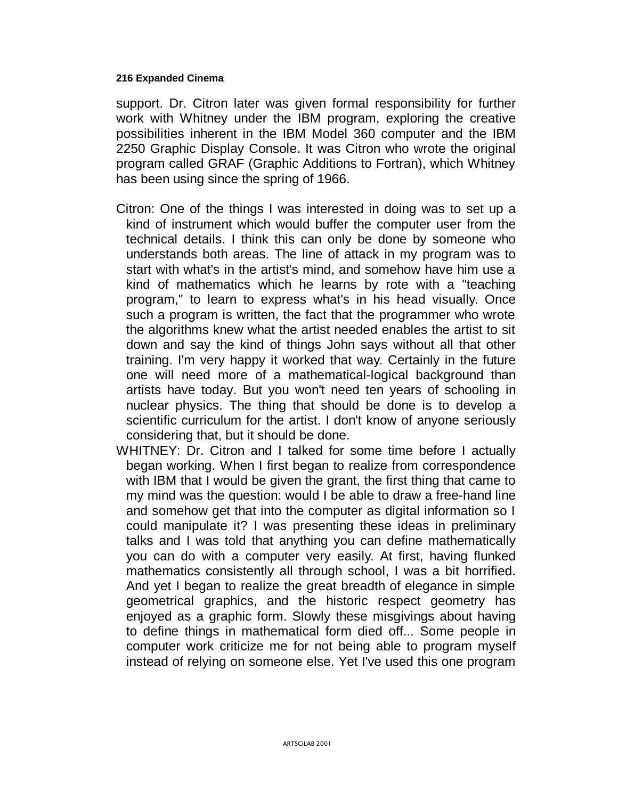support. Dr. Citron later was given formal responsibility for further work with Whitney under the IBM program, exploring the creative possibilities inherent in the IBM Model 360 computer and the IBM 2250 Graphic Display Console. It was Citron who wrote the original program called GRAF (Graphic Additions to Fortran), which Whitney has been using since the spring of 1966.

- Citron: One of the things I was interested in doing was to set up a kind of instrument which would buffer the computer user from the technical details. I think this can only be done by someone who understands both areas. The line of attack in my program was to start with what's in the artist's mind, and somehow have him use a kind of mathematics which he learns by rote with a "teaching program," to learn to express what's in his head visually. Once such a program is written, the fact that the programmer who wrote the algorithms knew what the artist needed enables the artist to sit down and say the kind of things John says without all that other training. I'm very happy it worked that way. Certainly in the future one will need more of a mathematical-logical background than artists have today. But you won't need ten years of schooling in nuclear physics. The thing that should be done is to develop a scientific curriculum for the artist. I don't know of anyone seriously considering that, but it should be done.
- WHITNEY: Dr. Citron and I talked for some time before I actually began working. When I first began to realize from correspondence with IBM that I would be given the grant, the first thing that came to my mind was the question: would I be able to draw a free-hand line and somehow get that into the computer as digital information so I could manipulate it? I was presenting these ideas in preliminary talks and I was told that anything you can define mathematically you can do with a computer very easily. At first, having flunked mathematics consistently all through school, I was a bit horrified. And yet I began to realize the great breadth of elegance in simple geometrical graphics, and the historic respect geometry has enjoyed as a graphic form. Slowly these misgivings about having to define things in mathematical form died off... Some people in computer work criticize me for not being able to program myself instead of relying on someone else. Yet I've used this one program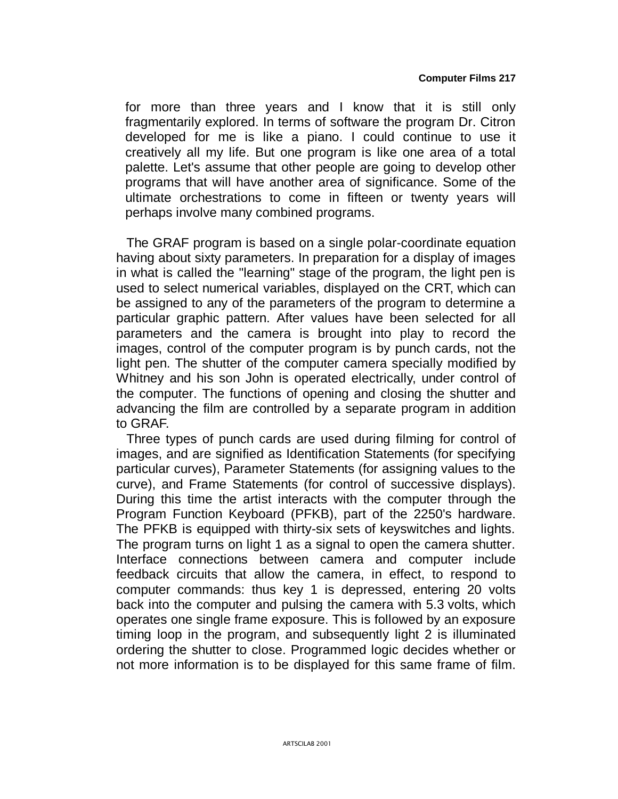for more than three years and I know that it is still only fragmentarily explored. In terms of software the program Dr. Citron developed for me is like a piano. I could continue to use it creatively all my life. But one program is like one area of a total palette. Let's assume that other people are going to develop other programs that will have another area of significance. Some of the ultimate orchestrations to come in fifteen or twenty years will perhaps involve many combined programs.

The GRAF program is based on a single polar-coordinate equation having about sixty parameters. In preparation for a display of images in what is called the "learning" stage of the program, the light pen is used to select numerical variables, displayed on the CRT, which can be assigned to any of the parameters of the program to determine a particular graphic pattern. After values have been selected for all parameters and the camera is brought into play to record the images, control of the computer program is by punch cards, not the light pen. The shutter of the computer camera specially modified by Whitney and his son John is operated electrically, under control of the computer. The functions of opening and closing the shutter and advancing the film are controlled by a separate program in addition to GRAF.

Three types of punch cards are used during filming for control of images, and are signified as Identification Statements (for specifying particular curves), Parameter Statements (for assigning values to the curve), and Frame Statements (for control of successive displays). During this time the artist interacts with the computer through the Program Function Keyboard (PFKB), part of the 2250's hardware. The PFKB is equipped with thirty-six sets of keyswitches and lights. The program turns on light 1 as a signal to open the camera shutter. Interface connections between camera and computer include feedback circuits that allow the camera, in effect, to respond to computer commands: thus key 1 is depressed, entering 20 volts back into the computer and pulsing the camera with 5.3 volts, which operates one single frame exposure. This is followed by an exposure timing loop in the program, and subsequently light 2 is illuminated ordering the shutter to close. Programmed logic decides whether or not more information is to be displayed for this same frame of film.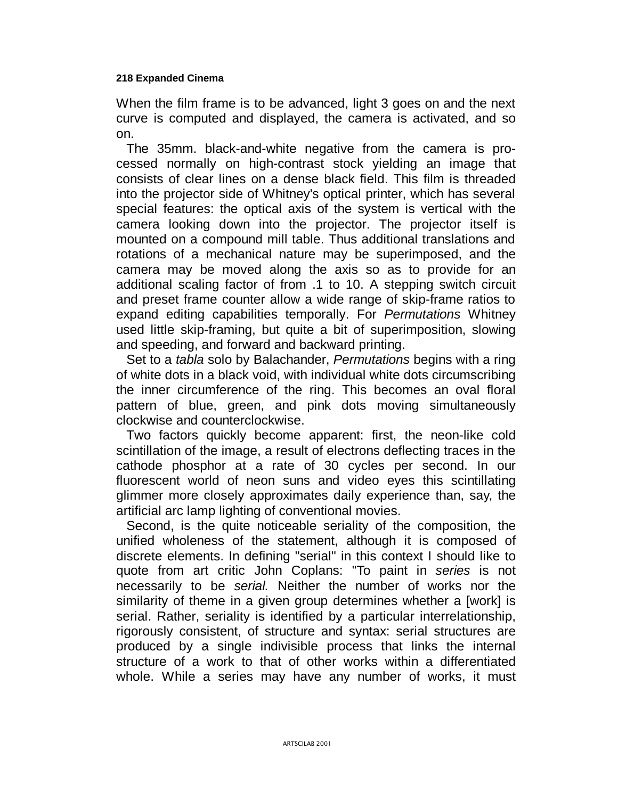When the film frame is to be advanced, light 3 goes on and the next curve is computed and displayed, the camera is activated, and so on.

The 35mm. black-and-white negative from the camera is processed normally on high-contrast stock yielding an image that consists of clear lines on a dense black field. This film is threaded into the projector side of Whitney's optical printer, which has several special features: the optical axis of the system is vertical with the camera looking down into the projector. The projector itself is mounted on a compound mill table. Thus additional translations and rotations of a mechanical nature may be superimposed, and the camera may be moved along the axis so as to provide for an additional scaling factor of from .1 to 10. A stepping switch circuit and preset frame counter allow a wide range of skip-frame ratios to expand editing capabilities temporally. For *Permutations* Whitney used little skip-framing, but quite a bit of superimposition, slowing and speeding, and forward and backward printing.

Set to a *tabla* solo by Balachander, *Permutations* begins with a ring of white dots in a black void, with individual white dots circumscribing the inner circumference of the ring. This becomes an oval floral pattern of blue, green, and pink dots moving simultaneously clockwise and counterclockwise.

Two factors quickly become apparent: first, the neon-like cold scintillation of the image, a result of electrons deflecting traces in the cathode phosphor at a rate of 30 cycles per second. In our fluorescent world of neon suns and video eyes this scintillating glimmer more closely approximates daily experience than, say, the artificial arc lamp lighting of conventional movies.

Second, is the quite noticeable seriality of the composition, the unified wholeness of the statement, although it is composed of discrete elements. In defining "serial" in this context I should like to quote from art critic John Coplans: "To paint in *series* is not necessarily to be *serial.* Neither the number of works nor the similarity of theme in a given group determines whether a [work] is serial. Rather, seriality is identified by a particular interrelationship, rigorously consistent, of structure and syntax: serial structures are produced by a single indivisible process that links the internal structure of a work to that of other works within a differentiated whole. While a series may have any number of works, it must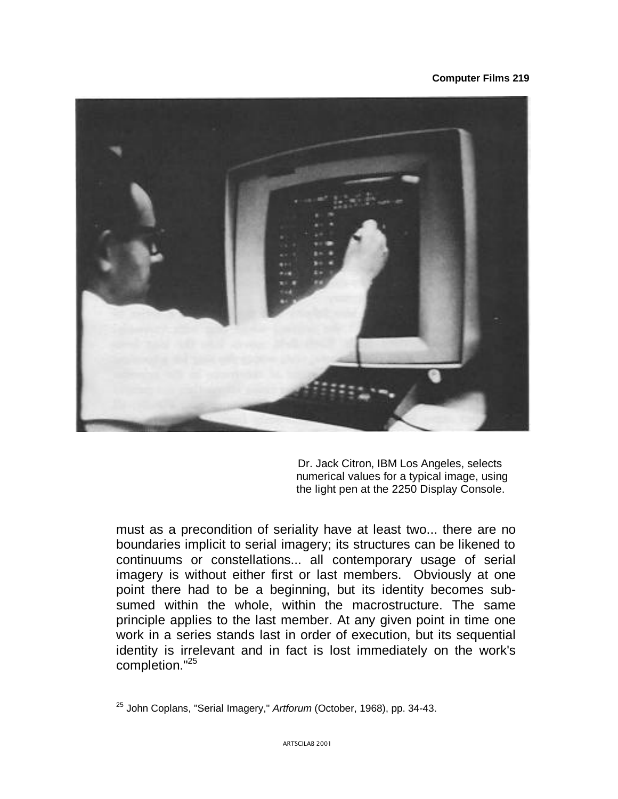#### **Computer Films 219**



Dr. Jack Citron, IBM Los Angeles, selects numerical values for a typical image, using the light pen at the 2250 Display Console.

must as a precondition of seriality have at least two... there are no boundaries implicit to serial imagery; its structures can be likened to continuums or constellations... all contemporary usage of serial imagery is without either first or last members. Obviously at one point there had to be a beginning, but its identity becomes subsumed within the whole, within the macrostructure. The same principle applies to the last member. At any given point in time one work in a series stands last in order of execution, but its sequential identity is irrelevant and in fact is lost immediately on the work's completion."<sup>25</sup>

<sup>25</sup> John Coplans, "Serial Imagery," *Artforum* (October, 1968), pp. 34-43.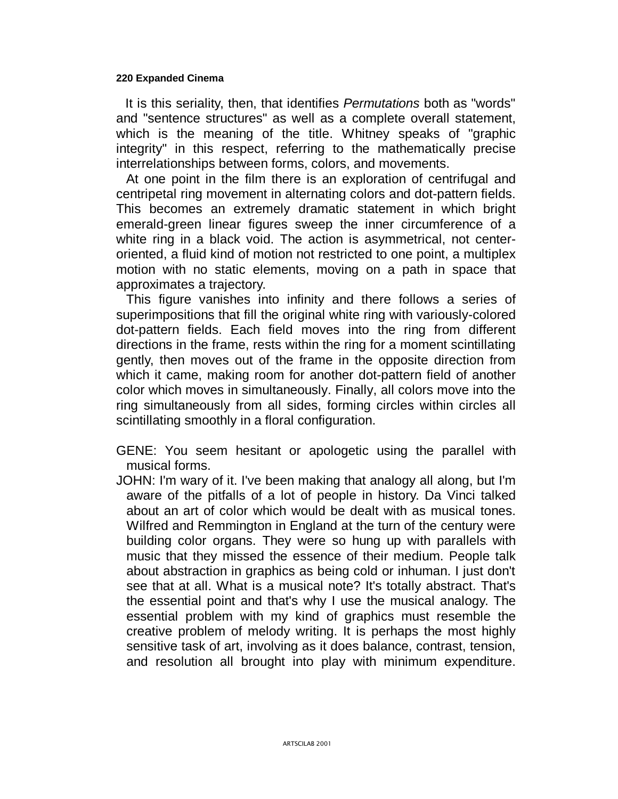It is this seriality, then, that identifies *Permutations* both as "words" and "sentence structures" as well as a complete overall statement, which is the meaning of the title. Whitney speaks of "graphic integrity" in this respect, referring to the mathematically precise interrelationships between forms, colors, and movements.

At one point in the film there is an exploration of centrifugal and centripetal ring movement in alternating colors and dot-pattern fields. This becomes an extremely dramatic statement in which bright emerald-green linear figures sweep the inner circumference of a white ring in a black void. The action is asymmetrical, not centeroriented, a fluid kind of motion not restricted to one point, a multiplex motion with no static elements, moving on a path in space that approximates a trajectory.

This figure vanishes into infinity and there follows a series of superimpositions that fill the original white ring with variously-colored dot-pattern fields. Each field moves into the ring from different directions in the frame, rests within the ring for a moment scintillating gently, then moves out of the frame in the opposite direction from which it came, making room for another dot-pattern field of another color which moves in simultaneously. Finally, all colors move into the ring simultaneously from all sides, forming circles within circles all scintillating smoothly in a floral configuration.

- GENE: You seem hesitant or apologetic using the parallel with musical forms.
- JOHN: I'm wary of it. I've been making that analogy all along, but I'm aware of the pitfalls of a lot of people in history. Da Vinci talked about an art of color which would be dealt with as musical tones. Wilfred and Remmington in England at the turn of the century were building color organs. They were so hung up with parallels with music that they missed the essence of their medium. People talk about abstraction in graphics as being cold or inhuman. I just don't see that at all. What is a musical note? It's totally abstract. That's the essential point and that's why I use the musical analogy. The essential problem with my kind of graphics must resemble the creative problem of melody writing. It is perhaps the most highly sensitive task of art, involving as it does balance, contrast, tension, and resolution all brought into play with minimum expenditure.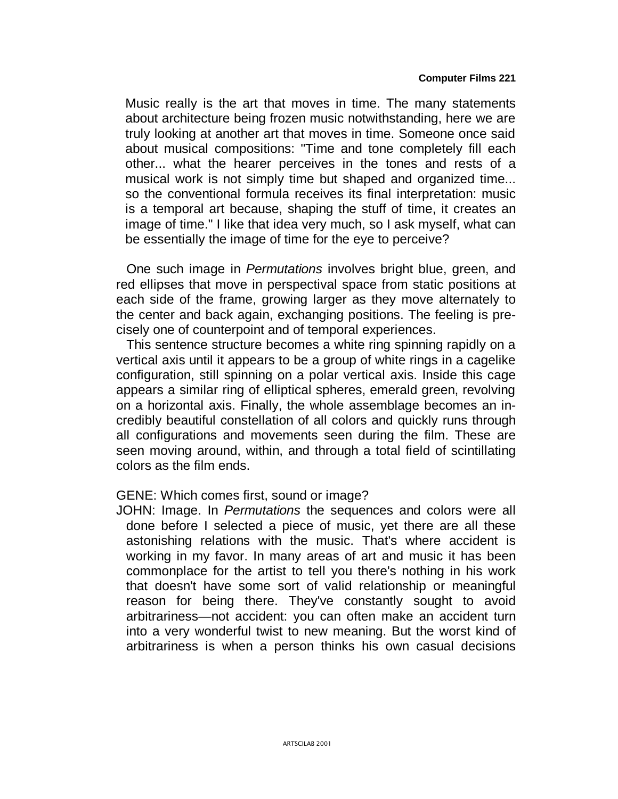Music really is the art that moves in time. The many statements about architecture being frozen music notwithstanding, here we are truly looking at another art that moves in time. Someone once said about musical compositions: "Time and tone completely fill each other... what the hearer perceives in the tones and rests of a musical work is not simply time but shaped and organized time... so the conventional formula receives its final interpretation: music is a temporal art because, shaping the stuff of time, it creates an image of time." I like that idea very much, so I ask myself, what can be essentially the image of time for the eye to perceive?

One such image in *Permutations* involves bright blue, green, and red ellipses that move in perspectival space from static positions at each side of the frame, growing larger as they move alternately to the center and back again, exchanging positions. The feeling is precisely one of counterpoint and of temporal experiences.

This sentence structure becomes a white ring spinning rapidly on a vertical axis until it appears to be a group of white rings in a cagelike configuration, still spinning on a polar vertical axis. Inside this cage appears a similar ring of elliptical spheres, emerald green, revolving on a horizontal axis. Finally, the whole assemblage becomes an incredibly beautiful constellation of all colors and quickly runs through all configurations and movements seen during the film. These are seen moving around, within, and through a total field of scintillating colors as the film ends.

# GENE: Which comes first, sound or image?

JOHN: Image. In *Permutations* the sequences and colors were all done before I selected a piece of music, yet there are all these astonishing relations with the music. That's where accident is working in my favor. In many areas of art and music it has been commonplace for the artist to tell you there's nothing in his work that doesn't have some sort of valid relationship or meaningful reason for being there. They've constantly sought to avoid arbitrariness— not accident: you can often make an accident turn into a very wonderful twist to new meaning. But the worst kind of arbitrariness is when a person thinks his own casual decisions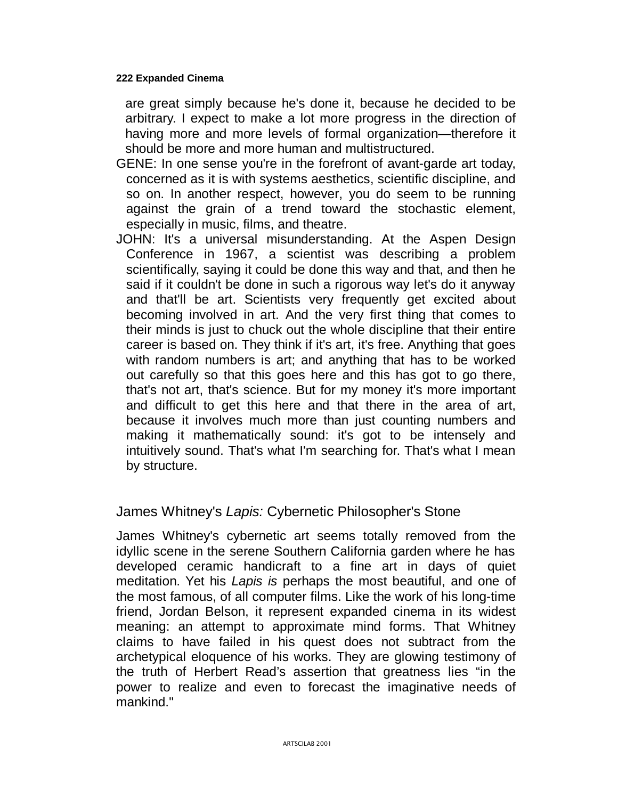are great simply because he's done it, because he decided to be arbitrary. I expect to make a lot more progress in the direction of having more and more levels of formal organization— therefore it should be more and more human and multistructured.

- GENE: In one sense you're in the forefront of avant-garde art today, concerned as it is with systems aesthetics, scientific discipline, and so on. In another respect, however, you do seem to be running against the grain of a trend toward the stochastic element, especially in music, films, and theatre.
- JOHN: It's a universal misunderstanding. At the Aspen Design Conference in 1967, a scientist was describing a problem scientifically, saying it could be done this way and that, and then he said if it couldn't be done in such a rigorous way let's do it anyway and that'll be art. Scientists very frequently get excited about becoming involved in art. And the very first thing that comes to their minds is just to chuck out the whole discipline that their entire career is based on. They think if it's art, it's free. Anything that goes with random numbers is art; and anything that has to be worked out carefully so that this goes here and this has got to go there, that's not art, that's science. But for my money it's more important and difficult to get this here and that there in the area of art, because it involves much more than just counting numbers and making it mathematically sound: it's got to be intensely and intuitively sound. That's what I'm searching for. That's what I mean by structure.

# James Whitney's *Lapis:* Cybernetic Philosopher's Stone

James Whitney's cybernetic art seems totally removed from the idyllic scene in the serene Southern California garden where he has developed ceramic handicraft to a fine art in days of quiet meditation. Yet his *Lapis is* perhaps the most beautiful, and one of the most famous, of all computer films. Like the work of his long-time friend, Jordan Belson, it represent expanded cinema in its widest meaning: an attempt to approximate mind forms. That Whitney claims to have failed in his quest does not subtract from the archetypical eloquence of his works. They are glowing testimony of the truth of Herbert Read's assertion that greatness lies "in the power to realize and even to forecast the imaginative needs of mankind."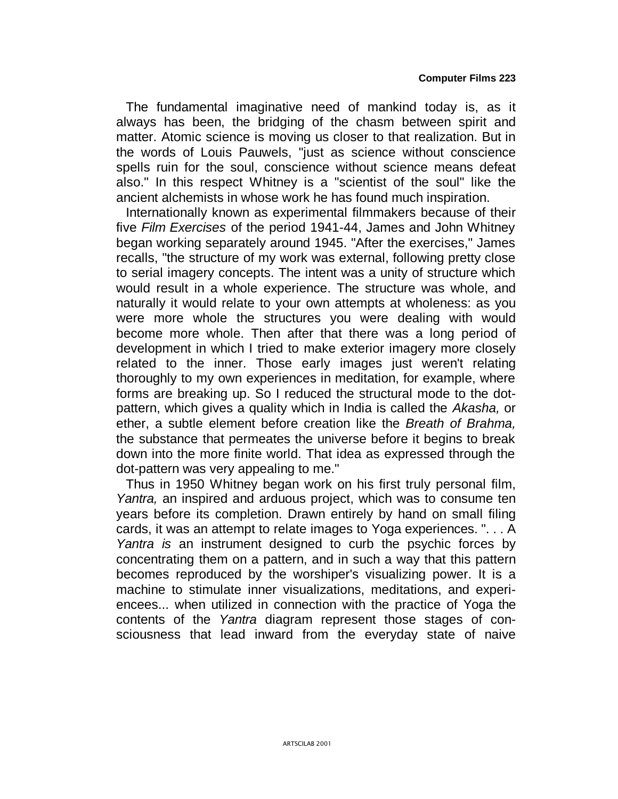The fundamental imaginative need of mankind today is, as it always has been, the bridging of the chasm between spirit and matter. Atomic science is moving us closer to that realization. But in the words of Louis Pauwels, "just as science without conscience spells ruin for the soul, conscience without science means defeat also." In this respect Whitney is a "scientist of the soul" like the ancient alchemists in whose work he has found much inspiration.

Internationally known as experimental filmmakers because of their five *Film Exercises* of the period 1941-44, James and John Whitney began working separately around 1945. "After the exercises," James recalls, "the structure of my work was external, following pretty close to serial imagery concepts. The intent was a unity of structure which would result in a whole experience. The structure was whole, and naturally it would relate to your own attempts at wholeness: as you were more whole the structures you were dealing with would become more whole. Then after that there was a long period of development in which I tried to make exterior imagery more closely related to the inner. Those early images just weren't relating thoroughly to my own experiences in meditation, for example, where forms are breaking up. So I reduced the structural mode to the dotpattern, which gives a quality which in India is called the *Akasha,* or ether, a subtle element before creation like the *Breath of Brahma,* the substance that permeates the universe before it begins to break down into the more finite world. That idea as expressed through the dot-pattern was very appealing to me."

Thus in 1950 Whitney began work on his first truly personal film, *Yantra,* an inspired and arduous project, which was to consume ten years before its completion. Drawn entirely by hand on small filing cards, it was an attempt to relate images to Yoga experiences. ". . . A *Yantra is* an instrument designed to curb the psychic forces by concentrating them on a pattern, and in such a way that this pattern becomes reproduced by the worshiper's visualizing power. It is a machine to stimulate inner visualizations, meditations, and experiencees... when utilized in connection with the practice of Yoga the contents of the *Yantra* diagram represent those stages of consciousness that lead inward from the everyday state of naive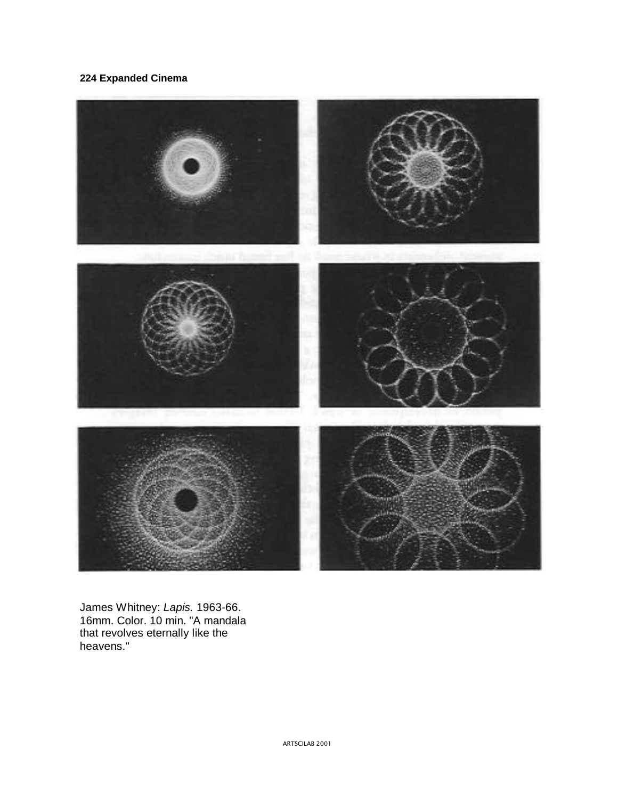

James Whitney: *Lapis.* 1963-66. 16mm. Color. 10 min. "A mandala that revolves eternally like the heavens."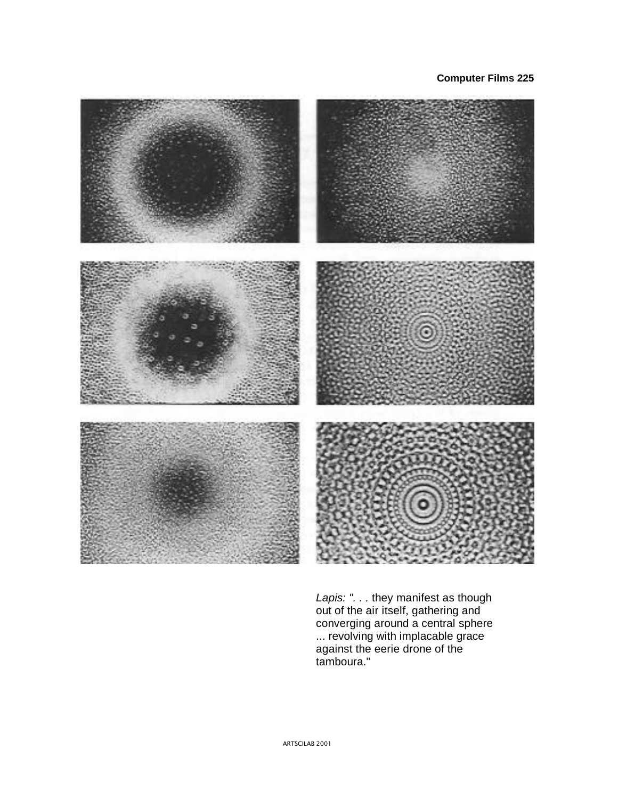#### **Computer Films 225**



Lapis: ". . . they manifest as though out of the air itself, gathering and converging around a central sphere ... revolving with implacable grace against the eerie drone of the tamboura."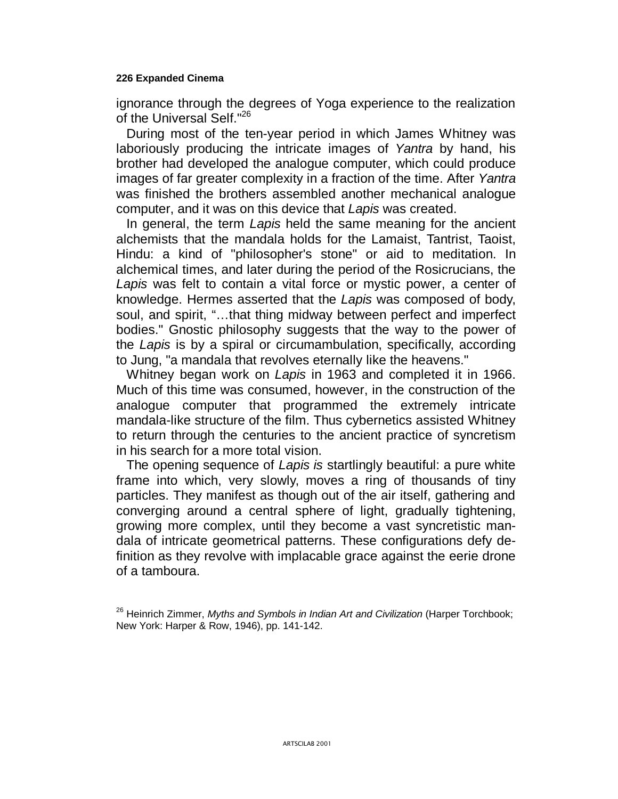ignorance through the degrees of Yoga experience to the realization of the Universal Self."<sup>26</sup>

During most of the ten-year period in which James Whitney was laboriously producing the intricate images of *Yantra* by hand, his brother had developed the analogue computer, which could produce images of far greater complexity in a fraction of the time. After *Yantra*  was finished the brothers assembled another mechanical analogue computer, and it was on this device that *Lapis* was created.

In general, the term *Lapis* held the same meaning for the ancient alchemists that the mandala holds for the Lamaist, Tantrist, Taoist, Hindu: a kind of "philosopher's stone" or aid to meditation. In alchemical times, and later during the period of the Rosicrucians, the *Lapis* was felt to contain a vital force or mystic power, a center of knowledge. Hermes asserted that the *Lapis* was composed of body, soul, and spirit, "… that thing midway between perfect and imperfect bodies." Gnostic philosophy suggests that the way to the power of the *Lapis* is by a spiral or circumambulation, specifically, according to Jung, "a mandala that revolves eternally like the heavens."

Whitney began work on *Lapis* in 1963 and completed it in 1966. Much of this time was consumed, however, in the construction of the analogue computer that programmed the extremely intricate mandala-like structure of the film. Thus cybernetics assisted Whitney to return through the centuries to the ancient practice of syncretism in his search for a more total vision.

The opening sequence of *Lapis is* startlingly beautiful: a pure white frame into which, very slowly, moves a ring of thousands of tiny particles. They manifest as though out of the air itself, gathering and converging around a central sphere of light, gradually tightening, growing more complex, until they become a vast syncretistic mandala of intricate geometrical patterns. These configurations defy definition as they revolve with implacable grace against the eerie drone of a tamboura.

<sup>26</sup> Heinrich Zimmer, *Myths and Symbols in Indian Art and Civilization* (Harper Torchbook; New York: Harper & Row, 1946), pp. 141-142.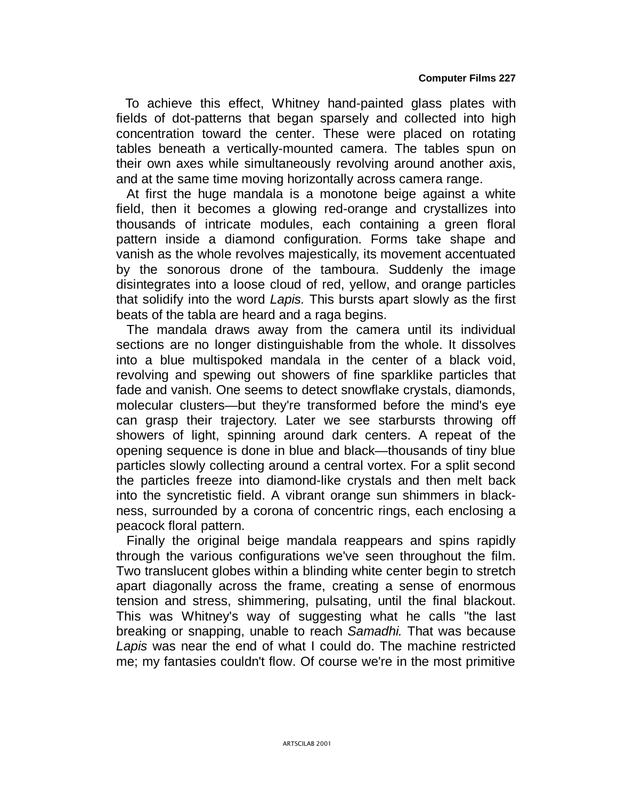To achieve this effect, Whitney hand-painted glass plates with fields of dot-patterns that began sparsely and collected into high concentration toward the center. These were placed on rotating tables beneath a vertically-mounted camera. The tables spun on their own axes while simultaneously revolving around another axis, and at the same time moving horizontally across camera range.

At first the huge mandala is a monotone beige against a white field, then it becomes a glowing red-orange and crystallizes into thousands of intricate modules, each containing a green floral pattern inside a diamond configuration. Forms take shape and vanish as the whole revolves majestically, its movement accentuated by the sonorous drone of the tamboura. Suddenly the image disintegrates into a loose cloud of red, yellow, and orange particles that solidify into the word *Lapis.* This bursts apart slowly as the first beats of the tabla are heard and a raga begins.

The mandala draws away from the camera until its individual sections are no longer distinguishable from the whole. It dissolves into a blue multispoked mandala in the center of a black void, revolving and spewing out showers of fine sparklike particles that fade and vanish. One seems to detect snowflake crystals, diamonds, molecular clusters— but they're transformed before the mind's eye can grasp their trajectory. Later we see starbursts throwing off showers of light, spinning around dark centers. A repeat of the opening sequence is done in blue and black— thousands of tiny blue particles slowly collecting around a central vortex. For a split second the particles freeze into diamond-like crystals and then melt back into the syncretistic field. A vibrant orange sun shimmers in blackness, surrounded by a corona of concentric rings, each enclosing a peacock floral pattern.

Finally the original beige mandala reappears and spins rapidly through the various configurations we've seen throughout the film. Two translucent globes within a blinding white center begin to stretch apart diagonally across the frame, creating a sense of enormous tension and stress, shimmering, pulsating, until the final blackout. This was Whitney's way of suggesting what he calls "the last breaking or snapping, unable to reach *Samadhi.* That was because *Lapis* was near the end of what I could do. The machine restricted me; my fantasies couldn't flow. Of course we're in the most primitive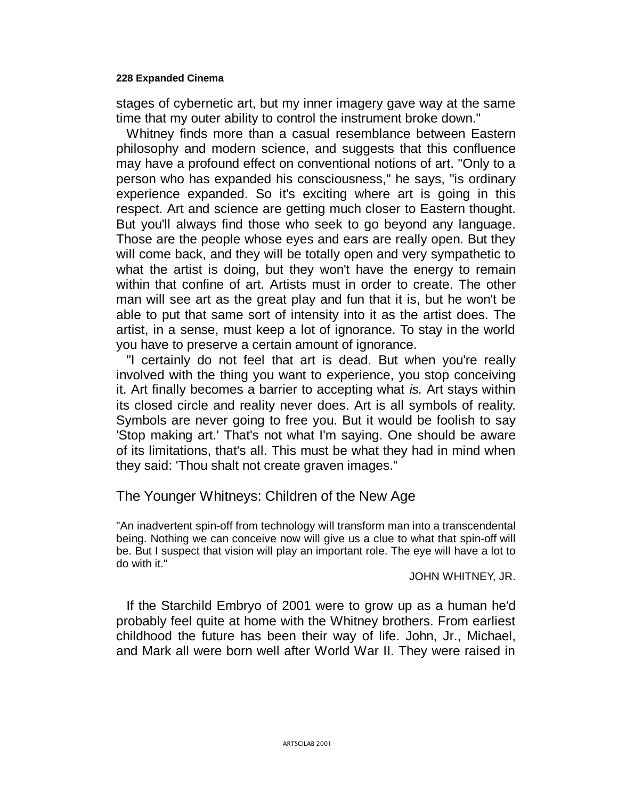stages of cybernetic art, but my inner imagery gave way at the same time that my outer ability to control the instrument broke down."

Whitney finds more than a casual resemblance between Eastern philosophy and modern science, and suggests that this confluence may have a profound effect on conventional notions of art. "Only to a person who has expanded his consciousness," he says, "is ordinary experience expanded. So it's exciting where art is going in this respect. Art and science are getting much closer to Eastern thought. But you'll always find those who seek to go beyond any language. Those are the people whose eyes and ears are really open. But they will come back, and they will be totally open and very sympathetic to what the artist is doing, but they won't have the energy to remain within that confine of art. Artists must in order to create. The other man will see art as the great play and fun that it is, but he won't be able to put that same sort of intensity into it as the artist does. The artist, in a sense, must keep a lot of ignorance. To stay in the world you have to preserve a certain amount of ignorance.

"I certainly do not feel that art is dead. But when you're really involved with the thing you want to experience, you stop conceiving it. Art finally becomes a barrier to accepting what *is.* Art stays within its closed circle and reality never does. Art is all symbols of reality. Symbols are never going to free you. But it would be foolish to say 'Stop making art.' That's not what I'm saying. One should be aware of its limitations, that's all. This must be what they had in mind when they said: 'Thou shalt not create graven images."

The Younger Whitneys: Children of the New Age

"An inadvertent spin-off from technology will transform man into a transcendental being. Nothing we can conceive now will give us a clue to what that spin-off will be. But I suspect that vision will play an important role. The eye will have a lot to do with it."

JOHN WHITNEY, JR.

If the Starchild Embryo of 2001 were to grow up as a human he'd probably feel quite at home with the Whitney brothers. From earliest childhood the future has been their way of life. John, Jr., Michael, and Mark all were born well after World War II. They were raised in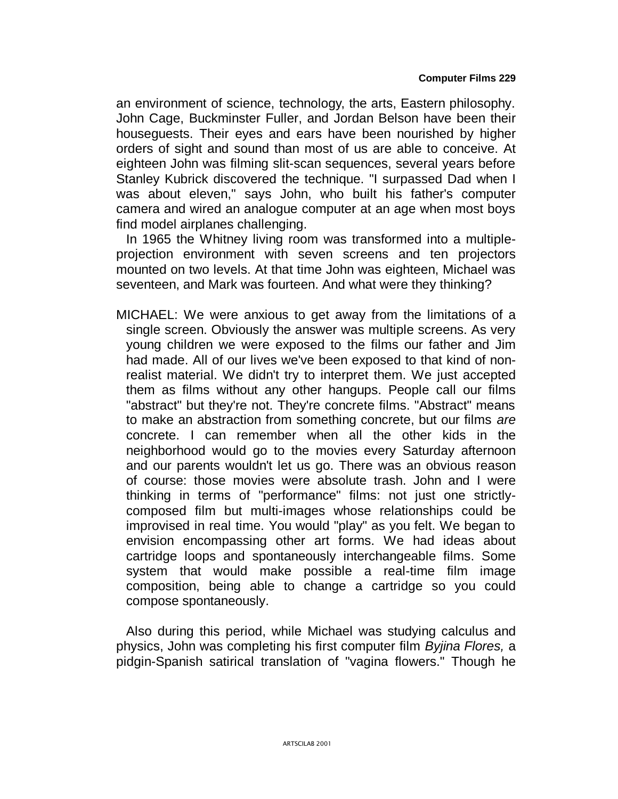an environment of science, technology, the arts, Eastern philosophy. John Cage, Buckminster Fuller, and Jordan Belson have been their houseguests. Their eyes and ears have been nourished by higher orders of sight and sound than most of us are able to conceive. At eighteen John was filming slit-scan sequences, several years before Stanley Kubrick discovered the technique. "I surpassed Dad when I was about eleven," says John, who built his father's computer camera and wired an analogue computer at an age when most boys find model airplanes challenging.

In 1965 the Whitney living room was transformed into a multipleprojection environment with seven screens and ten projectors mounted on two levels. At that time John was eighteen, Michael was seventeen, and Mark was fourteen. And what were they thinking?

MICHAEL: We were anxious to get away from the limitations of a single screen. Obviously the answer was multiple screens. As very young children we were exposed to the films our father and Jim had made. All of our lives we've been exposed to that kind of nonrealist material. We didn't try to interpret them. We just accepted them as films without any other hangups. People call our films "abstract" but they're not. They're concrete films. "Abstract" means to make an abstraction from something concrete, but our films *are*  concrete. I can remember when all the other kids in the neighborhood would go to the movies every Saturday afternoon and our parents wouldn't let us go. There was an obvious reason of course: those movies were absolute trash. John and I were thinking in terms of "performance" films: not just one strictlycomposed film but multi-images whose relationships could be improvised in real time. You would "play" as you felt. We began to envision encompassing other art forms. We had ideas about cartridge loops and spontaneously interchangeable films. Some system that would make possible a real-time film image composition, being able to change a cartridge so you could compose spontaneously.

Also during this period, while Michael was studying calculus and physics, John was completing his first computer film *Byjina Flores,* a pidgin-Spanish satirical translation of "vagina flowers." Though he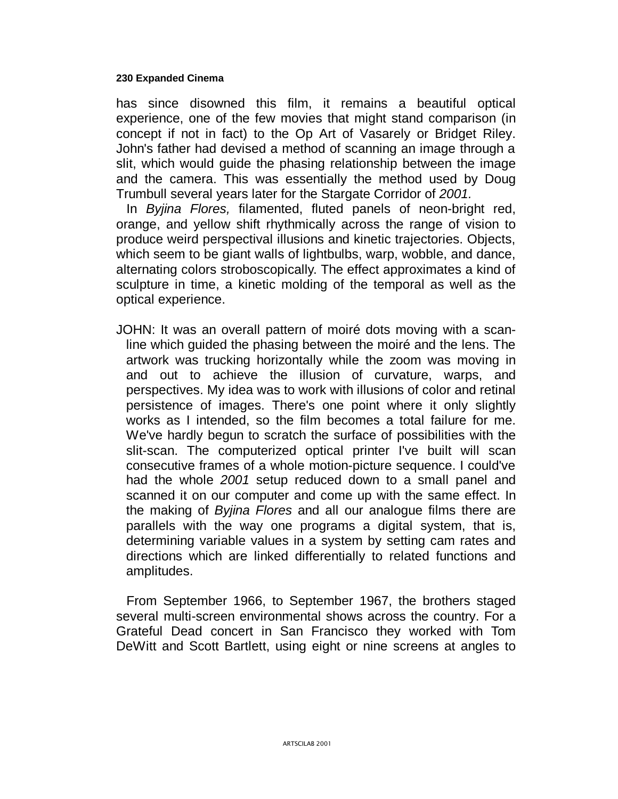has since disowned this film, it remains a beautiful optical experience, one of the few movies that might stand comparison (in concept if not in fact) to the Op Art of Vasarely or Bridget Riley. John's father had devised a method of scanning an image through a slit, which would guide the phasing relationship between the image and the camera. This was essentially the method used by Doug Trumbull several years later for the Stargate Corridor of *2001.*

In *Byjina Flores,* filamented, fluted panels of neon-bright red, orange, and yellow shift rhythmically across the range of vision to produce weird perspectival illusions and kinetic trajectories. Objects, which seem to be giant walls of lightbulbs, warp, wobble, and dance, alternating colors stroboscopically. The effect approximates a kind of sculpture in time, a kinetic molding of the temporal as well as the optical experience.

JOHN: It was an overall pattern of moiré dots moving with a scanline which guided the phasing between the moiré and the lens. The artwork was trucking horizontally while the zoom was moving in and out to achieve the illusion of curvature, warps, and perspectives. My idea was to work with illusions of color and retinal persistence of images. There's one point where it only slightly works as I intended, so the film becomes a total failure for me. We've hardly begun to scratch the surface of possibilities with the slit-scan. The computerized optical printer I've built will scan consecutive frames of a whole motion-picture sequence. I could've had the whole *2001* setup reduced down to a small panel and scanned it on our computer and come up with the same effect. In the making of *Byjina Flores* and all our analogue films there are parallels with the way one programs a digital system, that is, determining variable values in a system by setting cam rates and directions which are linked differentially to related functions and amplitudes.

From September 1966, to September 1967, the brothers staged several multi-screen environmental shows across the country. For a Grateful Dead concert in San Francisco they worked with Tom DeWitt and Scott Bartlett, using eight or nine screens at angles to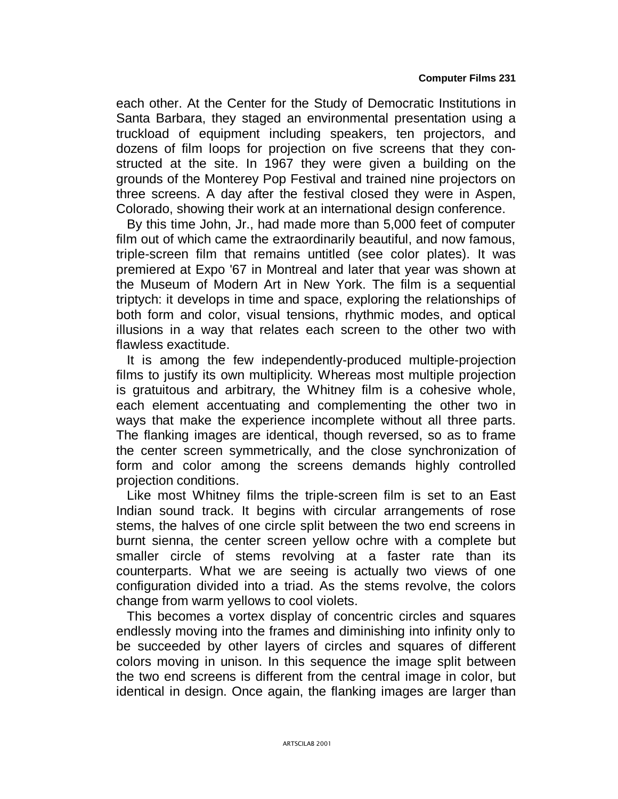each other. At the Center for the Study of Democratic Institutions in Santa Barbara, they staged an environmental presentation using a truckload of equipment including speakers, ten projectors, and dozens of film loops for projection on five screens that they constructed at the site. In 1967 they were given a building on the grounds of the Monterey Pop Festival and trained nine projectors on three screens. A day after the festival closed they were in Aspen, Colorado, showing their work at an international design conference.

By this time John, Jr., had made more than 5,000 feet of computer film out of which came the extraordinarily beautiful, and now famous, triple-screen film that remains untitled (see color plates). It was premiered at Expo '67 in Montreal and later that year was shown at the Museum of Modern Art in New York. The film is a sequential triptych: it develops in time and space, exploring the relationships of both form and color, visual tensions, rhythmic modes, and optical illusions in a way that relates each screen to the other two with flawless exactitude.

It is among the few independently-produced multiple-projection films to justify its own multiplicity. Whereas most multiple projection is gratuitous and arbitrary, the Whitney film is a cohesive whole, each element accentuating and complementing the other two in ways that make the experience incomplete without all three parts. The flanking images are identical, though reversed, so as to frame the center screen symmetrically, and the close synchronization of form and color among the screens demands highly controlled projection conditions.

Like most Whitney films the triple-screen film is set to an East Indian sound track. It begins with circular arrangements of rose stems, the halves of one circle split between the two end screens in burnt sienna, the center screen yellow ochre with a complete but smaller circle of stems revolving at a faster rate than its counterparts. What we are seeing is actually two views of one configuration divided into a triad. As the stems revolve, the colors change from warm yellows to cool violets.

This becomes a vortex display of concentric circles and squares endlessly moving into the frames and diminishing into infinity only to be succeeded by other layers of circles and squares of different colors moving in unison. In this sequence the image split between the two end screens is different from the central image in color, but identical in design. Once again, the flanking images are larger than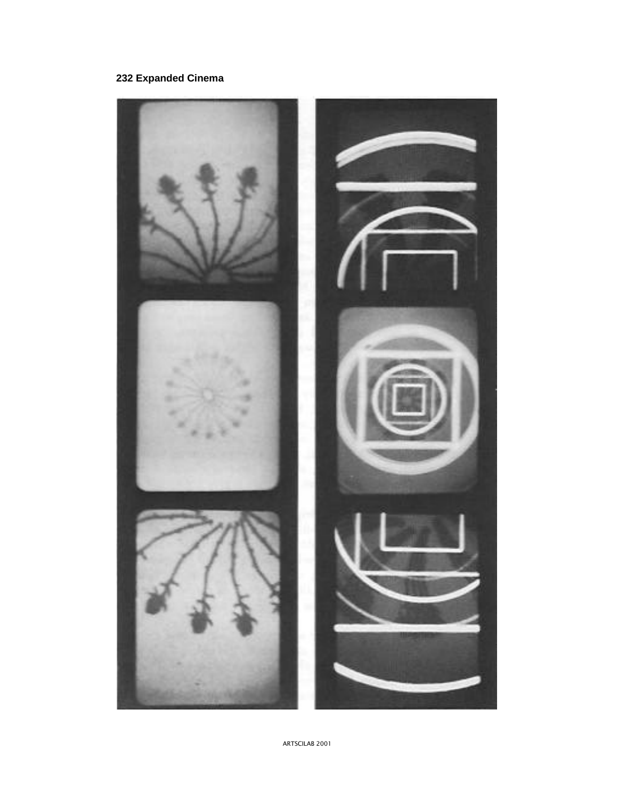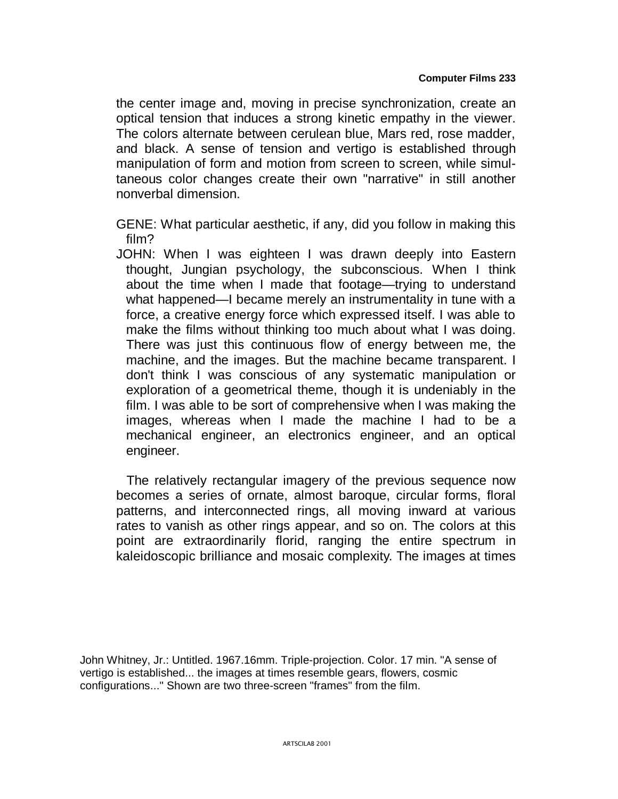the center image and, moving in precise synchronization, create an optical tension that induces a strong kinetic empathy in the viewer. The colors alternate between cerulean blue, Mars red, rose madder, and black. A sense of tension and vertigo is established through manipulation of form and motion from screen to screen, while simultaneous color changes create their own "narrative" in still another nonverbal dimension.

GENE: What particular aesthetic, if any, did you follow in making this film?

JOHN: When I was eighteen I was drawn deeply into Eastern thought, Jungian psychology, the subconscious. When I think about the time when I made that footage— trying to understand what happened—I became merely an instrumentality in tune with a force, a creative energy force which expressed itself. I was able to make the films without thinking too much about what I was doing. There was just this continuous flow of energy between me, the machine, and the images. But the machine became transparent. I don't think I was conscious of any systematic manipulation or exploration of a geometrical theme, though it is undeniably in the film. I was able to be sort of comprehensive when I was making the images, whereas when I made the machine I had to be a mechanical engineer, an electronics engineer, and an optical engineer.

The relatively rectangular imagery of the previous sequence now becomes a series of ornate, almost baroque, circular forms, floral patterns, and interconnected rings, all moving inward at various rates to vanish as other rings appear, and so on. The colors at this point are extraordinarily florid, ranging the entire spectrum in kaleidoscopic brilliance and mosaic complexity. The images at times

John Whitney, Jr.: Untitled. 1967.16mm. Triple-projection. Color. 17 min. "A sense of vertigo is established... the images at times resemble gears, flowers, cosmic configurations..." Shown are two three-screen "frames" from the film.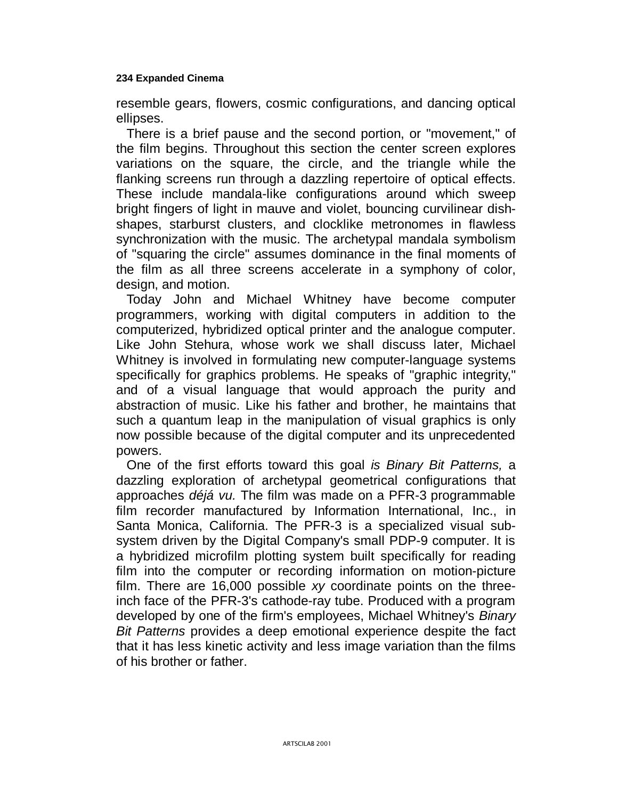resemble gears, flowers, cosmic configurations, and dancing optical ellipses.

There is a brief pause and the second portion, or "movement," of the film begins. Throughout this section the center screen explores variations on the square, the circle, and the triangle while the flanking screens run through a dazzling repertoire of optical effects. These include mandala-like configurations around which sweep bright fingers of light in mauve and violet, bouncing curvilinear dishshapes, starburst clusters, and clocklike metronomes in flawless synchronization with the music. The archetypal mandala symbolism of "squaring the circle" assumes dominance in the final moments of the film as all three screens accelerate in a symphony of color, design, and motion.

Today John and Michael Whitney have become computer programmers, working with digital computers in addition to the computerized, hybridized optical printer and the analogue computer. Like John Stehura, whose work we shall discuss later, Michael Whitney is involved in formulating new computer-language systems specifically for graphics problems. He speaks of "graphic integrity," and of a visual language that would approach the purity and abstraction of music. Like his father and brother, he maintains that such a quantum leap in the manipulation of visual graphics is only now possible because of the digital computer and its unprecedented powers.

One of the first efforts toward this goal *is Binary Bit Patterns,* a dazzling exploration of archetypal geometrical configurations that approaches *déjá vu.* The film was made on a PFR-3 programmable film recorder manufactured by Information International, Inc., in Santa Monica, California. The PFR-3 is a specialized visual subsystem driven by the Digital Company's small PDP-9 computer. It is a hybridized microfilm plotting system built specifically for reading film into the computer or recording information on motion-picture film. There are 16,000 possible *xy* coordinate points on the threeinch face of the PFR-3's cathode-ray tube. Produced with a program developed by one of the firm's employees, Michael Whitney's *Binary Bit Patterns* provides a deep emotional experience despite the fact that it has less kinetic activity and less image variation than the films of his brother or father.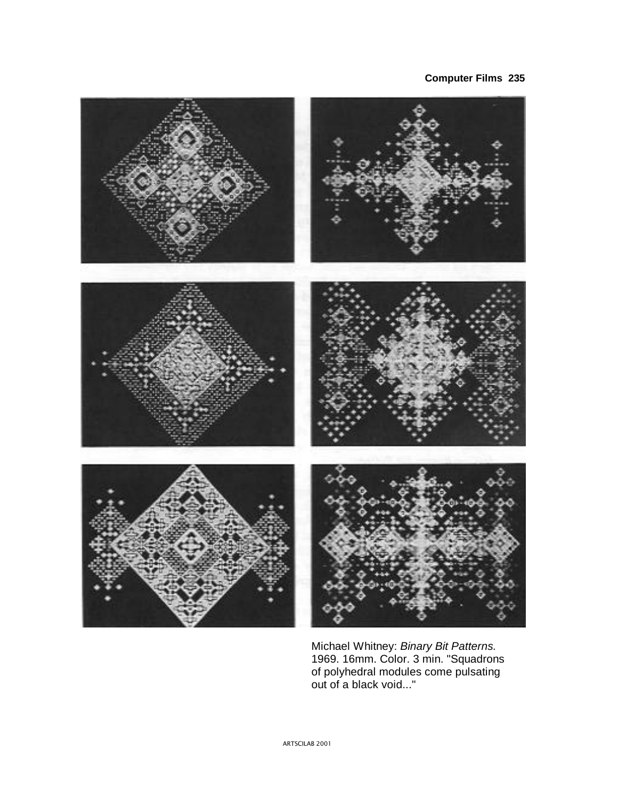### **Computer Films 235**



Michael Whitney: *Binary Bit Patterns.* 1969. 16mm. Color. 3 min. "Squadrons of polyhedral modules come pulsating out of a black void..."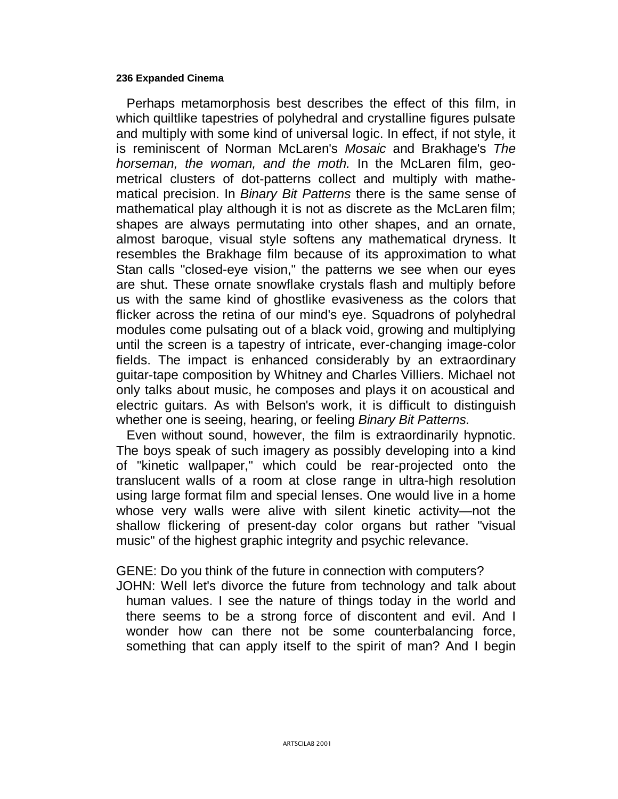Perhaps metamorphosis best describes the effect of this film, in which quiltlike tapestries of polyhedral and crystalline figures pulsate and multiply with some kind of universal logic. In effect, if not style, it is reminiscent of Norman McLaren's *Mosaic* and Brakhage's *The horseman, the woman, and the moth.* In the McLaren film, geometrical clusters of dot-patterns collect and multiply with mathematical precision. In *Binary Bit Patterns* there is the same sense of mathematical play although it is not as discrete as the McLaren film; shapes are always permutating into other shapes, and an ornate, almost baroque, visual style softens any mathematical dryness. It resembles the Brakhage film because of its approximation to what Stan calls "closed-eye vision," the patterns we see when our eyes are shut. These ornate snowflake crystals flash and multiply before us with the same kind of ghostlike evasiveness as the colors that flicker across the retina of our mind's eye. Squadrons of polyhedral modules come pulsating out of a black void, growing and multiplying until the screen is a tapestry of intricate, ever-changing image-color fields. The impact is enhanced considerably by an extraordinary guitar-tape composition by Whitney and Charles Villiers. Michael not only talks about music, he composes and plays it on acoustical and electric guitars. As with Belson's work, it is difficult to distinguish whether one is seeing, hearing, or feeling *Binary Bit Patterns.*

Even without sound, however, the film is extraordinarily hypnotic. The boys speak of such imagery as possibly developing into a kind of "kinetic wallpaper," which could be rear-projected onto the translucent walls of a room at close range in ultra-high resolution using large format film and special lenses. One would live in a home whose very walls were alive with silent kinetic activity— not the shallow flickering of present-day color organs but rather "visual music" of the highest graphic integrity and psychic relevance.

# GENE: Do you think of the future in connection with computers?

JOHN: Well let's divorce the future from technology and talk about human values. I see the nature of things today in the world and there seems to be a strong force of discontent and evil. And I wonder how can there not be some counterbalancing force, something that can apply itself to the spirit of man? And I begin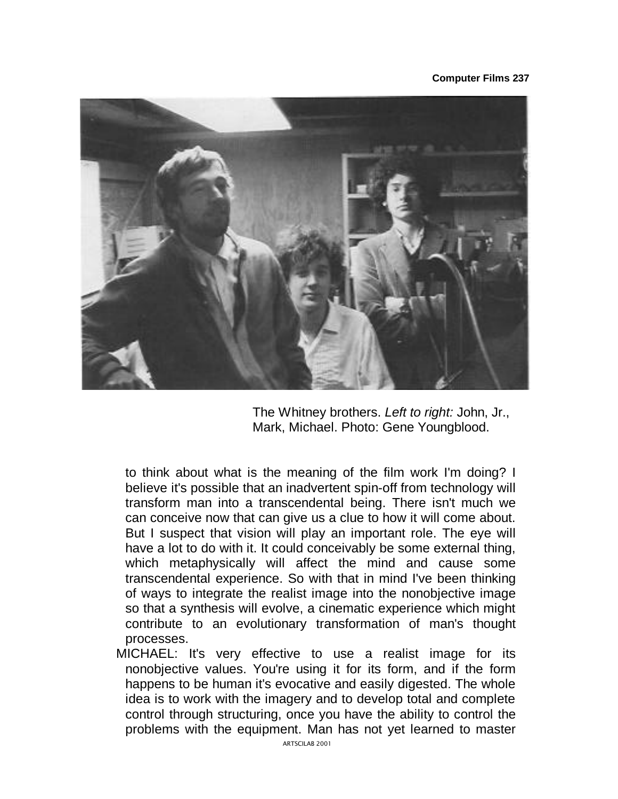**Computer Films 237**



The Whitney brothers. *Left to right:* John, Jr., Mark, Michael. Photo: Gene Youngblood.

to think about what is the meaning of the film work I'm doing? I believe it's possible that an inadvertent spin-off from technology will transform man into a transcendental being. There isn't much we can conceive now that can give us a clue to how it will come about. But I suspect that vision will play an important role. The eye will have a lot to do with it. It could conceivably be some external thing, which metaphysically will affect the mind and cause some transcendental experience. So with that in mind I've been thinking of ways to integrate the realist image into the nonobjective image so that a synthesis will evolve, a cinematic experience which might contribute to an evolutionary transformation of man's thought processes.

MICHAEL: It's very effective to use a realist image for its nonobjective values. You're using it for its form, and if the form happens to be human it's evocative and easily digested. The whole idea is to work with the imagery and to develop total and complete control through structuring, once you have the ability to control the problems with the equipment. Man has not yet learned to master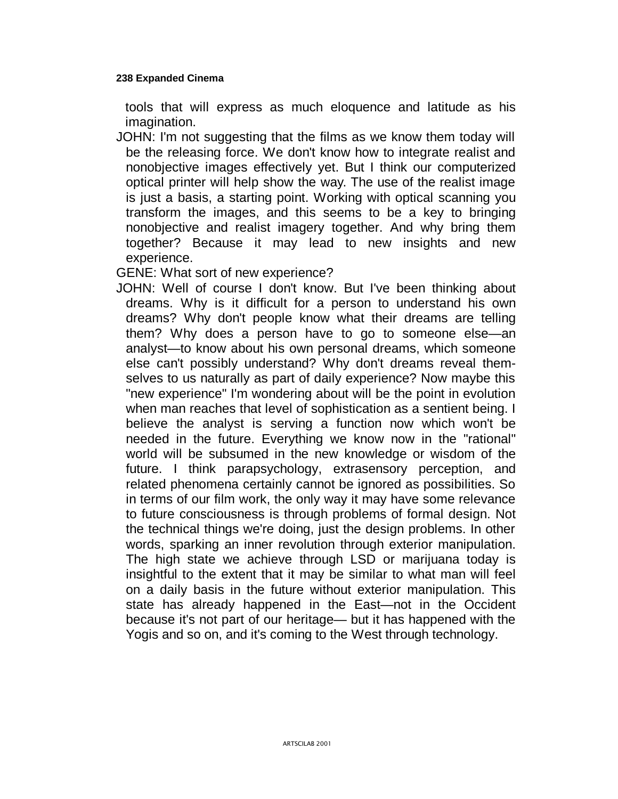tools that will express as much eloquence and latitude as his imagination.

JOHN: I'm not suggesting that the films as we know them today will be the releasing force. We don't know how to integrate realist and nonobjective images effectively yet. But I think our computerized optical printer will help show the way. The use of the realist image is just a basis, a starting point. Working with optical scanning you transform the images, and this seems to be a key to bringing nonobjective and realist imagery together. And why bring them together? Because it may lead to new insights and new experience.

GENE: What sort of new experience?

JOHN: Well of course I don't know. But I've been thinking about dreams. Why is it difficult for a person to understand his own dreams? Why don't people know what their dreams are telling them? Why does a person have to go to someone else— an analyst— to know about his own personal dreams, which someone else can't possibly understand? Why don't dreams reveal themselves to us naturally as part of daily experience? Now maybe this "new experience" I'm wondering about will be the point in evolution when man reaches that level of sophistication as a sentient being. I believe the analyst is serving a function now which won't be needed in the future. Everything we know now in the "rational" world will be subsumed in the new knowledge or wisdom of the future. I think parapsychology, extrasensory perception, and related phenomena certainly cannot be ignored as possibilities. So in terms of our film work, the only way it may have some relevance to future consciousness is through problems of formal design. Not the technical things we're doing, just the design problems. In other words, sparking an inner revolution through exterior manipulation. The high state we achieve through LSD or marijuana today is insightful to the extent that it may be similar to what man will feel on a daily basis in the future without exterior manipulation. This state has already happened in the East— not in the Occident because it's not part of our heritage— but it has happened with the Yogis and so on, and it's coming to the West through technology.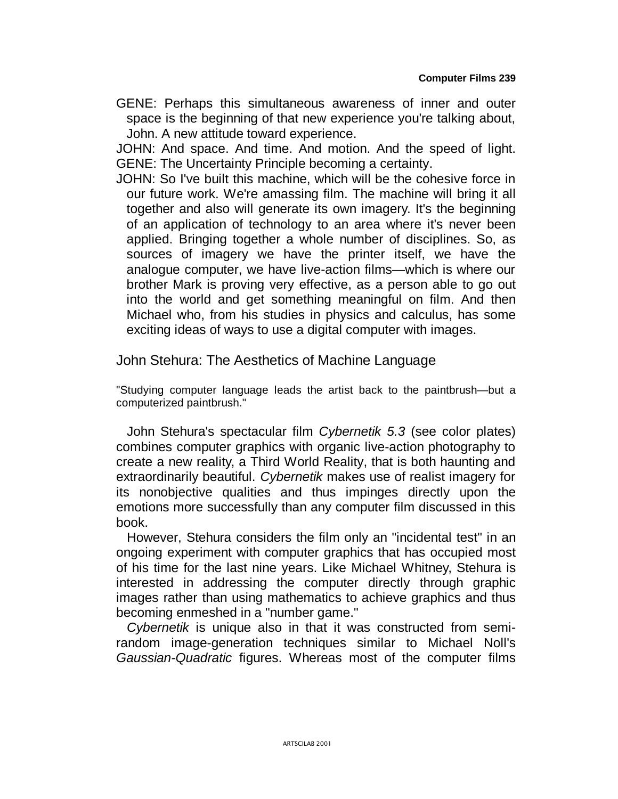GENE: Perhaps this simultaneous awareness of inner and outer space is the beginning of that new experience you're talking about, John. A new attitude toward experience.

JOHN: And space. And time. And motion. And the speed of light. GENE: The Uncertainty Principle becoming a certainty.

JOHN: So I've built this machine, which will be the cohesive force in our future work. We're amassing film. The machine will bring it all together and also will generate its own imagery. It's the beginning of an application of technology to an area where it's never been applied. Bringing together a whole number of disciplines. So, as sources of imagery we have the printer itself, we have the analogue computer, we have live-action films— which is where our brother Mark is proving very effective, as a person able to go out into the world and get something meaningful on film. And then Michael who, from his studies in physics and calculus, has some exciting ideas of ways to use a digital computer with images.

John Stehura: The Aesthetics of Machine Language

"Studying computer language leads the artist back to the paintbrush— but a computerized paintbrush."

John Stehura's spectacular film *Cybernetik 5.3* (see color plates) combines computer graphics with organic live-action photography to create a new reality, a Third World Reality, that is both haunting and extraordinarily beautiful. *Cybernetik* makes use of realist imagery for its nonobjective qualities and thus impinges directly upon the emotions more successfully than any computer film discussed in this book.

However, Stehura considers the film only an "incidental test" in an ongoing experiment with computer graphics that has occupied most of his time for the last nine years. Like Michael Whitney, Stehura is interested in addressing the computer directly through graphic images rather than using mathematics to achieve graphics and thus becoming enmeshed in a "number game."

*Cybernetik* is unique also in that it was constructed from semirandom image-generation techniques similar to Michael Noll's *Gaussian-Quadratic* figures. Whereas most of the computer films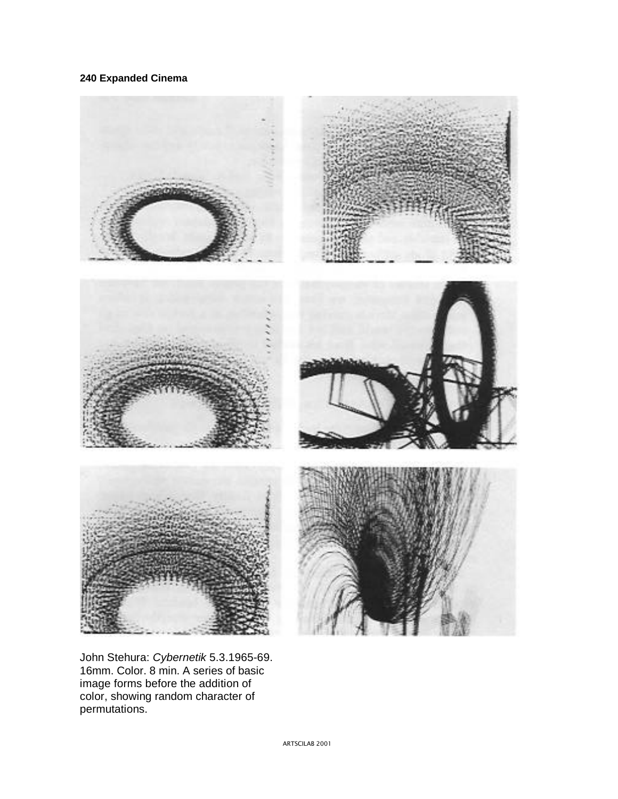

John Stehura: *Cybernetik* 5.3.1965-69. 16mm. Color. 8 min. A series of basic image forms before the addition of color, showing random character of permutations.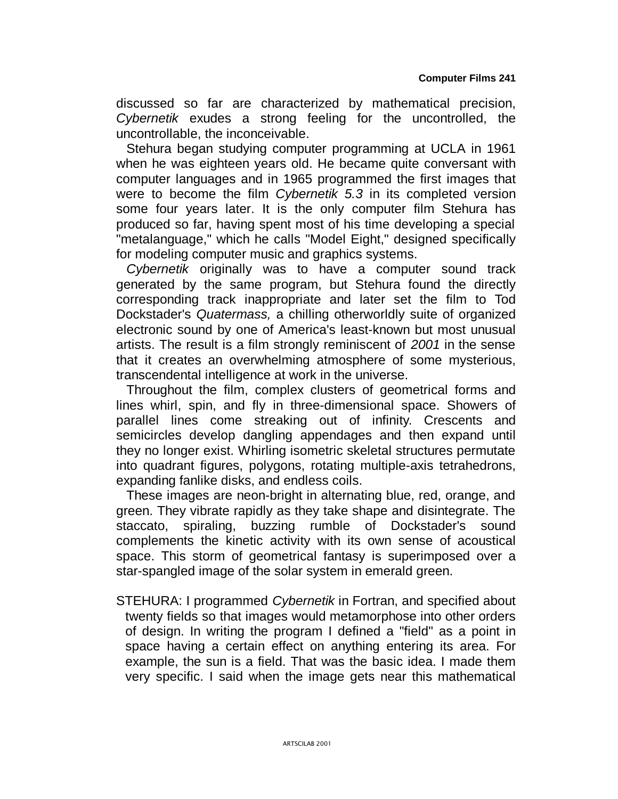discussed so far are characterized by mathematical precision, *Cybernetik* exudes a strong feeling for the uncontrolled, the uncontrollable, the inconceivable.

Stehura began studying computer programming at UCLA in 1961 when he was eighteen years old. He became quite conversant with computer languages and in 1965 programmed the first images that were to become the film *Cybernetik 5.3* in its completed version some four years later. It is the only computer film Stehura has produced so far, having spent most of his time developing a special "metalanguage," which he calls "Model Eight," designed specifically for modeling computer music and graphics systems.

*Cybernetik* originally was to have a computer sound track generated by the same program, but Stehura found the directly corresponding track inappropriate and later set the film to Tod Dockstader's *Quatermass,* a chilling otherworldly suite of organized electronic sound by one of America's least-known but most unusual artists. The result is a film strongly reminiscent of *2001* in the sense that it creates an overwhelming atmosphere of some mysterious, transcendental intelligence at work in the universe.

Throughout the film, complex clusters of geometrical forms and lines whirl, spin, and fly in three-dimensional space. Showers of parallel lines come streaking out of infinity. Crescents and semicircles develop dangling appendages and then expand until they no longer exist. Whirling isometric skeletal structures permutate into quadrant figures, polygons, rotating multiple-axis tetrahedrons, expanding fanlike disks, and endless coils.

These images are neon-bright in alternating blue, red, orange, and green. They vibrate rapidly as they take shape and disintegrate. The staccato, spiraling, buzzing rumble of Dockstader's sound complements the kinetic activity with its own sense of acoustical space. This storm of geometrical fantasy is superimposed over a star-spangled image of the solar system in emerald green.

STEHURA: I programmed *Cybernetik* in Fortran, and specified about twenty fields so that images would metamorphose into other orders of design. In writing the program I defined a "field" as a point in space having a certain effect on anything entering its area. For example, the sun is a field. That was the basic idea. I made them very specific. I said when the image gets near this mathematical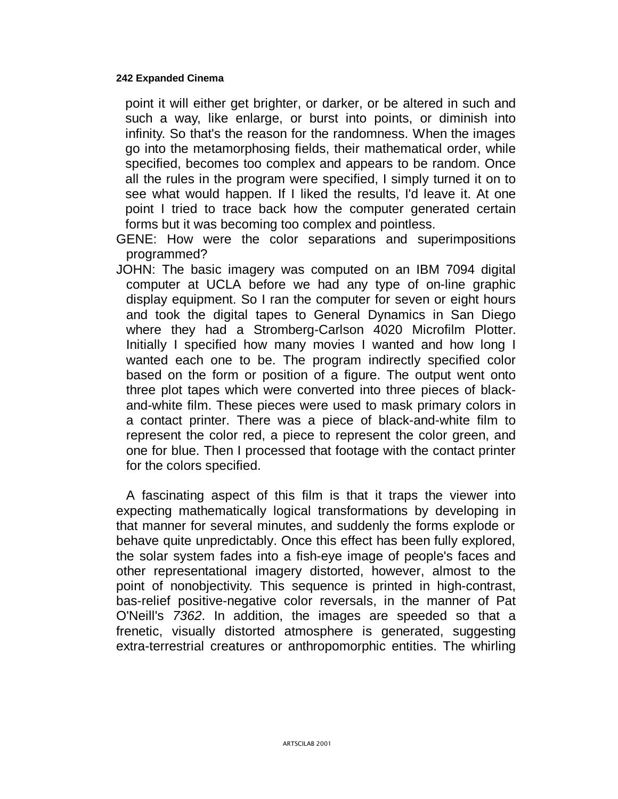point it will either get brighter, or darker, or be altered in such and such a way, like enlarge, or burst into points, or diminish into infinity. So that's the reason for the randomness. When the images go into the metamorphosing fields, their mathematical order, while specified, becomes too complex and appears to be random. Once all the rules in the program were specified, I simply turned it on to see what would happen. If I liked the results, I'd leave it. At one point I tried to trace back how the computer generated certain forms but it was becoming too complex and pointless.

- GENE: How were the color separations and superimpositions programmed?
- JOHN: The basic imagery was computed on an IBM 7094 digital computer at UCLA before we had any type of on-line graphic display equipment. So I ran the computer for seven or eight hours and took the digital tapes to General Dynamics in San Diego where they had a Stromberg-Carlson 4020 Microfilm Plotter. Initially I specified how many movies I wanted and how long I wanted each one to be. The program indirectly specified color based on the form or position of a figure. The output went onto three plot tapes which were converted into three pieces of blackand-white film. These pieces were used to mask primary colors in a contact printer. There was a piece of black-and-white film to represent the color red, a piece to represent the color green, and one for blue. Then I processed that footage with the contact printer for the colors specified.

A fascinating aspect of this film is that it traps the viewer into expecting mathematically logical transformations by developing in that manner for several minutes, and suddenly the forms explode or behave quite unpredictably. Once this effect has been fully explored, the solar system fades into a fish-eye image of people's faces and other representational imagery distorted, however, almost to the point of nonobjectivity. This sequence is printed in high-contrast, bas-relief positive-negative color reversals, in the manner of Pat O'Neill's *7362*. In addition, the images are speeded so that a frenetic, visually distorted atmosphere is generated, suggesting extra-terrestrial creatures or anthropomorphic entities. The whirling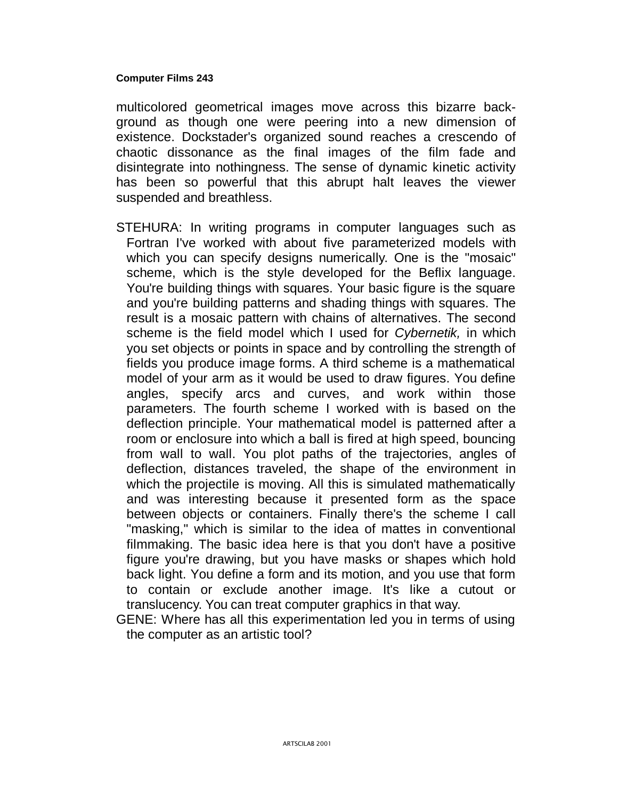#### **Computer Films 243**

multicolored geometrical images move across this bizarre background as though one were peering into a new dimension of existence. Dockstader's organized sound reaches a crescendo of chaotic dissonance as the final images of the film fade and disintegrate into nothingness. The sense of dynamic kinetic activity has been so powerful that this abrupt halt leaves the viewer suspended and breathless.

- STEHURA: In writing programs in computer languages such as Fortran I've worked with about five parameterized models with which you can specify designs numerically. One is the "mosaic" scheme, which is the style developed for the Beflix language. You're building things with squares. Your basic figure is the square and you're building patterns and shading things with squares. The result is a mosaic pattern with chains of alternatives. The second scheme is the field model which I used for *Cybernetik,* in which you set objects or points in space and by controlling the strength of fields you produce image forms. A third scheme is a mathematical model of your arm as it would be used to draw figures. You define angles, specify arcs and curves, and work within those parameters. The fourth scheme I worked with is based on the deflection principle. Your mathematical model is patterned after a room or enclosure into which a ball is fired at high speed, bouncing from wall to wall. You plot paths of the trajectories, angles of deflection, distances traveled, the shape of the environment in which the projectile is moving. All this is simulated mathematically and was interesting because it presented form as the space between objects or containers. Finally there's the scheme I call "masking," which is similar to the idea of mattes in conventional filmmaking. The basic idea here is that you don't have a positive figure you're drawing, but you have masks or shapes which hold back light. You define a form and its motion, and you use that form to contain or exclude another image. It's like a cutout or translucency. You can treat computer graphics in that way.
- GENE: Where has all this experimentation led you in terms of using the computer as an artistic tool?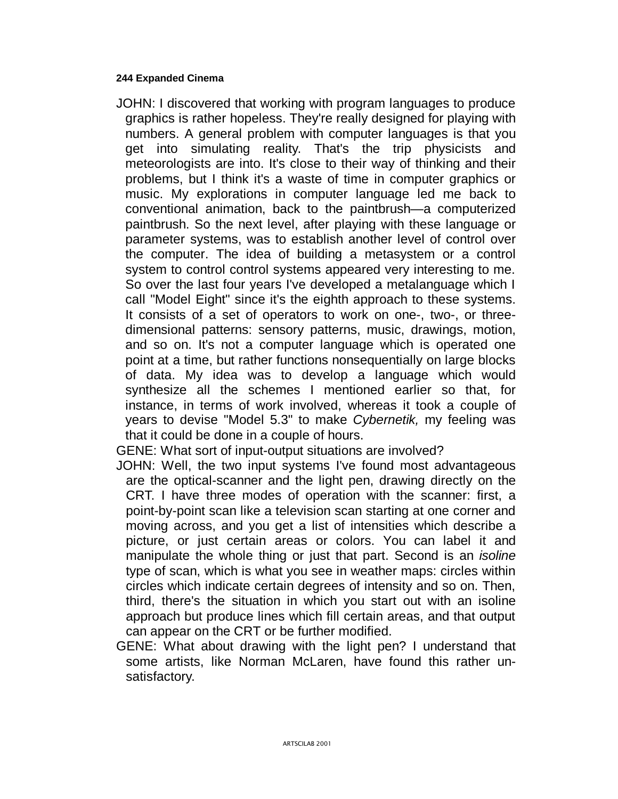- JOHN: I discovered that working with program languages to produce graphics is rather hopeless. They're really designed for playing with numbers. A general problem with computer languages is that you get into simulating reality. That's the trip physicists and meteorologists are into. It's close to their way of thinking and their problems, but I think it's a waste of time in computer graphics or music. My explorations in computer language led me back to conventional animation, back to the paintbrush— a computerized paintbrush. So the next level, after playing with these language or parameter systems, was to establish another level of control over the computer. The idea of building a metasystem or a control system to control control systems appeared very interesting to me. So over the last four years I've developed a metalanguage which I call "Model Eight" since it's the eighth approach to these systems. It consists of a set of operators to work on one-, two-, or threedimensional patterns: sensory patterns, music, drawings, motion, and so on. It's not a computer language which is operated one point at a time, but rather functions nonsequentially on large blocks of data. My idea was to develop a language which would synthesize all the schemes I mentioned earlier so that, for instance, in terms of work involved, whereas it took a couple of years to devise "Model 5.3" to make *Cybernetik,* my feeling was that it could be done in a couple of hours.
- GENE: What sort of input-output situations are involved?
- JOHN: Well, the two input systems I've found most advantageous are the optical-scanner and the light pen, drawing directly on the CRT. I have three modes of operation with the scanner: first, a point-by-point scan like a television scan starting at one corner and moving across, and you get a list of intensities which describe a picture, or just certain areas or colors. You can label it and manipulate the whole thing or just that part. Second is an *isoline*  type of scan, which is what you see in weather maps: circles within circles which indicate certain degrees of intensity and so on. Then, third, there's the situation in which you start out with an isoline approach but produce lines which fill certain areas, and that output can appear on the CRT or be further modified.
- GENE: What about drawing with the light pen? I understand that some artists, like Norman McLaren, have found this rather unsatisfactory.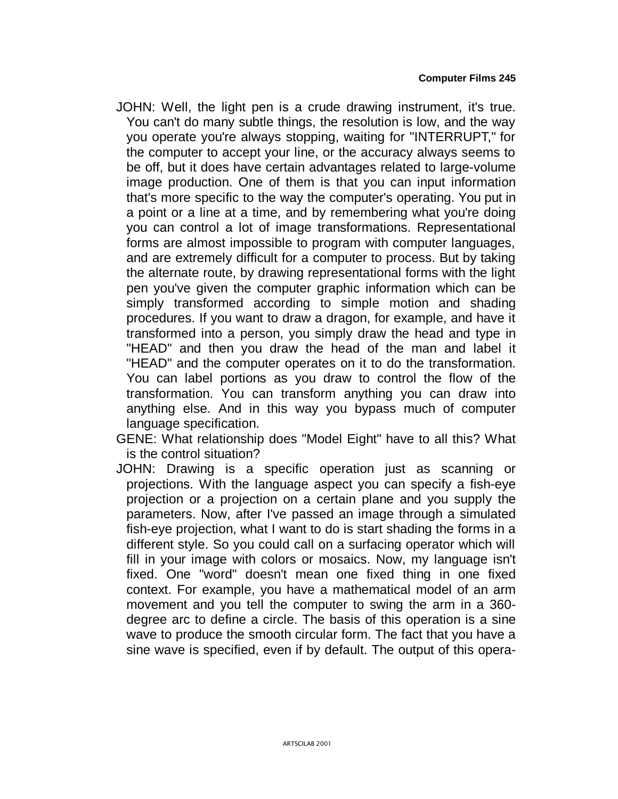- JOHN: Well, the light pen is a crude drawing instrument, it's true. You can't do many subtle things, the resolution is low, and the way you operate you're always stopping, waiting for "INTERRUPT," for the computer to accept your line, or the accuracy always seems to be off, but it does have certain advantages related to large-volume image production. One of them is that you can input information that's more specific to the way the computer's operating. You put in a point or a line at a time, and by remembering what you're doing you can control a lot of image transformations. Representational forms are almost impossible to program with computer languages, and are extremely difficult for a computer to process. But by taking the alternate route, by drawing representational forms with the light pen you've given the computer graphic information which can be simply transformed according to simple motion and shading procedures. If you want to draw a dragon, for example, and have it transformed into a person, you simply draw the head and type in "HEAD" and then you draw the head of the man and label it "HEAD" and the computer operates on it to do the transformation. You can label portions as you draw to control the flow of the transformation. You can transform anything you can draw into anything else. And in this way you bypass much of computer language specification.
- GENE: What relationship does "Model Eight" have to all this? What is the control situation?
- JOHN: Drawing is a specific operation just as scanning or projections. With the language aspect you can specify a fish-eye projection or a projection on a certain plane and you supply the parameters. Now, after I've passed an image through a simulated fish-eye projection, what I want to do is start shading the forms in a different style. So you could call on a surfacing operator which will fill in your image with colors or mosaics. Now, my language isn't fixed. One "word" doesn't mean one fixed thing in one fixed context. For example, you have a mathematical model of an arm movement and you tell the computer to swing the arm in a 360 degree arc to define a circle. The basis of this operation is a sine wave to produce the smooth circular form. The fact that you have a sine wave is specified, even if by default. The output of this opera-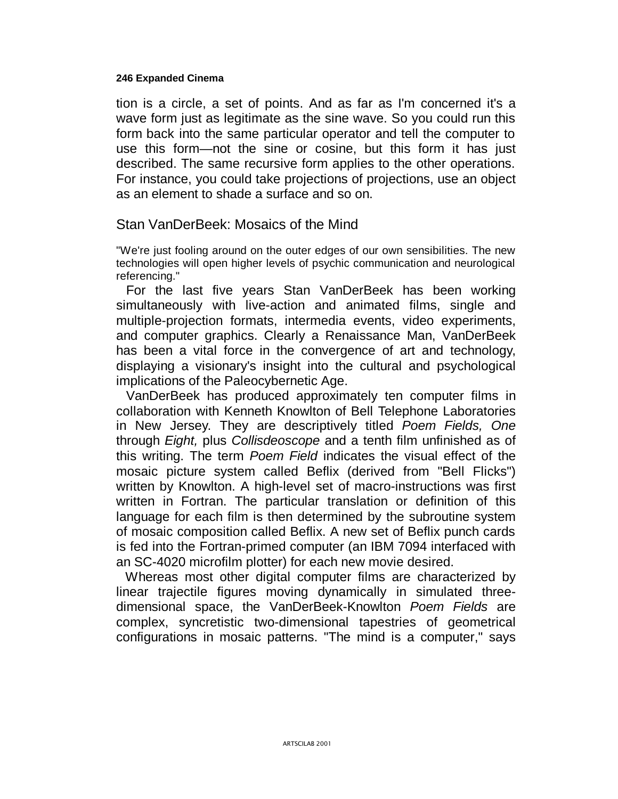tion is a circle, a set of points. And as far as I'm concerned it's a wave form just as legitimate as the sine wave. So you could run this form back into the same particular operator and tell the computer to use this form— not the sine or cosine, but this form it has just described. The same recursive form applies to the other operations. For instance, you could take projections of projections, use an object as an element to shade a surface and so on.

# Stan VanDerBeek: Mosaics of the Mind

"We're just fooling around on the outer edges of our own sensibilities. The new technologies will open higher levels of psychic communication and neurological referencing."

For the last five years Stan VanDerBeek has been working simultaneously with live-action and animated films, single and multiple-projection formats, intermedia events, video experiments, and computer graphics. Clearly a Renaissance Man, VanDerBeek has been a vital force in the convergence of art and technology, displaying a visionary's insight into the cultural and psychological implications of the Paleocybernetic Age.

VanDerBeek has produced approximately ten computer films in collaboration with Kenneth Knowlton of Bell Telephone Laboratories in New Jersey. They are descriptively titled *Poem Fields, One* through *Eight,* plus *Collisdeoscope* and a tenth film unfinished as of this writing. The term *Poem Field* indicates the visual effect of the mosaic picture system called Beflix (derived from "Bell Flicks") written by Knowlton. A high-level set of macro-instructions was first written in Fortran. The particular translation or definition of this language for each film is then determined by the subroutine system of mosaic composition called Beflix. A new set of Beflix punch cards is fed into the Fortran-primed computer (an IBM 7094 interfaced with an SC-4020 microfilm plotter) for each new movie desired.

Whereas most other digital computer films are characterized by linear trajectile figures moving dynamically in simulated threedimensional space, the VanDerBeek-Knowlton *Poem Fields* are complex, syncretistic two-dimensional tapestries of geometrical configurations in mosaic patterns. "The mind is a computer," says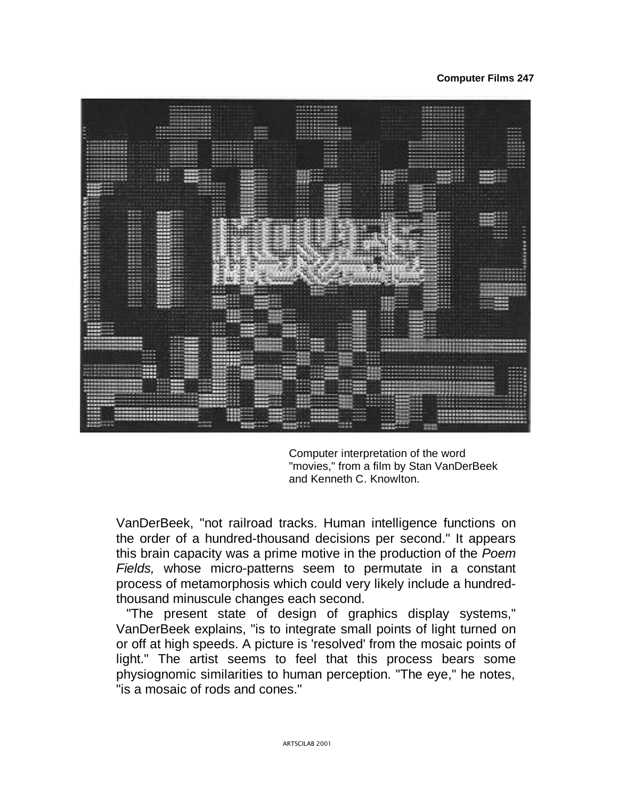#### **Computer Films 247**



Computer interpretation of the word "movies," from a film by Stan VanDerBeek and Kenneth C. Knowlton.

VanDerBeek, "not railroad tracks. Human intelligence functions on the order of a hundred-thousand decisions per second." It appears this brain capacity was a prime motive in the production of the *Poem Fields,* whose micro-patterns seem to permutate in a constant process of metamorphosis which could very likely include a hundredthousand minuscule changes each second.

"The present state of design of graphics display systems," VanDerBeek explains, "is to integrate small points of light turned on or off at high speeds. A picture is 'resolved' from the mosaic points of light." The artist seems to feel that this process bears some physiognomic similarities to human perception. "The eye," he notes, "is a mosaic of rods and cones."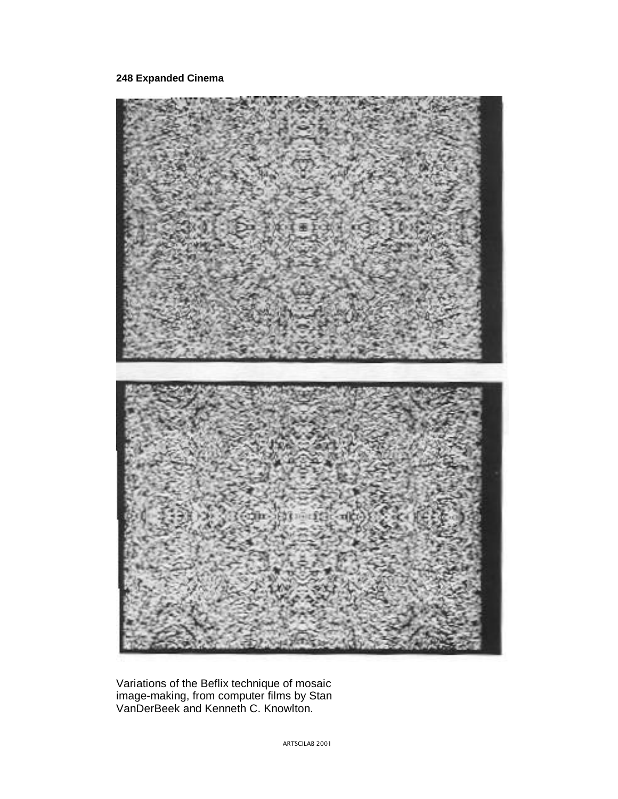

Variations of the Beflix technique of mosaic image-making, from computer films by Stan VanDerBeek and Kenneth C. Knowlton.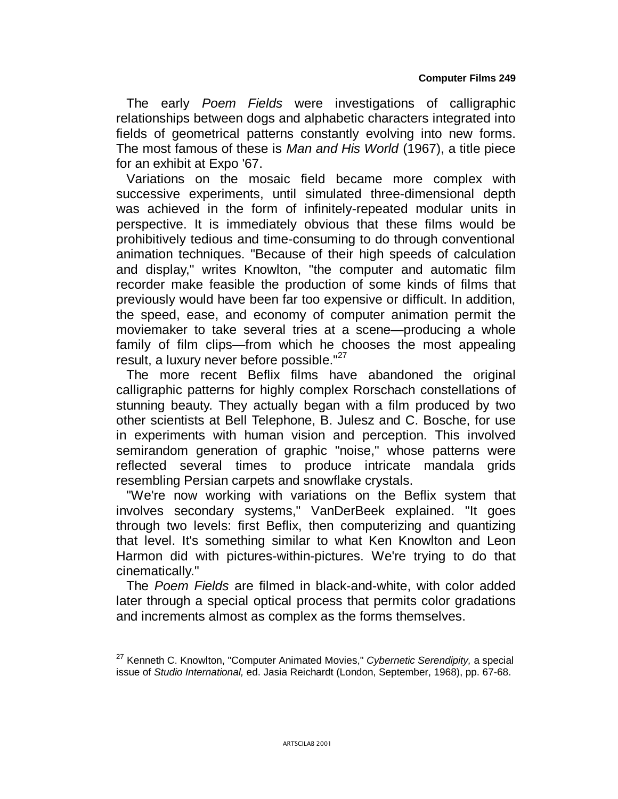The early *Poem Fields* were investigations of calligraphic relationships between dogs and alphabetic characters integrated into fields of geometrical patterns constantly evolving into new forms. The most famous of these is *Man and His World* (1967), a title piece for an exhibit at Expo '67.

Variations on the mosaic field became more complex with successive experiments, until simulated three-dimensional depth was achieved in the form of infinitely-repeated modular units in perspective. It is immediately obvious that these films would be prohibitively tedious and time-consuming to do through conventional animation techniques. "Because of their high speeds of calculation and display," writes Knowlton, "the computer and automatic film recorder make feasible the production of some kinds of films that previously would have been far too expensive or difficult. In addition, the speed, ease, and economy of computer animation permit the moviemaker to take several tries at a scene— producing a whole family of film clips—from which he chooses the most appealing result, a luxury never before possible."<sup>27</sup>

The more recent Beflix films have abandoned the original calligraphic patterns for highly complex Rorschach constellations of stunning beauty. They actually began with a film produced by two other scientists at Bell Telephone, B. Julesz and C. Bosche, for use in experiments with human vision and perception. This involved semirandom generation of graphic "noise," whose patterns were reflected several times to produce intricate mandala grids resembling Persian carpets and snowflake crystals.

"We're now working with variations on the Beflix system that involves secondary systems," VanDerBeek explained. "It goes through two levels: first Beflix, then computerizing and quantizing that level. It's something similar to what Ken Knowlton and Leon Harmon did with pictures-within-pictures. We're trying to do that cinematically."

The *Poem Fields* are filmed in black-and-white, with color added later through a special optical process that permits color gradations and increments almost as complex as the forms themselves.

<sup>27</sup> Kenneth C. Knowlton, "Computer Animated Movies," *Cybernetic Serendipity,* a special issue of *Studio International,* ed. Jasia Reichardt (London, September, 1968), pp. 67-68.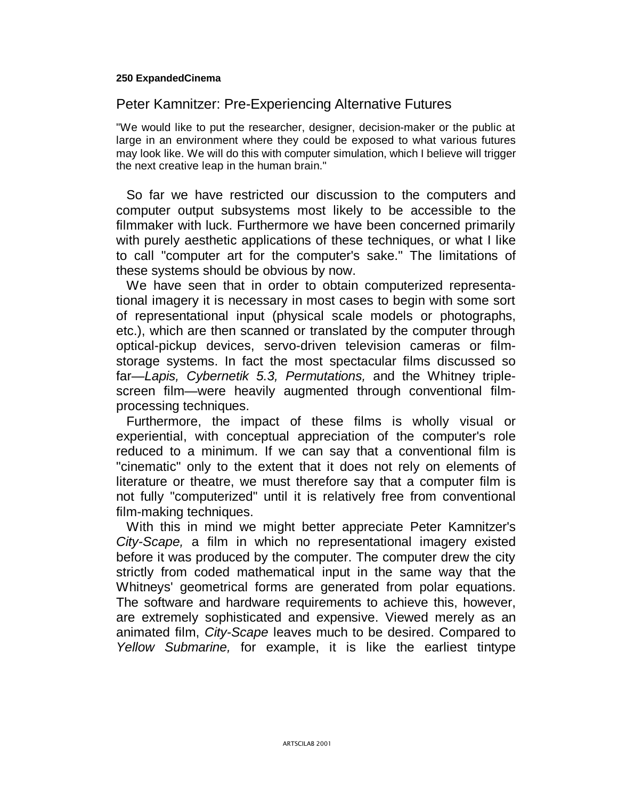# Peter Kamnitzer: Pre-Experiencing Alternative Futures

"We would like to put the researcher, designer, decision-maker or the public at large in an environment where they could be exposed to what various futures may look like. We will do this with computer simulation, which I believe will trigger the next creative leap in the human brain."

So far we have restricted our discussion to the computers and computer output subsystems most likely to be accessible to the filmmaker with luck. Furthermore we have been concerned primarily with purely aesthetic applications of these techniques, or what I like to call "computer art for the computer's sake." The limitations of these systems should be obvious by now.

We have seen that in order to obtain computerized representational imagery it is necessary in most cases to begin with some sort of representational input (physical scale models or photographs, etc.), which are then scanned or translated by the computer through optical-pickup devices, servo-driven television cameras or filmstorage systems. In fact the most spectacular films discussed so far— *Lapis, Cybernetik 5.3, Permutations,* and the Whitney triplescreen film— were heavily augmented through conventional filmprocessing techniques.

Furthermore, the impact of these films is wholly visual or experiential, with conceptual appreciation of the computer's role reduced to a minimum. If we can say that a conventional film is "cinematic" only to the extent that it does not rely on elements of literature or theatre, we must therefore say that a computer film is not fully "computerized" until it is relatively free from conventional film-making techniques.

With this in mind we might better appreciate Peter Kamnitzer's *City-Scape,* a film in which no representational imagery existed before it was produced by the computer. The computer drew the city strictly from coded mathematical input in the same way that the Whitneys' geometrical forms are generated from polar equations. The software and hardware requirements to achieve this, however, are extremely sophisticated and expensive. Viewed merely as an animated film, *City-Scape* leaves much to be desired. Compared to *Yellow Submarine,* for example, it is like the earliest tintype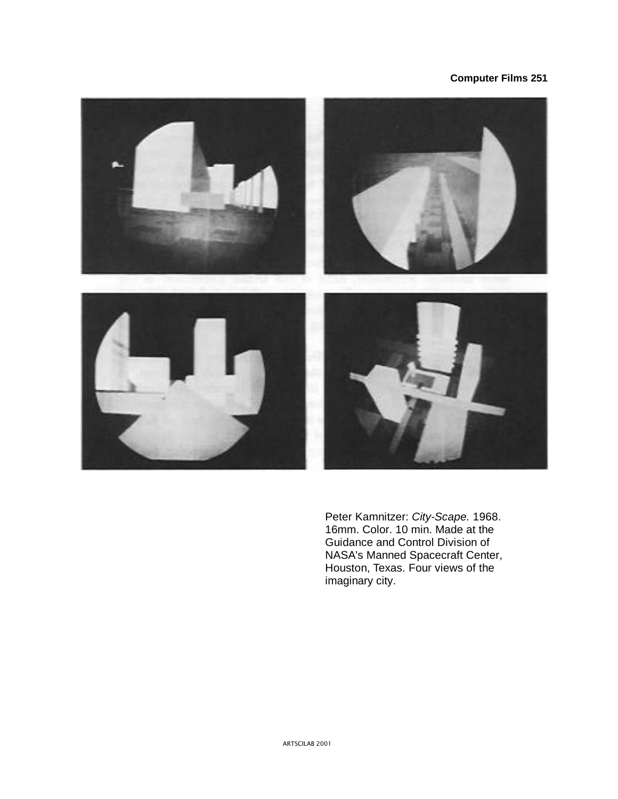## **Computer Films 251**



Peter Kamnitzer: *City-Scape.* 1968. 16mm. Color. 10 min. Made at the Guidance and Control Division of NASA's Manned Spacecraft Center, Houston, Texas. Four views of the imaginary city.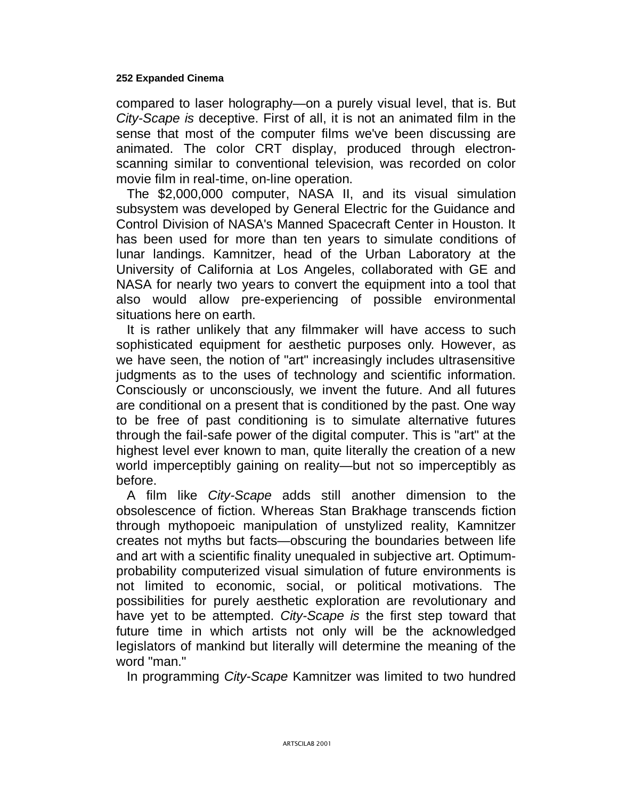## **252 Expanded Cinema**

compared to laser holography— on a purely visual level, that is. But *City-Scape is* deceptive. First of all, it is not an animated film in the sense that most of the computer films we've been discussing are animated. The color CRT display, produced through electronscanning similar to conventional television, was recorded on color movie film in real-time, on-line operation.

The \$2,000,000 computer, NASA II, and its visual simulation subsystem was developed by General Electric for the Guidance and Control Division of NASA's Manned Spacecraft Center in Houston. It has been used for more than ten years to simulate conditions of lunar landings. Kamnitzer, head of the Urban Laboratory at the University of California at Los Angeles, collaborated with GE and NASA for nearly two years to convert the equipment into a tool that also would allow pre-experiencing of possible environmental situations here on earth.

It is rather unlikely that any filmmaker will have access to such sophisticated equipment for aesthetic purposes only. However, as we have seen, the notion of "art" increasingly includes ultrasensitive judgments as to the uses of technology and scientific information. Consciously or unconsciously, we invent the future. And all futures are conditional on a present that is conditioned by the past. One way to be free of past conditioning is to simulate alternative futures through the fail-safe power of the digital computer. This is "art" at the highest level ever known to man, quite literally the creation of a new world imperceptibly gaining on reality— but not so imperceptibly as before.

A film like *City-Scape* adds still another dimension to the obsolescence of fiction. Whereas Stan Brakhage transcends fiction through mythopoeic manipulation of unstylized reality, Kamnitzer creates not myths but facts— obscuring the boundaries between life and art with a scientific finality unequaled in subjective art. Optimumprobability computerized visual simulation of future environments is not limited to economic, social, or political motivations. The possibilities for purely aesthetic exploration are revolutionary and have yet to be attempted. *City-Scape is* the first step toward that future time in which artists not only will be the acknowledged legislators of mankind but literally will determine the meaning of the word "man."

In programming *City-Scape* Kamnitzer was limited to two hundred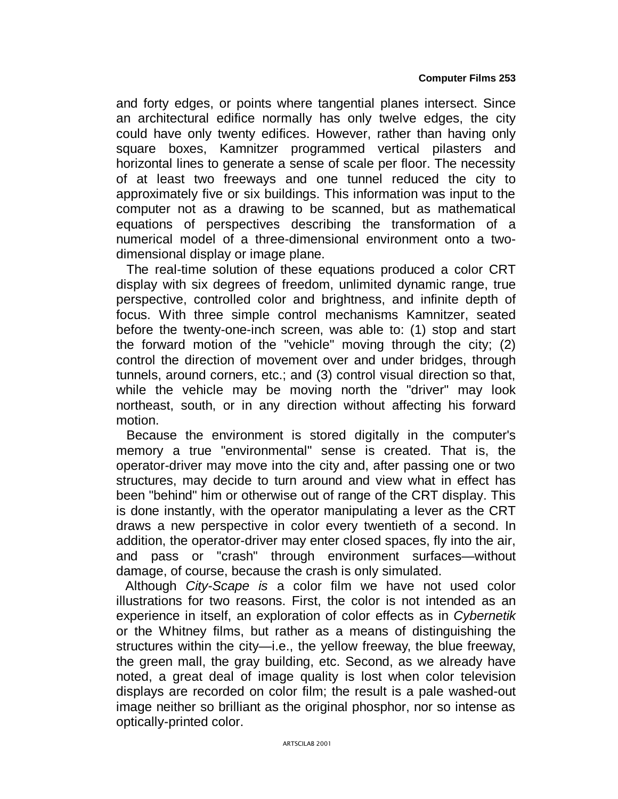and forty edges, or points where tangential planes intersect. Since an architectural edifice normally has only twelve edges, the city could have only twenty edifices. However, rather than having only square boxes, Kamnitzer programmed vertical pilasters and horizontal lines to generate a sense of scale per floor. The necessity of at least two freeways and one tunnel reduced the city to approximately five or six buildings. This information was input to the computer not as a drawing to be scanned, but as mathematical equations of perspectives describing the transformation of a numerical model of a three-dimensional environment onto a twodimensional display or image plane.

The real-time solution of these equations produced a color CRT display with six degrees of freedom, unlimited dynamic range, true perspective, controlled color and brightness, and infinite depth of focus. With three simple control mechanisms Kamnitzer, seated before the twenty-one-inch screen, was able to: (1) stop and start the forward motion of the "vehicle" moving through the city; (2) control the direction of movement over and under bridges, through tunnels, around corners, etc.; and (3) control visual direction so that, while the vehicle may be moving north the "driver" may look northeast, south, or in any direction without affecting his forward motion.

Because the environment is stored digitally in the computer's memory a true "environmental" sense is created. That is, the operator-driver may move into the city and, after passing one or two structures, may decide to turn around and view what in effect has been "behind" him or otherwise out of range of the CRT display. This is done instantly, with the operator manipulating a lever as the CRT draws a new perspective in color every twentieth of a second. In addition, the operator-driver may enter closed spaces, fly into the air, and pass or "crash" through environment surfaces— without damage, of course, because the crash is only simulated.

Although *City-Scape is* a color film we have not used color illustrations for two reasons. First, the color is not intended as an experience in itself, an exploration of color effects as in *Cybernetik*  or the Whitney films, but rather as a means of distinguishing the structures within the city—i.e., the yellow freeway, the blue freeway, the green mall, the gray building, etc. Second, as we already have noted, a great deal of image quality is lost when color television displays are recorded on color film; the result is a pale washed-out image neither so brilliant as the original phosphor, nor so intense as optically-printed color.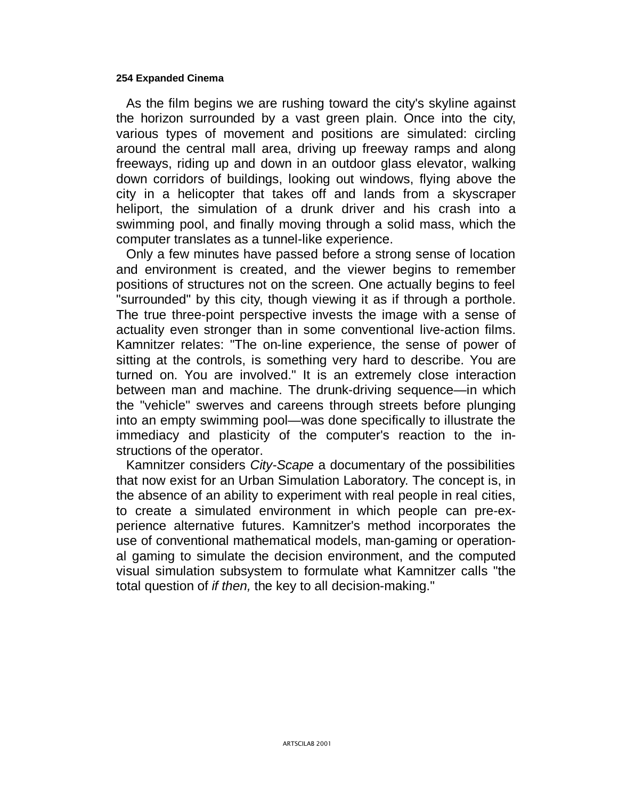## **254 Expanded Cinema**

As the film begins we are rushing toward the city's skyline against the horizon surrounded by a vast green plain. Once into the city, various types of movement and positions are simulated: circling around the central mall area, driving up freeway ramps and along freeways, riding up and down in an outdoor glass elevator, walking down corridors of buildings, looking out windows, flying above the city in a helicopter that takes off and lands from a skyscraper heliport, the simulation of a drunk driver and his crash into a swimming pool, and finally moving through a solid mass, which the computer translates as a tunnel-like experience.

Only a few minutes have passed before a strong sense of location and environment is created, and the viewer begins to remember positions of structures not on the screen. One actually begins to feel "surrounded" by this city, though viewing it as if through a porthole. The true three-point perspective invests the image with a sense of actuality even stronger than in some conventional live-action films. Kamnitzer relates: "The on-line experience, the sense of power of sitting at the controls, is something very hard to describe. You are turned on. You are involved." It is an extremely close interaction between man and machine. The drunk-driving sequence— in which the "vehicle" swerves and careens through streets before plunging into an empty swimming pool— was done specifically to illustrate the immediacy and plasticity of the computer's reaction to the instructions of the operator.

Kamnitzer considers *City-Scape* a documentary of the possibilities that now exist for an Urban Simulation Laboratory. The concept is, in the absence of an ability to experiment with real people in real cities, to create a simulated environment in which people can pre-experience alternative futures. Kamnitzer's method incorporates the use of conventional mathematical models, man-gaming or operational gaming to simulate the decision environment, and the computed visual simulation subsystem to formulate what Kamnitzer calls "the total question of *if then,* the key to all decision-making."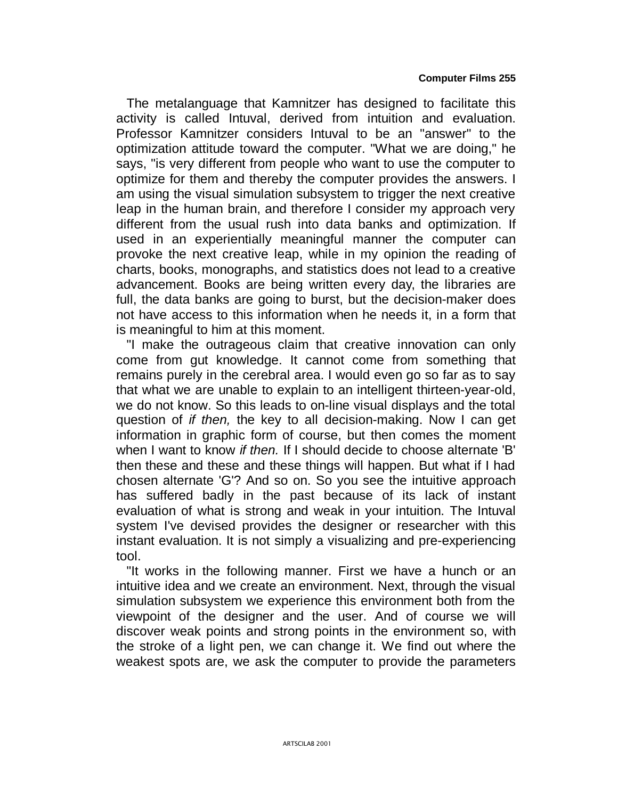The metalanguage that Kamnitzer has designed to facilitate this activity is called Intuval, derived from intuition and evaluation. Professor Kamnitzer considers Intuval to be an "answer" to the optimization attitude toward the computer. "What we are doing," he says, "is very different from people who want to use the computer to optimize for them and thereby the computer provides the answers. I am using the visual simulation subsystem to trigger the next creative leap in the human brain, and therefore I consider my approach very different from the usual rush into data banks and optimization. If used in an experientially meaningful manner the computer can provoke the next creative leap, while in my opinion the reading of charts, books, monographs, and statistics does not lead to a creative advancement. Books are being written every day, the libraries are full, the data banks are going to burst, but the decision-maker does not have access to this information when he needs it, in a form that is meaningful to him at this moment.

"I make the outrageous claim that creative innovation can only come from gut knowledge. It cannot come from something that remains purely in the cerebral area. I would even go so far as to say that what we are unable to explain to an intelligent thirteen-year-old, we do not know. So this leads to on-line visual displays and the total question of *if then,* the key to all decision-making. Now I can get information in graphic form of course, but then comes the moment when I want to know *if then.* If I should decide to choose alternate 'B' then these and these and these things will happen. But what if I had chosen alternate 'G'? And so on. So you see the intuitive approach has suffered badly in the past because of its lack of instant evaluation of what is strong and weak in your intuition. The Intuval system I've devised provides the designer or researcher with this instant evaluation. It is not simply a visualizing and pre-experiencing tool.

"It works in the following manner. First we have a hunch or an intuitive idea and we create an environment. Next, through the visual simulation subsystem we experience this environment both from the viewpoint of the designer and the user. And of course we will discover weak points and strong points in the environment so, with the stroke of a light pen, we can change it. We find out where the weakest spots are, we ask the computer to provide the parameters